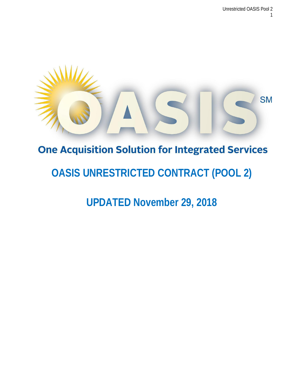

# **One Acquisition Solution for Integrated Services**

# **OASIS UNRESTRICTED CONTRACT (POOL 2)**

**UPDATED November 29, 2018**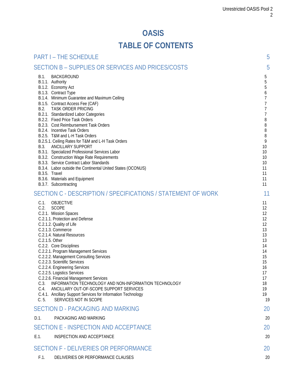# **OASIS**

# **TABLE OF CONTENTS**

| <b>PART I - THE SCHEDULE</b>                                                                                                                                                                                                                                                                                                                                                                                                                                                                                                                                                                                                                                                                                                                                                       | 5                                                                                                                                                                     |
|------------------------------------------------------------------------------------------------------------------------------------------------------------------------------------------------------------------------------------------------------------------------------------------------------------------------------------------------------------------------------------------------------------------------------------------------------------------------------------------------------------------------------------------------------------------------------------------------------------------------------------------------------------------------------------------------------------------------------------------------------------------------------------|-----------------------------------------------------------------------------------------------------------------------------------------------------------------------|
| SECTION B - SUPPLIES OR SERVICES AND PRICES/COSTS                                                                                                                                                                                                                                                                                                                                                                                                                                                                                                                                                                                                                                                                                                                                  | 5                                                                                                                                                                     |
| B.1.<br><b>BACKGROUND</b><br>B.1.1. Authority<br>B.1.2. Economy Act<br>B.1.3. Contract Type<br>B.1.4. Minimum Guarantee and Maximum Ceiling<br>B.1.5. Contract Access Fee (CAF)<br>B.2.<br><b>TASK ORDER PRICING</b><br>B.2.1. Standardized Labor Categories<br>B.2.2. Fixed Price Task Orders<br>B.2.3. Cost Reimbursement Task Orders<br>B.2.4. Incentive Task Orders<br>B.2.5. T&M and L-H Task Orders<br>B.2.5.1. Ceiling Rates for T&M and L-H Task Orders<br>B.3.<br>ANCILLARY SUPPORT<br>B.3.1. Specialized Professional Services Labor<br>B.3.2. Construction Wage Rate Requirements<br>B.3.3. Service Contract Labor Standards<br>B.3.4. Labor outside the Continental United States (OCONUS)<br>B.3.5. Travel<br>B.3.6. Materials and Equipment<br>B.3.7. Subcontracting | 5<br>$5\,$<br>5<br>6<br>$\overline{7}$<br>$\overline{7}$<br>$\overline{7}$<br>$\overline{7}$<br>8<br>8<br>8<br>8<br>9<br>10<br>10<br>10<br>10<br>11<br>11<br>11<br>11 |
| SECTION C - DESCRIPTION / SPECIFICATIONS / STATEMENT OF WORK                                                                                                                                                                                                                                                                                                                                                                                                                                                                                                                                                                                                                                                                                                                       | 11                                                                                                                                                                    |
| C.1.<br>OBJECTIVE<br>C.2.<br><b>SCOPE</b><br>C.2.1. Mission Spaces<br>C.2.1.1. Protection and Defense<br>C.2.1.2. Quality of Life<br>C.2.1.3. Commerce<br>C.2.1.4. Natural Resources<br>C.2.1.5. Other<br>C.2.2. Core Disciplines<br>C.2.2.1. Program Management Services<br>C.2.2.2. Management Consulting Services<br>C.2.2.3. Scientific Services<br>C.2.2.4. Engineering Services<br>C.2.2.5. Logistics Services<br>C.2.2.6. Financial Management Services<br>INFORMATION TECHNOLOGY AND NON-INFORMATION TECHNOLOGY<br>C.3.<br>C.4.<br>ANCILLARY OUT-OF-SCOPE SUPPORT SERVICES<br>C.4.1. Ancillary Support Services for Information Technology<br>C.5.<br>SERVICES NOT IN SCOPE                                                                                                | 11<br>12<br>12<br>12<br>12<br>13<br>13<br>13<br>14<br>14<br>15<br>15<br>16<br>17<br>17<br>18<br>19<br>19<br>19                                                        |
| <b>SECTION D - PACKAGING AND MARKING</b>                                                                                                                                                                                                                                                                                                                                                                                                                                                                                                                                                                                                                                                                                                                                           | 20                                                                                                                                                                    |
| D.1.<br>PACKAGING AND MARKING                                                                                                                                                                                                                                                                                                                                                                                                                                                                                                                                                                                                                                                                                                                                                      | 20                                                                                                                                                                    |
| SECTION E - INSPECTION AND ACCEPTANCE                                                                                                                                                                                                                                                                                                                                                                                                                                                                                                                                                                                                                                                                                                                                              | 20                                                                                                                                                                    |
| E.1.<br>INSPECTION AND ACCEPTANCE                                                                                                                                                                                                                                                                                                                                                                                                                                                                                                                                                                                                                                                                                                                                                  | 20                                                                                                                                                                    |
| <b>SECTION F - DELIVERIES OR PERFORMANCE</b>                                                                                                                                                                                                                                                                                                                                                                                                                                                                                                                                                                                                                                                                                                                                       | 20                                                                                                                                                                    |
| DELIVERIES OR PERFORMANCE CLAUSES<br>F.1.                                                                                                                                                                                                                                                                                                                                                                                                                                                                                                                                                                                                                                                                                                                                          | 20                                                                                                                                                                    |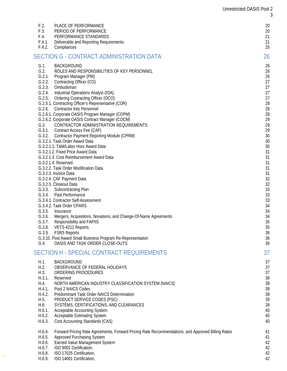| F.2.                                                                                                                                   | PLACE OF PERFORMANCE                                                                                                                                                                                                                                                                                                                                                                                                                                                                                                                                                                                                                                                                                                                                                                                                                                                                                                                                                                                                                                                                                                                                                                                                                                                                               | 20                                                                                                                                                                                                             |
|----------------------------------------------------------------------------------------------------------------------------------------|----------------------------------------------------------------------------------------------------------------------------------------------------------------------------------------------------------------------------------------------------------------------------------------------------------------------------------------------------------------------------------------------------------------------------------------------------------------------------------------------------------------------------------------------------------------------------------------------------------------------------------------------------------------------------------------------------------------------------------------------------------------------------------------------------------------------------------------------------------------------------------------------------------------------------------------------------------------------------------------------------------------------------------------------------------------------------------------------------------------------------------------------------------------------------------------------------------------------------------------------------------------------------------------------------|----------------------------------------------------------------------------------------------------------------------------------------------------------------------------------------------------------------|
| F.3.                                                                                                                                   | PERIOD OF PERFORMANCE                                                                                                                                                                                                                                                                                                                                                                                                                                                                                                                                                                                                                                                                                                                                                                                                                                                                                                                                                                                                                                                                                                                                                                                                                                                                              | 20                                                                                                                                                                                                             |
| F.4.                                                                                                                                   | PERFORMANCE STANDARDS                                                                                                                                                                                                                                                                                                                                                                                                                                                                                                                                                                                                                                                                                                                                                                                                                                                                                                                                                                                                                                                                                                                                                                                                                                                                              | 21                                                                                                                                                                                                             |
| F.4.1.                                                                                                                                 | Deliverable and Reporting Requirements                                                                                                                                                                                                                                                                                                                                                                                                                                                                                                                                                                                                                                                                                                                                                                                                                                                                                                                                                                                                                                                                                                                                                                                                                                                             | 21                                                                                                                                                                                                             |
| F.4.2.                                                                                                                                 | Compliances                                                                                                                                                                                                                                                                                                                                                                                                                                                                                                                                                                                                                                                                                                                                                                                                                                                                                                                                                                                                                                                                                                                                                                                                                                                                                        | 25                                                                                                                                                                                                             |
|                                                                                                                                        | SECTION G - CONTRACT ADMINISTRATION DATA                                                                                                                                                                                                                                                                                                                                                                                                                                                                                                                                                                                                                                                                                                                                                                                                                                                                                                                                                                                                                                                                                                                                                                                                                                                           | 26                                                                                                                                                                                                             |
| $G.1$ .<br>G.2.<br>G.2.1.<br>G.2.2.<br>G.2.3.<br>G.2.4.<br>G.3.<br>G.3.3.<br>G.3.4.<br>G.3.5.<br>G.3.6.<br>G.3.7.<br>G.3.8.<br>$G.4$ . | <b>BACKGROUND</b><br>ROLES AND RESPONSIBILITIES OF KEY PERSONNEL<br>Program Manager (PM)<br>Contracting Officer (CO)<br>Ombudsman<br>Industrial Operations Analyst (IOA)<br>G.2.5. Ordering Contracting Officer (OCO)<br>G.2.5.1. Contracting Officer's Representative (COR)<br>G.2.6. Contractor Key Personnel<br>G.2.6.1. Corporate OASIS Program Manager (COPM)<br>G.2.6.2. Corporate OASIS Contract Manager (COCM)<br>CONTRACTOR ADMINISTRATION REQUIREMENTS<br>G.3.1. Contract Access Fee (CAF)<br>G.3.2. Contractor Payment Reporting Module (CPRM)<br>G.3.2.1. Task Order Award Data<br>G.3.2.1.1. T&M/Labor Hour Award Data<br>G.3.2.1.2. Fixed Price Award Data<br>G.3.2.1.3. Cost Reimbursement Award Data<br>G.3.2.1.4. Reserved<br>G.3.2.2. Task Order Modification Data<br>G.3.2.3. Invoice Data<br>G.3.2.4. CAF Payment Data<br>G.3.2.5. Closeout Data<br>Subcontracting Plan<br>Past Performance<br>G.3.4.1. Contractor Self-Assessment<br>G.3.4.2. Task Order CPARS<br>Insurance<br>Mergers, Acquisitions, Novations, and Change-Of-Name Agreements<br><b>Responsibility and FAPIIS</b><br>VETS-4212 Reports<br>G.3.9. FSRS Reports<br>G.3.10. Post Award Small Business Program Re-Representation<br>OASIS AND TASK ORDER CLOSE-OUTS<br>SECTION H - SPECIAL CONTRACT REQUIREMENTS | 26<br>26<br>26<br>27<br>27<br>27<br>27<br>28<br>28<br>28<br>29<br>29<br>29<br>30<br>30<br>30<br>31<br>31<br>31<br>31<br>31<br>32<br>32<br>33<br>33<br>33<br>34<br>34<br>34<br>35<br>35<br>36<br>36<br>36<br>37 |
| H.1.                                                                                                                                   | <b>BACKGROUND</b>                                                                                                                                                                                                                                                                                                                                                                                                                                                                                                                                                                                                                                                                                                                                                                                                                                                                                                                                                                                                                                                                                                                                                                                                                                                                                  | 37                                                                                                                                                                                                             |
| H.2.                                                                                                                                   | OBSERVANCE OF FEDERAL HOLIDAYS                                                                                                                                                                                                                                                                                                                                                                                                                                                                                                                                                                                                                                                                                                                                                                                                                                                                                                                                                                                                                                                                                                                                                                                                                                                                     | 37                                                                                                                                                                                                             |
| H.3.                                                                                                                                   | ORDERING PROCEDURES                                                                                                                                                                                                                                                                                                                                                                                                                                                                                                                                                                                                                                                                                                                                                                                                                                                                                                                                                                                                                                                                                                                                                                                                                                                                                | 37                                                                                                                                                                                                             |
| H.3.1.                                                                                                                                 | Reserved                                                                                                                                                                                                                                                                                                                                                                                                                                                                                                                                                                                                                                                                                                                                                                                                                                                                                                                                                                                                                                                                                                                                                                                                                                                                                           | 38                                                                                                                                                                                                             |
| H.4.                                                                                                                                   | NORTH AMERICAN INDUSTRY CLASSIFICATION SYSTEM (NAICS)                                                                                                                                                                                                                                                                                                                                                                                                                                                                                                                                                                                                                                                                                                                                                                                                                                                                                                                                                                                                                                                                                                                                                                                                                                              | 38                                                                                                                                                                                                             |
| H.4.1.                                                                                                                                 | Pool 2 NAICS Codes                                                                                                                                                                                                                                                                                                                                                                                                                                                                                                                                                                                                                                                                                                                                                                                                                                                                                                                                                                                                                                                                                                                                                                                                                                                                                 | 38                                                                                                                                                                                                             |
| H.4.2.                                                                                                                                 | Predominant Task Order NAICS Determination                                                                                                                                                                                                                                                                                                                                                                                                                                                                                                                                                                                                                                                                                                                                                                                                                                                                                                                                                                                                                                                                                                                                                                                                                                                         | 38                                                                                                                                                                                                             |
| H.5.                                                                                                                                   | PRODUCT SERVICE CODES (PSC)                                                                                                                                                                                                                                                                                                                                                                                                                                                                                                                                                                                                                                                                                                                                                                                                                                                                                                                                                                                                                                                                                                                                                                                                                                                                        | 39                                                                                                                                                                                                             |
| H.6.                                                                                                                                   | SYSTEMS, CERTIFICATIONS, AND CLEARANCES                                                                                                                                                                                                                                                                                                                                                                                                                                                                                                                                                                                                                                                                                                                                                                                                                                                                                                                                                                                                                                                                                                                                                                                                                                                            | 39                                                                                                                                                                                                             |
| H.6.1.                                                                                                                                 | <b>Acceptable Accounting System</b>                                                                                                                                                                                                                                                                                                                                                                                                                                                                                                                                                                                                                                                                                                                                                                                                                                                                                                                                                                                                                                                                                                                                                                                                                                                                | 40                                                                                                                                                                                                             |
| H.6.2.                                                                                                                                 | <b>Acceptable Estimating System</b>                                                                                                                                                                                                                                                                                                                                                                                                                                                                                                                                                                                                                                                                                                                                                                                                                                                                                                                                                                                                                                                                                                                                                                                                                                                                | 40                                                                                                                                                                                                             |
| H.6.3.                                                                                                                                 | Cost Accounting Standards (CAS)                                                                                                                                                                                                                                                                                                                                                                                                                                                                                                                                                                                                                                                                                                                                                                                                                                                                                                                                                                                                                                                                                                                                                                                                                                                                    | 40                                                                                                                                                                                                             |
| H.6.4.                                                                                                                                 | Forward Pricing Rate Agreements, Forward Pricing Rate Recommendations, and Approved Billing Rates                                                                                                                                                                                                                                                                                                                                                                                                                                                                                                                                                                                                                                                                                                                                                                                                                                                                                                                                                                                                                                                                                                                                                                                                  | 41                                                                                                                                                                                                             |
| H.6.5.                                                                                                                                 | Approved Purchasing System                                                                                                                                                                                                                                                                                                                                                                                                                                                                                                                                                                                                                                                                                                                                                                                                                                                                                                                                                                                                                                                                                                                                                                                                                                                                         | 41                                                                                                                                                                                                             |
| H.6.6.                                                                                                                                 | Earned Value Management System                                                                                                                                                                                                                                                                                                                                                                                                                                                                                                                                                                                                                                                                                                                                                                                                                                                                                                                                                                                                                                                                                                                                                                                                                                                                     | 42                                                                                                                                                                                                             |
| H.6.7.                                                                                                                                 | ISO 9001 Certification,                                                                                                                                                                                                                                                                                                                                                                                                                                                                                                                                                                                                                                                                                                                                                                                                                                                                                                                                                                                                                                                                                                                                                                                                                                                                            | 42                                                                                                                                                                                                             |
| H.6.8.                                                                                                                                 | ISO 17025 Certification,                                                                                                                                                                                                                                                                                                                                                                                                                                                                                                                                                                                                                                                                                                                                                                                                                                                                                                                                                                                                                                                                                                                                                                                                                                                                           | 42                                                                                                                                                                                                             |
| H.6.9.                                                                                                                                 | ISO 14001 Certification,                                                                                                                                                                                                                                                                                                                                                                                                                                                                                                                                                                                                                                                                                                                                                                                                                                                                                                                                                                                                                                                                                                                                                                                                                                                                           | 42                                                                                                                                                                                                             |

 $\hat{\mathbf{q}}$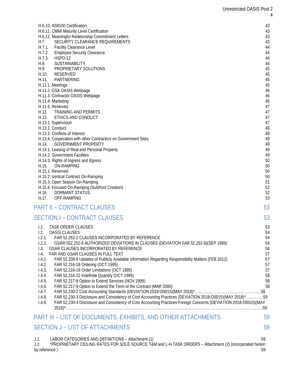| H.6.10. AS9100 Certification,                                                                                                                                                 | 43       |
|-------------------------------------------------------------------------------------------------------------------------------------------------------------------------------|----------|
| H.6.11. CMMI Maturity Level Certification                                                                                                                                     | 43       |
| H.6.12. Meaningful Relationship Commitment Letters                                                                                                                            | 43       |
| SECURITY CLEARANCE REQUIREMENTS<br>H.7.                                                                                                                                       | 43       |
| H.7.1. Facility Clearance Level<br>H.7.2.<br><b>Employee Security Clearance</b>                                                                                               | 44<br>44 |
| H.7.3.<br>HSPD-12                                                                                                                                                             | 44       |
| H.8.<br><b>SUSTAINABILITY</b>                                                                                                                                                 | 44       |
| H.9.<br>PROPRIETARY SOLUTIONS                                                                                                                                                 | 45       |
| H.10.<br>RESERVED                                                                                                                                                             | 45       |
| PARTNERING<br>H.11.                                                                                                                                                           | 45       |
| H.11.1. Meetings                                                                                                                                                              | 45       |
| H.11.2. GSA OASIS Webpage                                                                                                                                                     | 46       |
| H.11.3. Contractor OASIS Webpage                                                                                                                                              | 46<br>46 |
| H.11.4. Marketing<br>H.11.5. Reserved                                                                                                                                         | 47       |
| TRAINING AND PERMITS<br>H.12.                                                                                                                                                 | 47       |
| ETHICS AND CONDUCT<br>H.13.                                                                                                                                                   | 47       |
| H.13.1. Supervision                                                                                                                                                           | 47       |
| H.13.2. Conduct                                                                                                                                                               | 48       |
| H.13.3. Conflicts of Interest                                                                                                                                                 | 48       |
| H.13.4. Cooperation with other Contractors on Government Sites                                                                                                                | 49       |
| <b>GOVERNMENT PROPERTY</b><br>H.14.<br>H.14.1. Leasing of Real and Personal Property                                                                                          | 49<br>49 |
| H.14.2. Government Facilities                                                                                                                                                 | 49       |
| H.14.3. Rights of Ingress and Egress                                                                                                                                          | 50       |
| H.15.<br>ON-RAMPING                                                                                                                                                           | 50       |
| H.15.1. Reserved                                                                                                                                                              | 50       |
| H.15.2. Vertical Contract On-Ramping                                                                                                                                          | 50       |
| H.15.3. Open Season On-Ramping                                                                                                                                                | 51       |
| H.15.4. Focused On-Ramping (SubPool Creation)                                                                                                                                 | 52       |
| H.16.<br><b>DORMANT STATUS</b><br>H.17.<br>OFF-RAMPING                                                                                                                        | 52<br>53 |
|                                                                                                                                                                               |          |
| <b>PART II - CONTRACT CLAUSES</b>                                                                                                                                             | 53       |
| <b>SECTION I - CONTRACT CLAUSES</b>                                                                                                                                           | 53       |
| TASK ORDER CLAUSES<br>1.1.                                                                                                                                                    | 53       |
| 1.2.<br>OASIS CLAUSES                                                                                                                                                         | 54       |
| 1.2.1.<br>FAR 52.252-2 CLAUSES INCORPORATED BY REFERENCE                                                                                                                      | 54       |
| 1.2.2.<br>GSAR 552.252-6 AUTHORIZED DEVIATIONS IN CLAUSES (DEVIATION FAR 52.252-6)(SEP 1999)<br>1.3.<br>GSAR CLAUSES INCORPORATED BY REFERENCE                                | 54<br>56 |
| 1.4.<br>FAR AND GSAR CLAUSES IN FULL TEXT                                                                                                                                     | 57       |
| FAR 52.209-9 Updates of Publicly Available Information Regarding Responsibility Matters (FEB 2012)<br>1.4.1.                                                                  | 57       |
| 1.4.2.<br>FAR 52.216-18 Ordering (OCT 1995)                                                                                                                                   | 57       |
| 1.4.3.<br>FAR 52.216-19 Order Limitations (OCT 1995)                                                                                                                          | 57       |
| FAR 52.216-22 Indefinite Quantity (OCT 1995)<br>1.4.4.                                                                                                                        | 58       |
| FAR 52.217-8 Option to Extend Services (NOV 1999)<br>1.4.5.                                                                                                                   | 58       |
| FAR 52.217-9 Option to Extend the Term of the Contract (MAR 2000)<br>1.4.6.<br>1.4.7.                                                                                         | 58       |
| FAR 52.230-3 Disclosure and Consistency of Cost Accounting Practices (DEVIATION 2018-O0015)(MAY 2018)*59<br>1.4.8.                                                            |          |
| FAR 52.230-4 Disclosure and Consistency of Cost Accounting Practices-Foreign Concerns (DEVIATION 2018-O0015)(MAY<br>1.4.9.                                                    |          |
|                                                                                                                                                                               |          |
| <b>PART III - LIST OF DOCUMENTS, EXHIBITS, AND OTHER ATTACHMENTS</b>                                                                                                          | 59       |
| <b>SECTION J - LIST OF ATTACHMENTS</b>                                                                                                                                        | 59       |
|                                                                                                                                                                               |          |
| LABOR CATEGORIES AND DEFINITIONS - Attachment (1)<br>J.1.<br>*PROPRIETARY CEILING RATES FOR SOLE-SOURCE T&M and L-H TASK ORDERS - Attachment (2) (incorporated herein<br>J.2. | 59       |
| by reference)                                                                                                                                                                 | 59       |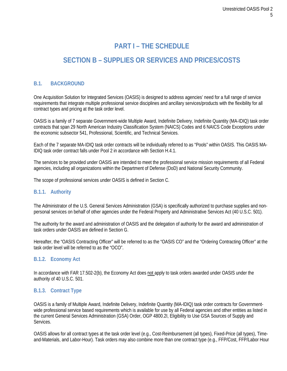# **PART I – THE SCHEDULE**

# **SECTION B – SUPPLIES OR SERVICES AND PRICES/COSTS**

# **B.1. BACKGROUND**

One Acquisition Solution for Integrated Services (OASIS) is designed to address agencies' need for a full range of service requirements that integrate multiple professional service disciplines and ancillary services/products with the flexibility for all contract types and pricing at the task order level.

OASIS is a family of 7 separate Government-wide Multiple Award, Indefinite Delivery, Indefinite Quantity (MA-IDIQ) task order contracts that span 29 North American Industry Classification System (NAICS) Codes and 6 NAICS Code Exceptions under the economic subsector 541, Professional, Scientific, and Technical Services.

Each of the 7 separate MA-IDIQ task order contracts will be individually referred to as "Pools" within OASIS. This OASIS MA-IDIQ task order contract falls under Pool 2 in accordance with Section H.4.1.

The services to be provided under OASIS are intended to meet the professional service mission requirements of all Federal agencies, including all organizations within the Department of Defense (DoD) and National Security Community.

The scope of professional services under OASIS is defined in Section C.

#### **B.1.1. Authority**

The Administrator of the U.S. General Services Administration (GSA) is specifically authorized to purchase supplies and nonpersonal services on behalf of other agencies under the Federal Property and Administrative Services Act (40 U.S.C. 501).

The authority for the award and administration of OASIS and the delegation of authority for the award and administration of task orders under OASIS are defined in Section G.

Hereafter, the "OASIS Contracting Officer" will be referred to as the "OASIS CO" and the "Ordering Contracting Officer" at the task order level will be referred to as the "OCO".

#### **B.1.2. Economy Act**

In accordance with FAR 17.502-2(b), the Economy Act does not apply to task orders awarded under OASIS under the authority of 40 U.S.C. 501.

#### <span id="page-4-0"></span>**B.1.3. Contract Type**

OASIS is a family of Multiple Award, Indefinite Delivery, Indefinite Quantity (MA-IDIQ) task order contracts for Governmentwide professional service based requirements which is available for use by all Federal agencies and other entities as listed in the current General Services Administration (GSA) Order, OGP 4800.2I, Eligibility to Use GSA Sources of Supply and **Services** 

OASIS allows for all contract types at the task order level (e.g., Cost-Reimbursement (all types), Fixed-Price (all types), Timeand-Materials, and Labor-Hour). Task orders may also combine more than one contract type (e.g., FFP/Cost, FFP/Labor Hour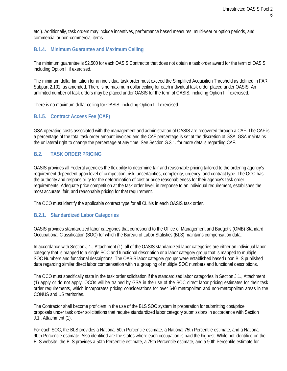etc.). Additionally, task orders may include incentives, performance based measures, multi-year or option periods, and commercial or non-commercial items.

# <span id="page-5-0"></span>**B.1.4. Minimum Guarantee and Maximum Ceiling**

The minimum guarantee is \$2,500 for each OASIS Contractor that does not obtain a task order award for the term of OASIS, including Option I, if exercised.

The minimum dollar limitation for an individual task order must exceed the Simplified Acquisition Threshold as defined in FAR Subpart 2.101, as amended. There is no maximum dollar ceiling for each individual task order placed under OASIS. An unlimited number of task orders may be placed under OASIS for the term of OASIS, including Option I, if exercised.

There is no maximum dollar ceiling for OASIS, including Option I, if exercised.

#### <span id="page-5-1"></span>**B.1.5. Contract Access Fee (CAF)**

GSA operating costs associated with the management and administration of OASIS are recovered through a CAF. The CAF is a percentage of the total task order amount invoiced and the CAF percentage is set at the discretion of GSA. GSA maintains the unilateral right to change the percentage at any time. See Section G.3.1. for more details regarding CAF.

#### <span id="page-5-2"></span>**B.2. TASK ORDER PRICING**

OASIS provides all Federal agencies the flexibility to determine fair and reasonable pricing tailored to the ordering agency's requirement dependent upon level of competition, risk, uncertainties, complexity, urgency, and contract type. The OCO has the authority and responsibility for the determination of cost or price reasonableness for their agency's task order requirements. Adequate price competition at the task order level, in response to an individual requirement, establishes the most accurate, fair, and reasonable pricing for that requirement.

The OCO must identify the applicable contract type for all CLINs in each OASIS task order.

#### <span id="page-5-3"></span>**B.2.1. Standardized Labor Categories**

OASIS provides standardized labor categories that correspond to the Office of Management and Budget's (OMB) Standard Occupational Classification (SOC) for which the Bureau of Labor Statistics (BLS) maintains compensation data.

In accordance with Section J.1., Attachment (1), all of the OASIS standardized labor categories are either an individual labor category that is mapped to a single SOC and functional description or a labor category group that is mapped to multiple SOC Numbers and functional descriptions. The OASIS labor category groups were established based upon BLS published data regarding similar direct labor compensation within a grouping of multiple SOC numbers and functional descriptions.

The OCO must specifically state in the task order solicitation if the standardized labor categories in Section J.1., Attachment (1) apply or do not apply. OCOs will be trained by GSA in the use of the SOC direct labor pricing estimates for their task order requirements, which incorporates pricing considerations for over 640 metropolitan and non-metropolitan areas in the CONUS and US territories.

The Contractor shall become proficient in the use of the BLS SOC system in preparation for submitting cost/price proposals under task order solicitations that require standardized labor category submissions in accordance with Section J.1., Attachment (1).

For each SOC, the BLS provides a National 50th Percentile estimate, a National 75th Percentile estimate, and a National 90th Percentile estimate. Also identified are the states where each occupation is paid the highest. While not identified on the BLS website, the BLS provides a 50th Percentile estimate, a 75th Percentile estimate, and a 90th Percentile estimate for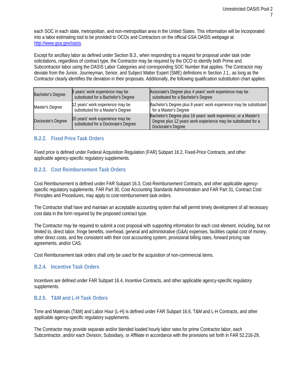each SOC in each state, metropolitan, and non-metropolitan area in the United States. This information will be incorporated into a labor estimating tool to be provided to OCOs and Contractors on the official GSA OASIS webpage at [http://www.gsa.gov/oasis.](http://www.gsa.gov/oasis)

Except for ancillary labor as defined under Section B.3., when responding to a request for proposal under task order solicitations, regardless of contract type, the Contractor may be required by the OCO to identify both Prime and Subcontractor labor using the OASIS Labor Categories and corresponding SOC Number that applies. The Contractor may deviate from the Junior, Journeyman, Senior, and Subject Matter Expert (SME) definitions in Section J.1., as long as the Contractor clearly identifies the deviation in their proposals. Additionally, the following qualification substitution chart applies:

| <b>Bachelor's Degree</b> | 6 years' work experience may be<br>substituted for a Bachelor's Degree   | Associate's Degree plus 4 years' work experience may be<br>substituted for a Bachelor's Degree                                                         |
|--------------------------|--------------------------------------------------------------------------|--------------------------------------------------------------------------------------------------------------------------------------------------------|
| Master's Degree          | 12 years' work experience may be<br>substituted for a Master's Degree    | Bachelor's Degree plus 8 years' work experience may be substituted<br>for a Master's Degree                                                            |
| Doctorate's Degree       | 20 years' work experience may be<br>substituted for a Doctorate's Degree | Bachelor's Degree plus 16 years' work experience, or a Master's<br>Degree plus 12 years work experience may be substituted for a<br>Doctorate's Degree |

# <span id="page-6-0"></span>**B.2.2. Fixed Price Task Orders**

Fixed price is defined under Federal Acquisition Regulation (FAR) Subpart 16.2, Fixed-Price Contracts, and other applicable agency-specific regulatory supplements.

#### <span id="page-6-1"></span>**B.2.3. Cost Reimbursement Task Orders**

Cost Reimbursement is defined under FAR Subpart 16.3, Cost-Reimbursement Contracts, and other applicable agencyspecific regulatory supplements. FAR Part 30, Cost Accounting Standards Administration and FAR Part 31, Contract Cost Principles and Procedures, may apply to cost-reimbursement task orders.

The Contractor shall have and maintain an acceptable accounting system that will permit timely development of all necessary cost data in the form required by the proposed contract type.

The Contractor may be required to submit a cost proposal with supporting information for each cost element, including, but not limited to, direct labor, fringe benefits, overhead, general and administrative (G&A) expenses, facilities capital cost of money, other direct costs, and fee consistent with their cost accounting system, provisional billing rates, forward pricing rate agreements, and/or CAS.

Cost Reimbursement task orders shall only be used for the acquisition of non-commercial items.

#### <span id="page-6-2"></span>**B.2.4. Incentive Task Orders**

Incentives are defined under FAR Subpart 16.4, Incentive Contracts, and other applicable agency-specific regulatory supplements.

# <span id="page-6-3"></span>**B.2.5. T&M and L-H Task Orders**

Time and Materials (T&M) and Labor Hour (L-H) is defined under FAR Subpart 16.6, T&M and L-H Contracts, and other applicable agency-specific regulatory supplements.

The Contractor may provide separate and/or blended loaded hourly labor rates for prime Contractor labor, each Subcontractor, and/or each Division, Subsidiary, or Affiliate in accordance with the provisions set forth in FAR 52.216-29,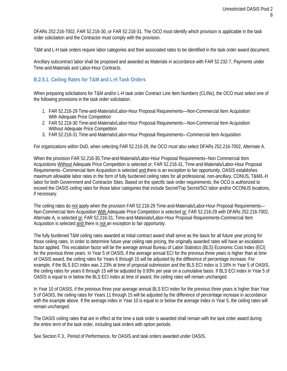DFARs 252.216-7002, FAR 52.216-30, or FAR 52.216-31. The OCO must identify which provision is applicable in the task order solicitation and the Contractor must comply with the provision.

T&M and L-H task orders require labor categories and their associated rates to be identified in the task order award document.

Ancillary subcontract labor shall be proposed and awarded as Materials in accordance with FAR 52.232-7, Payments under Time-and-Materials and Labor-Hour Contracts.

# <span id="page-7-0"></span>**B.2.5.1. Ceiling Rates for T&M and L-H Task Orders**

When preparing solicitations for T&M and/or L-H task order Contract Line Item Numbers (CLINs), the OCO must select one of the following provisions in the task order solicitation.

- 1. FAR 52.216-29 Time-and-Materials/Labor-Hour Proposal Requirements—Non-Commercial Item Acquisition With Adequate Price Competition
- 2. FAR 52.216-30 Time-and-Materials/Labor-Hour Proposal Requirements—Non-Commercial Item Acquisition Without Adequate Price Competition
- 3. FAR 52.216-31 Time-and-Materials/Labor-Hour Proposal Requirements—Commercial Item Acquisition

For organizations within DoD, when selecting FAR 52.216-29, the OCO must also select DFARs 252.216-7002, Alternate A.

When the provision FAR 52.216-30,Time-and-Materials/Labor-Hour Proposal Requirements--Non Commercial Item Acquisitions Without Adequate Price Competition is selected or; FAR 52.216-31, Time-and-Materials/Labor-Hour Proposal Requirements--Commercial Item Acquisition is selected and there is an exception to fair opportunity, OASIS establishes maximum allowable labor rates in the form of fully burdened ceiling rates for all professional, non-ancillary, CONUS, T&M/L-H labor for both Government and Contractor Sites. Based on the specific task order requirements, the OCO is authorized to exceed the OASIS ceiling rates for those labor categories that include Secret/Top Secret/SCI labor and/or OCONUS locations, if necessary.

The ceiling rates do not apply when the provision FAR 52.216-29 Time-and-Materials/Labor-Hour Proposal Requirements— Non-Commercial Item Acquisition With Adequate Price Competition is selected or; FAR 52.216-29 with DFARs 252.216-7002, Alternate A, is selected or; FAR 52.216-31, Time-and-Materials/Labor-Hour Proposal Requirements-Commercial Item Acquisition is selected and there is not an exception to fair opportunity.

The fully burdened T&M ceiling rates awarded at initial contract award shall serve as the basis for all future year pricing for those ceiling rates. In order to determine future year ceiling rate pricing, the originally awarded rates will have an escalation factor applied. This escalation factor will be the average annual Bureau of Labor Statistics (BLS) Economic Cost Index (ECI) for the previous three years. In Year 5 of OASIS, if the average annual ECI for the previous three years is higher than at time of OASIS award, the ceiling rates for Years 6 through 15 will be adjusted by the difference of percentage increase. For example, if the BLS ECI index was 2.23% at time of proposal submission and the BLS ECI index is 3.16% in Year 5 of OASIS, the ceiling rates for years 6 through 15 will be adjusted by 0.93% per year on a cumulative basis. If BLS ECI index in Year 5 of OASIS is equal to or below the BLS ECI index at time of award, the ceiling rates will remain unchanged.

In Year 10 of OASIS, if the previous three year average annual BLS ECI index for the previous three years is higher than Year 5 of OASIS, the ceiling rates for Years 11 through 15 will be adjusted by the difference of percentage increase in accordance with the example above. If the average index in Year 10 is equal to or below the average index in Year 5, the ceiling rates will remain unchanged.

The OASIS ceiling rates that are in effect at the time a task order is awarded shall remain with the task order award during the entire term of the task order, including task orders with option periods.

See Section F.3., Period of Performance, for OASIS and task orders awarded under OASIS.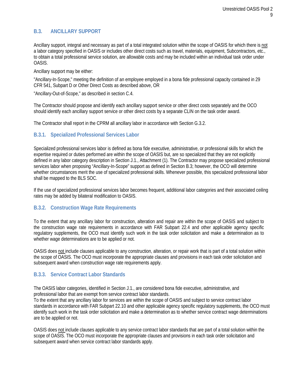# <span id="page-8-0"></span>**B.3. ANCILLARY SUPPORT**

Ancillary support, integral and necessary as part of a total integrated solution within the scope of OASIS for which there is not a labor category specified in OASIS or includes other direct costs such as travel, materials, equipment, Subcontractors, etc., to obtain a total professional service solution, are allowable costs and may be included within an individual task order under OASIS.

Ancillary support may be either:

"Ancillary-In-Scope," meeting the definition of an employee employed in a bona fide professional capacity contained in 29 CFR 541, Subpart D or Other Direct Costs as described above, OR

"Ancillary-Out-of-Scope," as described in section C.4.

The Contractor should propose and identify each ancillary support service or other direct costs separately and the OCO should identify each ancillary support service or other direct costs by a separate CLIN on the task order award.

The Contractor shall report in the CPRM all ancillary labor in accordance with Section G.3.2.

# <span id="page-8-1"></span>**B.3.1. Specialized Professional Services Labor**

Specialized professional services labor is defined as bona fide executive, administrative, or professional skills for which the expertise required or duties performed are within the scope of OASIS but, are so specialized that they are not explicitly defined in any labor category description in Section J.1., Attachment (1). The Contractor may propose specialized professional services labor when proposing "Ancillary-In-Scope" support as defined in Section B.3; however, the OCO will determine whether circumstances merit the use of specialized professional skills. Whenever possible, this specialized professional labor shall be mapped to the BLS SOC.

If the use of specialized professional services labor becomes frequent, additional labor categories and their associated ceiling rates may be added by bilateral modification to OASIS.

#### <span id="page-8-2"></span>**B.3.2. Construction Wage Rate Requirements**

To the extent that any ancillary labor for construction, alteration and repair are within the scope of OASIS and subject to the construction wage rate requirements in accordance with FAR Subpart 22.4 and other applicable agency specific regulatory supplements, the OCO must identify such work in the task order solicitation and make a determination as to whether wage determinations are to be applied or not.

OASIS does not include clauses applicable to any construction, alteration, or repair work that is part of a total solution within the scope of OASIS. The OCO must incorporate the appropriate clauses and provisions in each task order solicitation and subsequent award when construction wage rate requirements apply.

# <span id="page-8-3"></span>**B.3.3. Service Contract Labor Standards**

The OASIS labor categories, identified in Section J.1., are considered bona fide executive, administrative, and professional labor that are exempt from service contract labor standards.

To the extent that any ancillary labor for services are within the scope of OASIS and subject to service contract labor standards in accordance with FAR Subpart 22.10 and other applicable agency specific regulatory supplements, the OCO must identify such work in the task order solicitation and make a determination as to whether service contract wage determinations are to be applied or not.

OASIS does not include clauses applicable to any service contract labor standards that are part of a total solution within the scope of OASIS. The OCO must incorporate the appropriate clauses and provisions in each task order solicitation and subsequent award when service contract labor standards apply.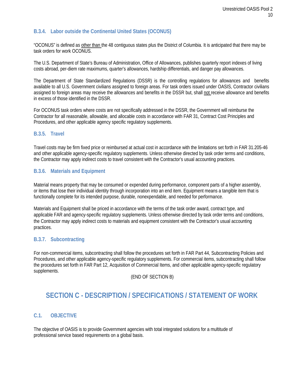# <span id="page-9-0"></span>**B.3.4. Labor outside the Continental United States (OCONUS)**

"OCONUS" is defined as other than the 48 contiguous states plus the District of Columbia. It is anticipated that there may be task orders for work OCONUS.

The U.S. Department of State's Bureau of Administration, Office of Allowances, publishes quarterly report indexes of living costs abroad, per-diem rate maximums, quarter's allowances, hardship differentials, and danger pay allowances.

The Department of State Standardized Regulations (DSSR) is the controlling regulations for allowances and benefits available to all U.S. Government civilians assigned to foreign areas. For task orders issued under OASIS, Contractor civilians assigned to foreign areas may receive the allowances and benefits in the DSSR but, shall not receive allowance and benefits in excess of those identified in the DSSR.

For OCONUS task orders where costs are not specifically addressed in the DSSR, the Government will reimburse the Contractor for all reasonable, allowable, and allocable costs in accordance with FAR 31, Contract Cost Principles and Procedures, and other applicable agency specific regulatory supplements.

# <span id="page-9-1"></span>**B.3.5. Travel**

Travel costs may be firm fixed price or reimbursed at actual cost in accordance with the limitations set forth in FAR 31.205-46 and other applicable agency-specific regulatory supplements. Unless otherwise directed by task order terms and conditions, the Contractor may apply indirect costs to travel consistent with the Contractor's usual accounting practices.

# <span id="page-9-2"></span>**B.3.6. Materials and Equipment**

Material means property that may be consumed or expended during performance, component parts of a higher assembly, or items that lose their individual identity through incorporation into an end item. Equipment means a tangible item that is functionally complete for its intended purpose, durable, nonexpendable, and needed for performance.

Materials and Equipment shall be priced in accordance with the terms of the task order award, contract type, and applicable FAR and agency-specific regulatory supplements. Unless otherwise directed by task order terms and conditions, the Contractor may apply indirect costs to materials and equipment consistent with the Contractor's usual accounting practices.

# <span id="page-9-3"></span>**B.3.7. Subcontracting**

For non-commercial items, subcontracting shall follow the procedures set forth in FAR Part 44, Subcontracting Policies and Procedures, and other applicable agency-specific regulatory supplements. For commercial items, subcontracting shall follow the procedures set forth in FAR Part 12, Acquisition of Commercial Items, and other applicable agency-specific regulatory supplements.

(END OF SECTION B)

# <span id="page-9-4"></span>**SECTION C - DESCRIPTION / SPECIFICATIONS / STATEMENT OF WORK**

# <span id="page-9-5"></span>**C.1. OBJECTIVE**

The objective of OASIS is to provide Government agencies with total integrated solutions for a multitude of professional service based requirements on a global basis.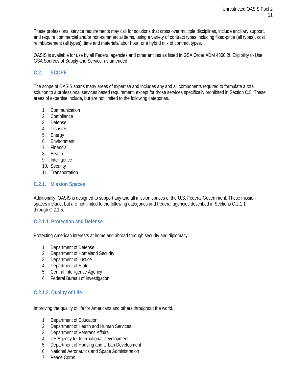These professional service requirements may call for solutions that cross over multiple disciplines, include ancillary support, and require commercial and/or non-commercial items, using a variety of contract types including fixed-price (all types), cost reimbursement (all types), time and materials/labor hour, or a hybrid mix of contract types.

OASIS is available for use by all Federal agencies and other entities as listed in GSA Order ADM 4800.2I, Eligibility to Use GSA Sources of Supply and Service; as amended.

# <span id="page-10-0"></span>**C.2. SCOPE**

The scope of OASIS spans many areas of expertise and includes any and all components required to formulate a total solution to a professional services based requirement, except for those services specifically prohibited in Section C.5. These areas of expertise include, but are not limited to the following categories.

- 1. Communication
- 2. Compliance
- 3. Defense
- 4. Disaster
- 5. Energy
- 6. Environment
- 7. Financial
- 8. Health
- 9. Intelligence
- 10. Security
- 11. Transportation

#### <span id="page-10-1"></span>**C.2.1. Mission Spaces**

Additionally, OASIS is designed to support any and all mission spaces of the U.S. Federal Government. These mission spaces include, but are not limited to the following categories and Federal agencies described in Sections C.2.1.1 through C.2.1.5.

#### <span id="page-10-2"></span>**C.2.1.1. Protection and Defense**

Protecting American interests at home and abroad through security and diplomacy.

- 1. Department of Defense
- 2. Department of Homeland Security
- 3. Department of Justice
- 4. Department of State
- 5. Central Intelligence Agency
- 6. Federal Bureau of Investigation

# <span id="page-10-3"></span>**C.2.1.2. Quality of Life**

Improving the quality of life for Americans and others throughout the world.

- 1. Department of Education
- 2. Department of Health and Human Services
- 3. Department of Veterans Affairs
- 4. US Agency for International Development
- 5. Department of Housing and Urban Development
- 6. National Aeronautics and Space Administration
- 7. Peace Corps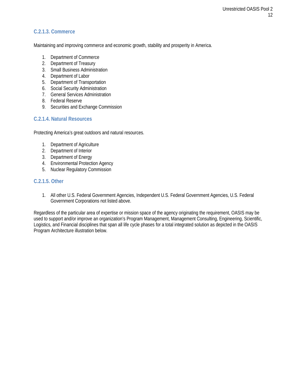# <span id="page-11-0"></span>**C.2.1.3. Commerce**

Maintaining and improving commerce and economic growth, stability and prosperity in America.

- 1. Department of Commerce
- 2. Department of Treasury
- 3. Small Business Administration
- 4. Department of Labor
- 5. Department of Transportation
- 6. Social Security Administration
- 7. General Services Administration
- 8. Federal Reserve
- 9. Securities and Exchange Commission

# <span id="page-11-1"></span>**C.2.1.4. Natural Resources**

Protecting America's great outdoors and natural resources.

- 1. Department of Agriculture
- 2. Department of Interior
- 3. Department of Energy
- 4. Environmental Protection Agency
- 5. Nuclear Regulatory Commission

#### <span id="page-11-2"></span>**C.2.1.5. Other**

1. All other U.S. Federal Government Agencies, Independent U.S. Federal Government Agencies, U.S. Federal Government Corporations not listed above.

Regardless of the particular area of expertise or mission space of the agency originating the requirement, OASIS may be used to support and/or improve an organization's Program Management, Management Consulting, Engineering, Scientific, Logistics, and Financial disciplines that span all life cycle phases for a total integrated solution as depicted in the OASIS Program Architecture illustration below.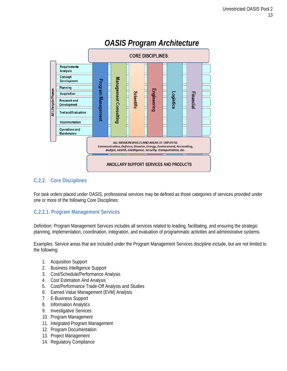

# *OASIS Program Architecture*

# <span id="page-12-0"></span>**C.2.2. Core Disciplines**

For task orders placed under OASIS, professional services may be defined as those categories of services provided under one or more of the following Core Disciplines:

# <span id="page-12-1"></span>**C.2.2.1. Program Management Services**

Definition: Program Management Services includes all services related to leading, facilitating, and ensuring the strategic planning, implementation, coordination, integration, and evaluation of programmatic activities and administrative systems.

Examples: Service areas that are included under the Program Management Services discipline include, but are not limited to the following:

- 1. Acquisition Support
- 2. Business Intelligence Support
- 3. Cost/Schedule/Performance Analysis
- 4. Cost Estimation And Analysis
- 5. Cost/Performance Trade-Off Analysis and Studies
- 6. Earned Value Management (EVM) Analysis
- 7. E-Business Support
- 8. Information Analytics
- 9. Investigative Services
- 10. Program Management
- 11. Integrated Program Management
- 12. Program Documentation
- 13. Project Management
- 14. Regulatory Compliance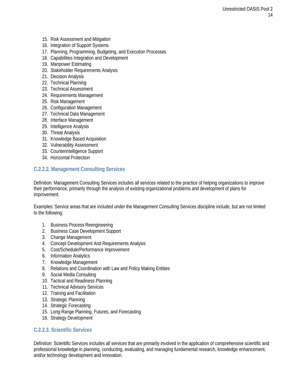- 15. Risk Assessment and Mitigation
- 16. Integration of Support Systems
- 17. Planning, Programming, Budgeting, and Execution Processes
- 18. Capabilities Integration and Development
- 19. Manpower Estimating
- 20. Stakeholder Requirements Analysis
- 21. Decision Analysis
- 22. Technical Planning
- 23. Technical Assessment
- 24. Requirements Management
- 25. Risk Management
- 26. Configuration Management
- 27. Technical Data Management
- 28. Interface Management
- 29. Intelligence Analysis
- 30. Threat Analysis
- 31. Knowledge Based Acquisition
- 32. Vulnerability Assessment
- 33. Counterintelligence Support
- 34. Horizontal Protection

# <span id="page-13-0"></span>**C.2.2.2. Management Consulting Services**

Definition: Management Consulting Services includes all services related to the practice of helping organizations to improve their performance, primarily through the analysis of existing organizational problems and development of plans for improvement.

Examples: Service areas that are included under the Management Consulting Services discipline include, but are not limited to the following:

- 1. Business Process Reengineering
- 2. Business Case Development Support
- 3. Change Management
- 4. Concept Development And Requirements Analysis
- 5. Cost/Schedule/Performance Improvement
- 6. Information Analytics
- 7. Knowledge Management
- 8. Relations and Coordination with Law and Policy Making Entities
- 9. Social Media Consulting
- 10. Tactical and Readiness Planning
- 11. Technical Advisory Services
- 12. Training and Facilitation
- 13. Strategic Planning
- 14. Strategic Forecasting
- 15. Long-Range Planning, Futures, and Forecasting
- 16. Strategy Development

#### <span id="page-13-1"></span>**C.2.2.3. Scientific Services**

Definition: Scientific Services includes all services that are primarily involved in the application of comprehensive scientific and professional knowledge in planning, conducting, evaluating, and managing fundamental research, knowledge enhancement, and/or technology development and innovation.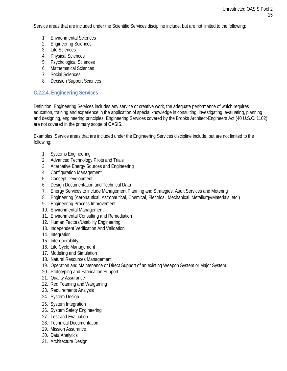Service areas that are included under the Scientific Services discipline include, but are not limited to the following:

- 1. Environmental Sciences
- 2. Engineering Sciences
- 3. Life Sciences
- 4. Physical Sciences
- 5. Psychological Sciences
- 6. Mathematical Sciences
- 7. Social Sciences
- 8. Decision Support Sciences

# <span id="page-14-0"></span>**C.2.2.4. Engineering Services**

Definition: Engineering Services includes any service or creative work, the adequate performance of which requires education, training and experience in the application of special knowledge in consulting, investigating, evaluating, planning and designing, engineering principles. Engineering Services covered by the Brooks Architect-Engineers Act (40 U.S.C. 1102) are not covered in the primary scope of OASIS.

Examples: Service areas that are included under the Engineering Services discipline include, but are not limited to the following:

- 1. Systems Engineering
- 2. Advanced Technology Pilots and Trials
- 3. Alternative Energy Sources and Engineering
- 4. Configuration Management
- 5. Concept Development
- 6. Design Documentation and Technical Data
- 7. Energy Services to include Management Planning and Strategies, Audit Services and Metering
- 8. Engineering (Aeronautical, Astronautical, Chemical, Electrical, Mechanical, Metallurgy/Materials, etc.)
- 9. Engineering Process Improvement
- 10. Environmental Management
- 11. Environmental Consulting and Remediation
- 12. Human Factors/Usability Engineering
- 13. Independent Verification And Validation
- 14. Integration
- 15. Interoperability
- 16. Life Cycle Management
- 17. Modeling and Simulation
- 18. Natural Resources Management
- 19. Operation and Maintenance or Direct Support of an existing Weapon System or Major System
- 20. Prototyping and Fabrication Support
- 21. Quality Assurance
- 22. Red Teaming and Wargaming
- 23. Requirements Analysis
- 24. System Design
- 25. System Integration
- 26. System Safety Engineering
- 27. Test and Evaluation
- 28. Technical Documentation
- 29. Mission Assurance
- 30. Data Analytics
- 31. Architecture Design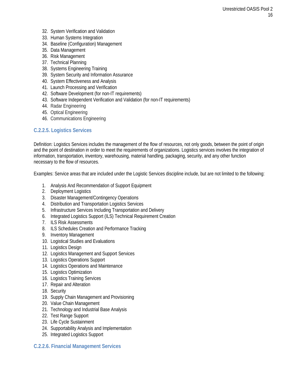- 32. System Verification and Validation
- 33. Human Systems Integration
- 34. Baseline (Configuration) Management
- 35. Data Management
- 36. Risk Management
- 37. Technical Planning
- 38. Systems Engineering Training
- 39. System Security and Information Assurance
- 40. System Effectiveness and Analysis
- 41. Launch Processing and Verification
- 42. Software Development (for non-IT requirements)
- 43. Software Independent Verification and Validation (for non-IT requirements)
- 44. Radar Engineering
- 45. Optical Engineering
- 46. Communications Engineering

# <span id="page-15-0"></span>**C.2.2.5. Logistics Services**

Definition: Logistics Services includes the management of the flow of resources, not only goods, between the point of origin and the point of destination in order to meet the requirements of organizations. Logistics services involves the integration of information[, transportation,](http://en.wikipedia.org/wiki/Transportation) [inventory,](http://en.wikipedia.org/wiki/Transportation) [warehousing,](http://en.wikipedia.org/wiki/Warehousing) [material handling,](http://en.wikipedia.org/wiki/Warehousing) [packaging,](http://en.wikipedia.org/wiki/Packaging) [security,](http://en.wikipedia.org/wiki/Packaging) and any other function necessary to the flow of resources.

Examples: Service areas that are included under the Logistic Services discipline include, but are not limited to the following:

- 1. Analysis And Recommendation of Support Equipment
- 2. Deployment Logistics
- 3. Disaster Management/Contingency Operations
- 4. Distribution and Transportation Logistics Services
- 5. Infrastructure Services Including Transportation and Delivery
- 6. Integrated Logistics Support (ILS) Technical Requirement Creation
- 7. ILS Risk Assessments
- 8. ILS Schedules Creation and Performance Tracking
- 9. Inventory Management
- 10. Logistical Studies and Evaluations
- 11. Logistics Design
- 12. Logistics Management and Support Services
- 13. Logistics Operations Support
- 14. Logistics Operations and Maintenance
- 15. Logistics Optimization
- 16. Logistics Training Services
- 17. Repair and Alteration
- 18. Security
- 19. Supply Chain Management and Provisioning
- 20. Value Chain Management
- 21. Technology and Industrial Base Analysis
- 22. Test Range Support
- 23. Life Cycle Sustainment
- 24. Supportability Analysis and Implementation
- 25. Integrated Logistics Support

#### <span id="page-15-1"></span>**C.2.2.6. Financial Management Services**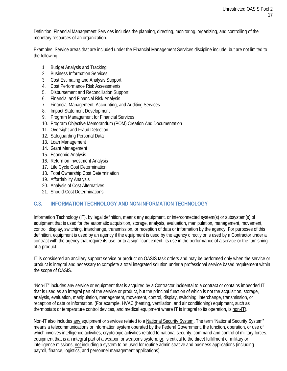Definition: Financial Management Services includes the [planning,](http://www.businessdictionary.com/definition/planning.html) [directing,](http://www.businessdictionary.com/definition/planning.html) [monitoring,](http://www.businessdictionary.com/definition/monitoring.html) [organizing,](http://www.businessdictionary.com/definition/monitoring.html) an[d controlling](http://www.businessdictionary.com/definition/controlling.html) of the [monetary](http://www.businessdictionary.com/definition/monetary.html) [resources](http://www.businessdictionary.com/definition/monetary.html) of an [organization.](http://www.businessdictionary.com/definition/organization.html)

Examples: Service areas that are included under the Financial Management Services discipline include, but are not limited to the following:

- 1. Budget Analysis and Tracking
- 2. Business Information Services
- 3. Cost Estimating and Analysis Support
- 4. Cost Performance Risk Assessments
- 5. Disbursement and Reconciliation Support
- 6. Financial and Financial Risk Analysis
- 7. Financial Management, Accounting, and Auditing Services
- 8. Impact Statement Development
- 9. Program Management for Financial Services
- 10. Program Objective Memorandum (POM) Creation And Documentation
- 11. Oversight and Fraud Detection
- 12. Safeguarding Personal Data
- 13. Loan Management
- 14. Grant Management
- 15. Economic Analysis
- 16. Return on Investment Analysis
- 17. Life Cycle Cost Determination
- 18. Total Ownership Cost Determination
- 19. Affordability Analysis
- 20. Analysis of Cost Alternatives
- 21. Should-Cost Determinations

#### <span id="page-16-0"></span>**C.3. INFORMATION TECHNOLOGY AND NON-INFORMATION TECHNOLOGY**

Information Technology (IT), by legal definition, means any equipment, or interconnected system(s) or subsystem(s) of equipment that is used for the automatic acquisition, storage, analysis, evaluation, manipulation, management, movement, control, display, switching, interchange, transmission, or reception of data or information by the agency. For purposes of this definition, equipment is used by an agency if the equipment is used by the agency directly or is used by a Contractor under a contract with the agency that require its use; or to a significant extent, its use in the performance of a service or the furnishing of a product.

IT is considered an ancillary support service or product on OASIS task orders and may be performed only when the service or product is integral and necessary to complete a total integrated solution under a professional service based requirement within the scope of OASIS.

"Non-IT" includes any service or equipment that is acquired by a Contractor incidental to a contract or contains imbedded IT that is used as an integral part of the service or product, but the principal function of which is not the acquisition, storage, analysis, evaluation, manipulation, management, movement, control, display, switching, interchange, transmission, or reception of data or information. (For example, HVAC (heating, ventilation, and air conditioning) equipment, such as thermostats or temperature control devices, and medical equipment where IT is integral to its operation, is non-IT).

Non-IT also includes any equipment or services related to a National Security System. The term "National Security System" means a telecommunications or information system operated by the Federal Government, the function, operation, or use of which involves intelligence activities, cryptologic activities related to national security, command and control of military forces, equipment that is an integral part of a weapon or weapons system; or, is critical to the direct fulfillment of military or intelligence missions, not including a system to be used for routine administrative and business applications (including payroll, finance, logistics, and personnel management applications).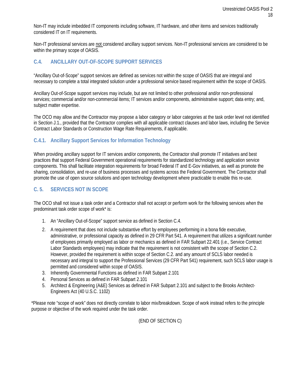Non-IT may include imbedded IT components including software, IT hardware, and other items and services traditionally considered IT on IT requirements.

Non-IT professional services are not considered ancillary support services. Non-IT professional services are considered to be within the primary scope of OASIS.

# <span id="page-17-0"></span>**C.4. ANCILLARY OUT-OF-SCOPE SUPPORT SERVICES**

"Ancillary Out-of-Scope" support services are defined as services not within the scope of OASIS that are integral and necessary to complete a total integrated solution under a professional service based requirement within the scope of OASIS.

Ancillary Out-of-Scope support services may include, but are not limited to other professional and/or non-professional services; commercial and/or non-commercial items; IT services and/or components, administrative support; data entry; and, subject matter expertise.

The OCO may allow and the Contractor may propose a labor category or labor categories at the task order level not identified in Section J.1., provided that the Contractor complies with all applicable contract clauses and labor laws, including the Service Contract Labor Standards or Construction Wage Rate Requirements, if applicable.

# <span id="page-17-1"></span>**C.4.1. Ancillary Support Services for Information Technology**

When providing ancillary support for IT services and/or components, the Contractor shall promote IT initiatives and best practices that support Federal Government operational requirements for standardized technology and application service components. This shall facilitate integration requirements for broad Federal IT and E-Gov initiatives, as well as promote the sharing, consolidation, and re-use of business processes and systems across the Federal Government. The Contractor shall promote the use of open source solutions and open technology development where practicable to enable this re-use.

# <span id="page-17-2"></span>**C. 5. SERVICES NOT IN SCOPE**

The OCO shall not issue a task order and a Contractor shall not accept or perform work for the following services when the predominant task order scope of work\* is:

- 1. An "Ancillary Out-of-Scope" support service as defined in Section C.4.
- 2. A requirement that does not include substantive effort by employees performing in a bona fide executive, administrative, or professional capacity as defined in 29 CFR Part 541. A requirement that utilizes a significant number of employees primarily employed as labor or mechanics as defined in FAR Subpart 22.401 (i.e., Service Contract Labor Standards employees) may indicate that the requirement is not consistent with the scope of Section C.2. However, provided the requirement is within scope of Section C.2. and any amount of SCLS labor needed is necessary and integral to support the Professional Services (29 CFR Part 541) requirement, such SCLS labor usage is permitted and considered within scope of OASIS.
- 3. Inherently Governmental Functions as defined in FAR Subpart 2.101
- 4. Personal Services as defined in FAR Subpart 2.101
- 5. Architect & Engineering (A&E) Services as defined in FAR Subpart 2.101 and subject to the Brooks Architect-Engineers Act (40 U.S.C. 1102)

\*Please note "scope of work" does not directly correlate to labor mix/breakdown. Scope of work instead refers to the principle purpose or objective of the work required under the task order.

(END OF SECTION C)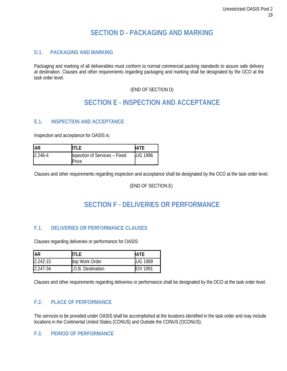# **SECTION D - PACKAGING AND MARKING**

# <span id="page-18-1"></span><span id="page-18-0"></span>**D.1. PACKAGING AND MARKING**

Packaging and marking of all deliverables must conform to normal commercial packing standards to assure safe delivery at destination. Clauses and other requirements regarding packaging and marking shall be designated by the OCO at the task order level.

# (END OF SECTION D)

# **SECTION E - INSPECTION AND ACCEPTANCE**

# <span id="page-18-3"></span><span id="page-18-2"></span>**E.1. INSPECTION AND ACCEPTANCE**

Inspection and acceptance for OASIS is:

| FAR         |                                        | ATE            |
|-------------|----------------------------------------|----------------|
| $2.246 - 4$ | hspection of Services - Fixed<br>Price | <b>UG 1996</b> |

Clauses and other requirements regarding inspection and acceptance shall be designated by the OCO at the task order level.

#### (END OF SECTION E)

# **SECTION F - DELIVERIES OR PERFORMANCE**

# <span id="page-18-5"></span><span id="page-18-4"></span>**F.1. DELIVERIES OR PERFORMANCE CLAUSES**

Clauses regarding deliveries or performance for OASIS:

| <b>FAR</b>   |                   | <b>JATE</b>    |
|--------------|-------------------|----------------|
| $2.242 - 15$ | top Work Order    | <b>UG 1989</b> |
| $2.247 - 34$ | .O.B. Destination | IOV 1991       |

Clauses and other requirements regarding deliveries or performance shall be designated by the OCO at the task order level.

# <span id="page-18-6"></span>**F.2. PLACE OF PERFORMANCE**

The services to be provided under OASIS shall be accomplished at the locations identified in the task order and may include locations in the Continental United States (CONUS) and Outside the CONUS (OCONUS).

# <span id="page-18-7"></span>**F.3. PERIOD OF PERFORMANCE**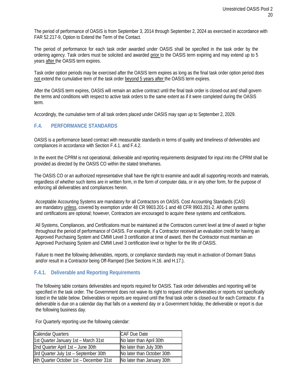The period of performance of OASIS is from September 3, 2014 through September 2, 2024 as exercised in accordance with FAR 52.217-9, Option to Extend the Term of the Contact.

The period of performance for each task order awarded under OASIS shall be specified in the task order by the ordering agency. Task orders must be solicited and awarded prior to the OASIS term expiring and may extend up to 5 years after the OASIS term expires.

Task order option periods may be exercised after the OASIS term expires as long as the final task order option period does not extend the cumulative term of the task order beyond 5 years after the OASIS term expires.

After the OASIS term expires, OASIS will remain an active contract until the final task order is closed-out and shall govern the terms and conditions with respect to active task orders to the same extent as if it were completed during the OASIS term.

Accordingly, the cumulative term of all task orders placed under OASIS may span up to September 2, 2029.

# <span id="page-19-0"></span>**F.4. PERFORMANCE STANDARDS**

OASIS is a performance based contract with measurable standards in terms of quality and timeliness of deliverables and compliances in accordance with Section F.4.1. and F.4.2.

In the event the CPRM is not operational, deliverable and reporting requirements designated for input into the CPRM shall be provided as directed by the OASIS CO within the stated timeframes.

The OASIS CO or an authorized representative shall have the right to examine and audit all supporting records and materials, regardless of whether such items are in written form, in the form of computer data, or in any other form, for the purpose of enforcing all deliverables and compliances herein.

Acceptable Accounting Systems are mandatory for all Contractors on OASIS. Cost Accounting Standards (CAS) are mandatory unless, covered by exemption under 48 CR 9903.201-1 and 48 CFR 9903.201-2. All other systems and certifications are optional; however, Contractors are encouraged to acquire these systems and certifications.

All Systems, Compliances, and Certifications must be maintained at the Contractors current level at time of award or higher throughout the period of performance of OASIS. For example, if a Contractor received an evaluation credit for having an Approved Purchasing System and CMMI Level 3 certification at time of award, then the Contractor must maintain an Approved Purchasing System and CMMI Level 3 certification level or higher for the life of OASIS.

Failure to meet the following deliverables, reports, or compliance standards may result in activation of Dormant Status and/or result in a Contractor being Off-Ramped (See Sections H.16. and H.17.).

# <span id="page-19-1"></span>**F.4.1. Deliverable and Reporting Requirements**

The following table contains deliverables and reports required for OASIS. Task order deliverables and reporting will be specified in the task order. The Government does not waive its right to request other deliverables or reports not specifically listed in the table below. Deliverables or reports are required until the final task order is closed-out for each Contractor. If a deliverable is due on a calendar day that falls on a weekend day or a Government holiday, the deliverable or report is due the following business day.

Calendar Quarters Calendar Ouarters CAF Due Date 1st Quarter January 1st – March 31st No later than April 30th 2nd Quarter April 1st – June  $30th$  No later than July  $30th$ 3rd Quarter July 1st – September 30th No later than October 30th 4th Quarter October 1st – December 31st No later than January 30th

For Quarterly reporting use the following calendar: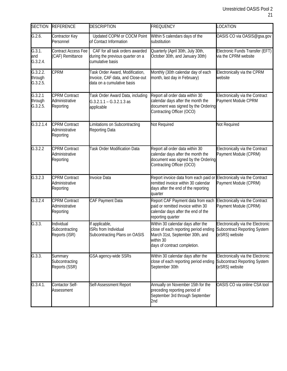| <b>SECTION</b>                  | <b>REFERENCE</b>                                    | <b>DESCRIPTION</b>                                                                                | <b>FREQUENCY</b>                                                                                                                                           | LOCATION                                                                                   |
|---------------------------------|-----------------------------------------------------|---------------------------------------------------------------------------------------------------|------------------------------------------------------------------------------------------------------------------------------------------------------------|--------------------------------------------------------------------------------------------|
| G.2.6.                          | Contractor Key<br>Personnel                         | Updated COPM or COCM Point<br>of Contact Information                                              | Within 5 calendars days of the<br>substitution                                                                                                             | OASIS CO via OASIS@gsa.gov                                                                 |
| G.3.1.<br>and<br>G.3.2.4.       | Contract Access Fee<br>(CAF) Remittance             | CAF for all task orders awarded<br>during the previous quarter on a<br>cumulative basis           | Quarterly (April 30th, July 30th,<br>October 30th, and January 30th)                                                                                       | Electronic Funds Transfer (EFT)<br>via the CPRM website                                    |
| G.3.2.2.<br>through<br>G.3.2.5. | <b>CPRM</b>                                         | Task Order Award, Modification,<br>Invoice, CAF data, and Close-out<br>data on a cumulative basis | Monthly (30th calendar day of each<br>month, last day in February)                                                                                         | Electronically via the CPRM<br>website                                                     |
| G.3.2.1<br>through<br>G.3.2.5.  | <b>CPRM Contract</b><br>Administrative<br>Reporting | Task Order Award Data, including<br>$G.3.2.1.1 - G.3.2.1.3$ as<br>applicable                      | Report all order data within 30<br>calendar days after the month the<br>document was signed by the Ordering<br>Contracting Officer (OCO)                   | Electronically via the Contract<br>Payment Module CPRM                                     |
| G.3.2.1.4                       | <b>CPRM Contract</b><br>Administrative<br>Reporting | Limitations on Subcontracting<br>Reporting Data                                                   | Not Required                                                                                                                                               | Not Required                                                                               |
| G.3.2.2                         | <b>CPRM Contract</b><br>Administrative<br>Reporting | <b>Task Order Modification Data</b>                                                               | Report all order data within 30<br>calendar days after the month the<br>document was signed by the Ordering<br>Contracting Officer (OCO)                   | Electronically via the Contract<br>Payment Module (CPRM)                                   |
| G.3.2.3                         | <b>CPRM Contract</b><br>Administrative<br>Reporting | <b>Invoice Data</b>                                                                               | Report invoice data from each paid or<br>remitted invoice within 30 calendar<br>days after the end of the reporting<br>quarter                             | Electronically via the Contract<br>Payment Module (CPRM)                                   |
| G.3.2.4                         | <b>CPRM Contract</b><br>Administrative<br>Reporting | CAF Payment Data                                                                                  | Report CAF Payment data from each<br>paid or remitted invoice within 30<br>calendar days after the end of the<br>reporting quarter                         | Electronically via the Contract<br>Payment Module (CPRM)                                   |
| G.3.3.                          | Individual<br>Subcontracting<br>Reports (ISR)       | If applicable,<br><b>ISRs from Individual</b><br>Subcontracting Plans on OASIS                    | Within 30 calendar days after the<br>close of each reporting period ending<br>March 31st, September 30th, and<br>within 30<br>days of contract completion. | Electronically via the Electronic<br><b>Subcontract Reporting System</b><br>(eSRS) website |
| G.3.3.                          | Summary<br>Subcontracting<br>Reports (SSR)          | GSA agency-wide SSRs                                                                              | Within 30 calendar days after the<br>close of each reporting period ending<br>September 30th                                                               | Electronically via the Electronic<br><b>Subcontract Reporting System</b><br>(eSRS) website |
| G.3.4.1.                        | Contactor Self-<br>Assessment                       | Self-Assessment Report                                                                            | Annually on November 15th for the<br>preceding reporting period of<br>September 3rd through September<br>2nd                                               | OASIS CO via online CSA tool                                                               |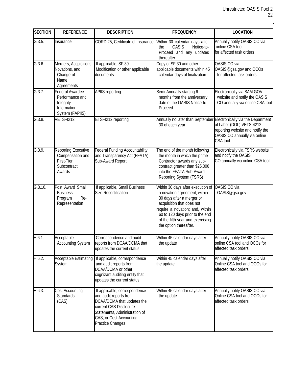t,

| <b>SECTION</b> | <b>REFERENCE</b>                                                                      | <b>DESCRIPTION</b>                                                                                                                                                                              | <b>FREQUENCY</b>                                                                                                                                                                                                                                                | <b>LOCATION</b>                                                                                                                                                                |
|----------------|---------------------------------------------------------------------------------------|-------------------------------------------------------------------------------------------------------------------------------------------------------------------------------------------------|-----------------------------------------------------------------------------------------------------------------------------------------------------------------------------------------------------------------------------------------------------------------|--------------------------------------------------------------------------------------------------------------------------------------------------------------------------------|
| G.3.5.         | Insurance                                                                             | CORD 25, Certificate of Insurance                                                                                                                                                               | Within 30 calendar days after<br><b>OASIS</b><br>Notice-to-<br>the<br>Proceed and any updates<br>thereafter                                                                                                                                                     | Annually notify OASIS CO via<br>online CSA tool<br>for affected task orders                                                                                                    |
| G.3.6.         | Mergers, Acquisitions,<br>Novations, and<br>Change-of-<br>Name<br>Agreements          | If applicable, SF 30<br>Modification or other applicable<br>documents                                                                                                                           | Copy of SF 30 and other<br>applicable documents within 45<br>calendar days of finalization                                                                                                                                                                      | <b>OASIS CO via</b><br>OASIS@gsa.gov and OCOs<br>for affected task orders                                                                                                      |
| G.3.7.         | Federal Awardee<br>Performance and<br>Integrity<br>Information<br>System (FAPIIS)     | <b>APIIS reporting</b>                                                                                                                                                                          | Semi-Annually starting 6<br>months from the anniversary<br>date of the OASIS Notice-to-<br>Proceed.                                                                                                                                                             | Electronically via SAM.GOV<br>website and notify the OASIS<br>CO annually via online CSA tool                                                                                  |
| G.3.8.         | <b>VETS-4212</b>                                                                      | ETS-4212 reporting                                                                                                                                                                              | 30 of each year                                                                                                                                                                                                                                                 | Annually no later than September Electronically via the Department<br>of Labor (DOL) VETS-4212<br>reporting website and notify the<br>OASIS CO annually via online<br>CSA tool |
| G.3.9.         | <b>Reporting Executive</b><br>Compensation and<br>First-Tier<br>Subcontract<br>Awards | Federal Funding Accountability<br>and Transparency Act (FFATA)<br>Sub-Award Report                                                                                                              | The end of the month following<br>the month in which the prime<br>Contractor awards any sub-<br>contract greater than \$25,000<br>into the FFATA Sub-Award<br>Reporting System (FSRS)                                                                           | Electronically via FSRS website<br>and notify the OASIS<br>CO annually via online CSA tool                                                                                     |
| G.3.10.        | Post Award Small<br><b>Business</b><br>Re-<br>Program<br>Representation               | If applicable, Small Business<br><b>Size Recertification</b>                                                                                                                                    | Within 30 days after execution of<br>a novation agreement; within<br>30 days after a merger or<br>acquisition that does not<br>require a novation; and, within<br>60 to 120 days prior to the end<br>of the fifth year and exercising<br>the option thereafter. | <b>OASIS CO via</b><br>OASIS@gsa.gov                                                                                                                                           |
| H.6.1.         | Acceptable<br><b>Accounting System</b>                                                | Correspondence and audit<br>reports from DCAA/DCMA that<br>updates the current status                                                                                                           | Within 45 calendar days after<br>the update                                                                                                                                                                                                                     | Annually notify OASIS CO via<br>online CSA tool and OCOs for<br>affected task orders                                                                                           |
| H.6.2.         | <b>Acceptable Estimating</b><br>System                                                | If applicable, correspondence<br>and audit reports from<br>DCAA/DCMA or other<br>cognizant auditing entity that<br>updates the current status                                                   | Within 45 calendar days after<br>the update                                                                                                                                                                                                                     | Annually notify OASIS CO via<br>Online CSA tool and OCOs for<br>affected task orders                                                                                           |
| H.6.3.         | Cost Accounting<br>Standards<br>(CAS)                                                 | If applicable, correspondence<br>and audit reports from<br>DCAA/DCMA that updates the<br>current CAS Disclosure<br>Statements, Administration of<br>CAS, or Cost Accounting<br>Practice Changes | Within 45 calendar days after<br>the update                                                                                                                                                                                                                     | Annually notify OASIS CO via<br>Online CSA tool and OCOs for<br>affected task orders                                                                                           |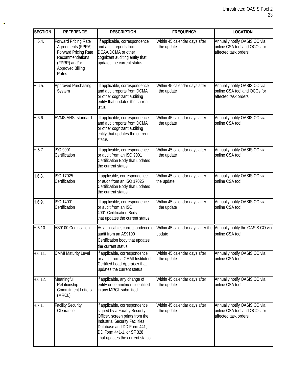| <b>SECTION</b> | <b>REFERENCE</b>                                                                                                                                                                   | <b>DESCRIPTION</b>                                                                                                                                                                                                                     | <b>FREQUENCY</b>                            | <b>LOCATION</b>                                                                      |  |
|----------------|------------------------------------------------------------------------------------------------------------------------------------------------------------------------------------|----------------------------------------------------------------------------------------------------------------------------------------------------------------------------------------------------------------------------------------|---------------------------------------------|--------------------------------------------------------------------------------------|--|
| H.6.4.         | Forward Pricing Rate<br>Agreements (FPRA),<br>Forward Pricing Rate<br>Recommendations<br>(FPRR) and/or<br><b>Approved Billing</b><br>Rates                                         | If applicable, correspondence<br>and audit reports from<br>DCAA/DCMA or other<br>cognizant auditing entity that<br>updates the current status                                                                                          | Within 45 calendar days after<br>the update | Annually notify OASIS CO via<br>online CSA tool and OCOs for<br>affected task orders |  |
| H.6.5.         | Approved Purchasing<br>System                                                                                                                                                      | If applicable, correspondence<br>and audit reports from DCMA<br>or other cognizant auditing<br>entity that updates the current<br>iatus                                                                                                | Within 45 calendar days after<br>the update | Annually notify OASIS CO via<br>online CSA tool and OCOs for<br>affected task orders |  |
| H.6.6.         | <b>EVMS ANSI-standard</b>                                                                                                                                                          | If applicable, correspondence<br>and audit reports from DCMA<br>or other cognizant auditing<br>entity that updates the current<br>status                                                                                               | Within 45 calendar days after<br>the update | Annually notify OASIS CO via<br>online CSA tool                                      |  |
| H.6.7.         | ISO 9001<br>Certification                                                                                                                                                          | If applicable, correspondence<br>or audit from an ISO 9001<br>Certification Body that updates<br>the current status                                                                                                                    | Within 45 calendar days after<br>the update | Annually notify OASIS CO via<br>online CSA tool                                      |  |
| H.6.8.         | ISO 17025<br>Certification                                                                                                                                                         | If applicable, correspondence<br>or audit from an ISO 17025<br>Certification Body that updates<br>the current status                                                                                                                   | Within 45 calendar days after<br>the update | Annually notify OASIS CO via<br>online CSA tool                                      |  |
| H.6.9.         | ISO 14001<br>Certification                                                                                                                                                         | If applicable, correspondence<br>or audit from an ISO<br>4001 Certification Body<br>that updates the current status                                                                                                                    | Within 45 calendar days after<br>the update | Annually notify OASIS CO via<br>online CSA tool                                      |  |
| H.6.10         | <b>AS9100 Certification</b><br>As applicable, correspondence or Within 45 calendar days after the<br>audit from an AS9100<br>Certification body that updates<br>the current status |                                                                                                                                                                                                                                        | update                                      | Annually notify the OASIS CO via<br>online CSA tool                                  |  |
| H.6.11.        | <b>CMMI Maturity Level</b><br>If applicable, correspondence<br>or audit from a CMMI Instituted<br>Certified Lead Appraiser that<br>updates the current status                      |                                                                                                                                                                                                                                        | Within 45 calendar days after<br>the update | Annually notify OASIS CO via<br>online CSA tool                                      |  |
| H.6.12.        | Meaningful<br>Relationship<br><b>Commitment Letters</b><br>(MRCL)                                                                                                                  | If applicable, any change of<br>entity or commitment identified<br>in any MRCL submitted                                                                                                                                               | Within 45 calendar days after<br>the update | Annually notify OASIS CO via<br>online CSA tool                                      |  |
| H.7.1.         | <b>Facility Security</b><br>Clearance                                                                                                                                              | If applicable, correspondence<br>signed by a Facility Security<br>Officer, screen prints from the<br><b>Industrial Security Facilities</b><br>Database and DD Form 441,<br>DD Form 441-1, or SF 328<br>that updates the current status | Within 45 calendar days after<br>the update | Annually notify OASIS CO via<br>online CSA tool and OCOs for<br>affected task orders |  |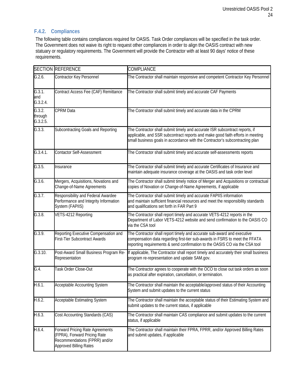# <span id="page-23-0"></span>**F.4.2. Compliances**

The following table contains compliances required for OASIS. Task Order compliances will be specified in the task order. The Government does not waive its right to request other compliances in order to align the OASIS contract with new statuary or regulatory requirements. The Government will provide the Contractor with at least 90 days' notice of these requirements.

|                                         | <b>SECTION REFERENCE</b>                                                                                                                 | <b>COMPLIANCE</b>                                                                                                                                                                                                                             |  |
|-----------------------------------------|------------------------------------------------------------------------------------------------------------------------------------------|-----------------------------------------------------------------------------------------------------------------------------------------------------------------------------------------------------------------------------------------------|--|
| G.2.6.                                  | Contractor Key Personnel                                                                                                                 | The Contractor shall maintain responsive and competent Contractor Key Personnel                                                                                                                                                               |  |
| $G.\overline{3.1}$ .<br>and<br>G.3.2.4. | Contract Access Fee (CAF) Remittance                                                                                                     | The Contractor shall submit timely and accurate CAF Payments                                                                                                                                                                                  |  |
| G.3.2.<br>through<br>G.3.2.5.           | <b>CPRM Data</b>                                                                                                                         | The Contractor shall submit timely and accurate data in the CPRM                                                                                                                                                                              |  |
| G.3.3.                                  | Subcontracting Goals and Reporting                                                                                                       | The Contractor shall submit timely and accurate ISR subcontract reports, if<br>applicable, and SSR subcontract reports and make good faith efforts in meeting<br>small business goals in accordance with the Contractor's subcontracting plan |  |
| G.3.4.1.                                | Contactor Self-Assessment                                                                                                                | The Contractor shall submit timely and accurate self-assessments reports                                                                                                                                                                      |  |
| G.3.5.                                  | Insurance                                                                                                                                | The Contractor shall submit timely and accurate Certificates of Insurance and<br>maintain adequate insurance coverage at the OASIS and task order level                                                                                       |  |
| G.3.6.                                  | Mergers, Acquisitions, Novations and<br>Change-of-Name Agreements                                                                        | The Contractor shall submit timely notice of Merger and Acquisitions or contractual<br>copies of Novation or Change-of-Name Agreements, if applicable                                                                                         |  |
| G.3.7.                                  | Responsibility and Federal Awardee<br>Performance and Integrity Information<br>System (FAPIIS)                                           | The Contractor shall submit timely and accurate FAPIIS information<br>and maintain sufficient financial resources and meet the responsibility standards<br>and qualifications set forth in FAR Part 9                                         |  |
| G.3.8.                                  | VETS-4212 Reporting                                                                                                                      | The Contractor shall report timely and accurate VETS-4212 reports in the<br>Department of Labor VETS-4212 website and send confirmation to the OASIS CO<br>via the CSA tool                                                                   |  |
| G.3.9.                                  | Reporting Executive Compensation and<br><b>First-Tier Subcontract Awards</b>                                                             | The Contractor shall report timely and accurate sub-award and executive<br>compensation data regarding first-tier sub-awards in FSRS to meet the FFATA<br>reporting requirements & send confirmation to the OASIS CO via the CSA tool         |  |
| G.3.10.                                 | Post-Award Small Business Program Re-<br>Representation                                                                                  | If applicable, The Contractor shall report timely and accurately their small business<br>program re-representation and update SAM.gov.                                                                                                        |  |
| G.4.                                    | Task Order Close-Out                                                                                                                     | The Contractor agrees to cooperate with the OCO to close out task orders as soon<br>as practical after expiration, cancellation, or termination.                                                                                              |  |
| H.6.1.                                  | <b>Acceptable Accounting System</b>                                                                                                      | The Contractor shall maintain the acceptable/approved status of their Accounting<br>System and submit updates to the current status                                                                                                           |  |
| H.6.2.                                  | <b>Acceptable Estimating System</b>                                                                                                      | The Contractor shall maintain the acceptable status of their Estimating System and<br>submit updates to the current status, if applicable                                                                                                     |  |
| H.6.3.                                  | Cost Accounting Standards (CAS)                                                                                                          | The Contractor shall maintain CAS compliance and submit updates to the current<br>status, if applicable                                                                                                                                       |  |
| H.6.4.                                  | <b>Forward Pricing Rate Agreements</b><br>(FPRA), Forward Pricing Rate<br>Recommendations (FPRR) and/or<br><b>Approved Billing Rates</b> | The Contractor shall maintain their FPRA, FPRR, and/or Approved Billing Rates<br>and submit updates, if applicable                                                                                                                            |  |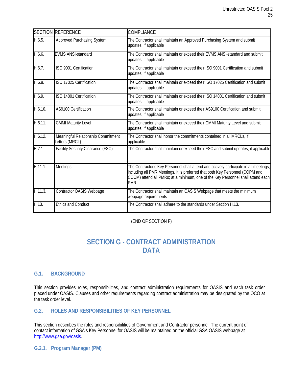| <b>SECTION</b> | <b>REFERENCE</b>                                    | COMPLIANCE                                                                                                                                                                                                                                                        |
|----------------|-----------------------------------------------------|-------------------------------------------------------------------------------------------------------------------------------------------------------------------------------------------------------------------------------------------------------------------|
| H.6.5.         | Approved Purchasing System                          | The Contractor shall maintain an Approved Purchasing System and submit<br>updates, if applicable                                                                                                                                                                  |
| H.6.6.         | <b>EVMS ANSI-standard</b>                           | The Contractor shall maintain or exceed their EVMS ANSI-standard and submit<br>updates, if applicable                                                                                                                                                             |
| H.6.7.         | ISO 9001 Certification                              | The Contractor shall maintain or exceed their ISO 9001 Certification and submit<br>updates, if applicable                                                                                                                                                         |
| H.6.8.         | ISO 17025 Certification                             | The Contractor shall maintain or exceed their ISO 17025 Certification and submit<br>updates, if applicable                                                                                                                                                        |
| H.6.9.         | ISO 14001 Certification                             | The Contractor shall maintain or exceed their ISO 14001 Certification and submit<br>updates, if applicable                                                                                                                                                        |
| H.6.10.        | AS9100 Certification                                | The Contractor shall maintain or exceed their AS9100 Certification and submit<br>updates, if applicable                                                                                                                                                           |
| H.6.11.        | <b>CMMI Maturity Level</b>                          | The Contractor shall maintain or exceed their CMMI Maturity Level and submit<br>updates, if applicable                                                                                                                                                            |
| H.6.12.        | Meaningful Relationship Commitment<br>etters (MRCL) | The Contractor shall honor the commitments contained in all MRCLs, if<br>applicable                                                                                                                                                                               |
| H.7.1          | <b>Facility Security Clearance (FSC)</b>            | The Contractor shall maintain or exceed their FSC and submit updates, if applicable                                                                                                                                                                               |
| H.11.1.        | Meetings                                            | The Contractor's Key Personnel shall attend and actively participate in all meetings,<br>including all PMR Meetings. It is preferred that both Key Personnel (COPM and<br>COCM) attend all PMRs; at a minimum, one of the Key Personnel shall attend each<br>PMR. |
| H.11.3.        | Contractor OASIS Webpage                            | The Contractor shall maintain an OASIS Webpage that meets the minimum<br>webpage requirements                                                                                                                                                                     |
| H.13.          | <b>Ethics and Conduct</b>                           | The Contractor shall adhere to the standards under Section H.13.                                                                                                                                                                                                  |

(END OF SECTION F)

# **SECTION G - CONTRACT ADMINISTRATION DATA**

# <span id="page-24-1"></span><span id="page-24-0"></span>**G.1. BACKGROUND**

This section provides roles, responsibilities, and contract administration requirements for OASIS and each task order placed under OASIS. Clauses and other requirements regarding contract administration may be designated by the OCO at the task order level.

# <span id="page-24-2"></span>**G.2. ROLES AND RESPONSIBILITIES OF KEY PERSONNEL**

This section describes the roles and responsibilities of Government and Contractor personnel. The current point of contact information of GSA's Key Personnel for OASIS will be maintained on the official GSA OASIS webpage at [http://www.gsa.gov/oasis.](http://www.gsa.gov/oasis)

<span id="page-24-3"></span>**G.2.1. Program Manager (PM)**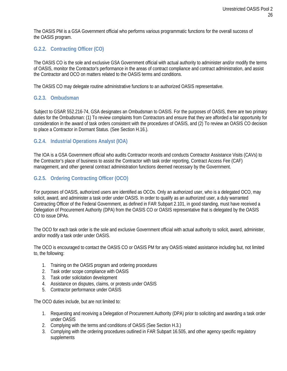The OASIS PM is a GSA Government official who performs various programmatic functions for the overall success of the OASIS program.

# <span id="page-25-0"></span>**G.2.2. Contracting Officer (CO)**

The OASIS CO is the sole and exclusive GSA Government official with actual authority to administer and/or modify the terms of OASIS, monitor the Contractor's performance in the areas of contract compliance and contract administration, and assist the Contractor and OCO on matters related to the OASIS terms and conditions.

The OASIS CO may delegate routine administrative functions to an authorized OASIS representative.

#### <span id="page-25-1"></span>**G.2.3. Ombudsman**

Subject to GSAR 552.216-74, GSA designates an Ombudsman to OASIS. For the purposes of OASIS, there are two primary duties for the Ombudsman: (1) To review complaints from Contractors and ensure that they are afforded a fair opportunity for consideration in the award of task orders consistent with the procedures of OASIS, and (2) To review an OASIS CO decision to place a Contractor in Dormant Status. (See Section H.16.).

#### <span id="page-25-2"></span>**G.2.4. Industrial Operations Analyst (IOA)**

The IOA is a GSA Government official who audits Contractor records and conducts Contractor Assistance Visits (CAVs) to the Contractor's place of business to assist the Contractor with task order reporting, Contract Access Fee (CAF) management, and other general contract administration functions deemed necessary by the Government.

#### <span id="page-25-3"></span>**G.2.5. Ordering Contracting Officer (OCO)**

For purposes of OASIS, authorized users are identified as OCOs. Only an authorized user, who is a delegated OCO, may solicit, award, and administer a task order under OASIS. In order to qualify as an authorized user, a duly warranted Contracting Officer of the Federal Government, as defined in FAR Subpart 2.101, in good standing, must have received a Delegation of Procurement Authority (DPA) from the OASIS CO or OASIS representative that is delegated by the OASIS CO to issue DPAs.

The OCO for each task order is the sole and exclusive Government official with actual authority to solicit, award, administer, and/or modify a task order under OASIS.

The OCO is encouraged to contact the OASIS CO or OASIS PM for any OASIS related assistance including but, not limited to, the following:

- 1. Training on the OASIS program and ordering procedures
- 2. Task order scope compliance with OASIS
- 3. Task order solicitation development
- 4. Assistance on disputes, claims, or protests under OASIS
- 5. Contractor performance under OASIS

The OCO duties include, but are not limited to:

- 1. Requesting and receiving a Delegation of Procurement Authority (DPA) prior to soliciting and awarding a task order under OASIS
- 2. Complying with the terms and conditions of OASIS (See Section H.3.)
- 3. Complying with the ordering procedures outlined in FAR Subpart 16.505, and other agency specific regulatory supplements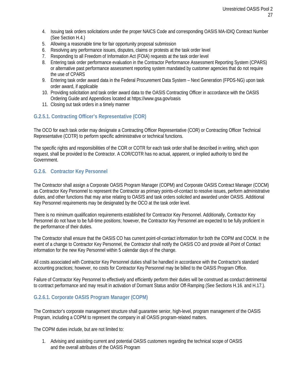- 4. Issuing task orders solicitations under the proper NAICS Code and corresponding OASIS MA-IDIQ Contract Number (See Section H.4.)
- 5. Allowing a reasonable time for fair opportunity proposal submission
- 6. Resolving any performance issues, disputes, claims or protests at the task order level
- 7. Responding to all Freedom of Information Act (FOIA) requests at the task order level
- 8. Entering task order performance evaluation in the Contractor Performance Assessment Reporting System (CPARS) or alternative past performance assessment reporting system mandated by customer agencies that do not require the use of CPARS
- 9. Entering task order award data in the Federal Procurement Data System Next Generation (FPDS-NG) upon task order award, if applicable
- 10. Providing solicitation and task order award data to the OASIS Contracting Officer in accordance with the OASIS Ordering Guide and Appendices located at htt[ps://www.gsa.gov/oasis](http://www.gsa.gov/oasis)
- 11. Closing out task orders in a timely manner

# <span id="page-26-0"></span>**G.2.5.1. Contracting Officer's Representative (COR)**

The OCO for each task order may designate a Contracting Officer Representative (COR) or Contracting Officer Technical Representative (COTR) to perform specific administrative or technical functions.

The specific rights and responsibilities of the COR or COTR for each task order shall be described in writing, which upon request, shall be provided to the Contractor. A COR/COTR has no actual, apparent, or implied authority to bind the Government.

# <span id="page-26-1"></span>**G.2.6. Contractor Key Personnel**

The Contractor shall assign a Corporate OASIS Program Manager (COPM) and Corporate OASIS Contract Manager (COCM) as Contractor Key Personnel to represent the Contractor as primary points-of-contact to resolve issues, perform administrative duties, and other functions that may arise relating to OASIS and task orders solicited and awarded under OASIS. Additional Key Personnel requirements may be designated by the OCO at the task order level.

There is no minimum qualification requirements established for Contractor Key Personnel. Additionally, Contractor Key Personnel do not have to be full-time positions; however, the Contractor Key Personnel are expected to be fully proficient in the performance of their duties.

The Contractor shall ensure that the OASIS CO has current point-of-contact information for both the COPM and COCM. In the event of a change to Contractor Key Personnel, the Contractor shall notify the OASIS CO and provide all Point of Contact information for the new Key Personnel within 5 calendar days of the change.

All costs associated with Contractor Key Personnel duties shall be handled in accordance with the Contractor's standard accounting practices; however, no costs for Contractor Key Personnel may be billed to the OASIS Program Office.

Failure of Contractor Key Personnel to effectively and efficiently perform their duties will be construed as conduct detrimental to contract performance and may result in activation of Dormant Status and/or Off-Ramping (See Sections H.16. and H.17.).

# <span id="page-26-2"></span>**G.2.6.1. Corporate OASIS Program Manager (COPM)**

The Contractor's corporate management structure shall guarantee senior, high-level, program management of the OASIS Program, including a COPM to represent the company in all OASIS program-related matters.

The COPM duties include, but are not limited to:

1. Advising and assisting current and potential OASIS customers regarding the technical scope of OASIS and the overall attributes of the OASIS Program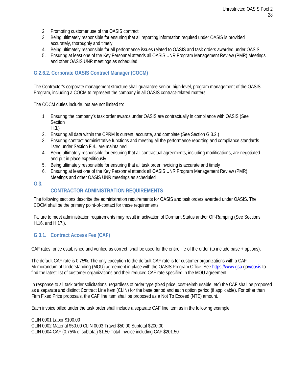- 2. Promoting customer use of the OASIS contract
- 3. Being ultimately responsible for ensuring that all reporting information required under OASIS is provided accurately, thoroughly and timely
- 4. Being ultimately responsible for all performance issues related to OASIS and task orders awarded under OASIS
- 5. Ensuring at least one of the Key Personnel attends all OASIS UNR Program Management Review (PMR) Meetings and other OASIS UNR meetings as scheduled

# <span id="page-27-0"></span>**G.2.6.2. Corporate OASIS Contract Manager (COCM)**

The Contractor's corporate management structure shall guarantee senior, high-level, program management of the OASIS Program, including a COCM to represent the company in all OASIS contract-related matters.

The COCM duties include, but are not limited to:

- 1. Ensuring the company's task order awards under OASIS are contractually in compliance with OASIS (See **Section** 
	- H.3.)
- 2. Ensuring all data within the CPRM is current, accurate, and complete (See Section G.3.2.)
- 3. Ensuring contract administrative functions and meeting all the performance reporting and compliance standards listed under Section F.4., are maintained
- 4. Being ultimately responsible for ensuring that all contractual agreements, including modifications, are negotiated and put in place expeditiously
- 5. Being ultimately responsible for ensuring that all task order invoicing is accurate and timely
- <span id="page-27-1"></span>6. Ensuring at least one of the Key Personnel attends all OASIS UNR Program Management Review (PMR) Meetings and other OASIS UNR meetings as scheduled

**G.3.**

# **CONTRACTOR ADMINISTRATION REQUIREMENTS**

The following sections describe the administration requirements for OASIS and task orders awarded under OASIS. The COCM shall be the primary point-of-contact for these requirements.

Failure to meet administration requirements may result in activation of Dormant Status and/or Off-Ramping (See Sections H.16. and H.17.).

# <span id="page-27-2"></span>**G.3.1. Contract Access Fee (CAF)**

CAF rates, once established and verified as correct, shall be used for the entire life of the order (to include base + options).

The default CAF rate is 0.75%. The only exception to the default CAF rate is for customer organizations with a CAF Memorandum of Understanding (MOU) agreement in place with the OASIS Program Office. See [https://www.gsa.gov/oasis](http://www.gsa.gov/oasis) to find the latest list of customer organizations and their reduced CAF rate specified in the MOU agreement.

In response to all task order solicitations, regardless of order type (fixed price, cost-reimbursable, etc) the CAF shall be proposed as a separate and distinct Contract Line Item (CLIN) for the base period and each option period (if applicable). For other than Firm Fixed Price proposals, the CAF line item shall be proposed as a Not To Exceed (NTE) amount.

Each invoice billed under the task order shall include a separate CAF line item as in the following example:

CLIN 0001 Labor \$100.00 CLIN 0002 Material \$50.00 CLIN 0003 Travel \$50.00 Subtotal \$200.00 CLIN 0004 CAF (0.75% of subtotal) \$1.50 Total Invoice including CAF \$201.50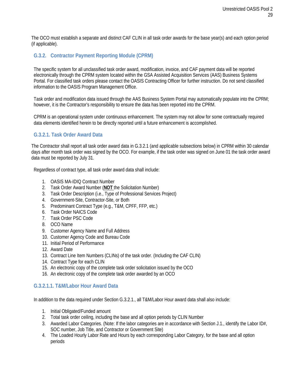The OCO must establish a separate and distinct CAF CLIN in all task order awards for the base year(s) and each option period (if applicable).

# <span id="page-28-0"></span>**G.3.2. Contractor Payment Reporting Module (CPRM)**

The specific system for all unclassified task order award, modification, invoice, and CAF payment data will be reported electronically through the CPRM system located within the GSA Assisted Acquisition Services (AAS) Business Systems Portal. For classified task orders please contact the OASIS Contracting Officer for further instruction. Do not send classified information to the OASIS Program Management Office.

Task order and modification data issued through the AAS Business System Portal may automatically populate into the CPRM; however, it is the Contractor's responsibility to ensure the data has been reported into the CPRM.

CPRM is an operational system under continuous enhancement. The system may not allow for some contractually required data elements identified herein to be directly reported until a future enhancement is accomplished.

# <span id="page-28-1"></span>**G.3.2.1. Task Order Award Data**

The Contractor shall report all task order award data in G.3.2.1 (and applicable subsections below) in CPRM within 30 calendar days after month task order was signed by the OCO. For example, if the task order was signed on June 01 the task order award data must be reported by July 31.

Regardless of contract type, all task order award data shall include:

- 1. OASIS MA-IDIQ Contract Number
- 2. Task Order Award Number (**NOT** the Solicitation Number)
- 3. Task Order Description (i.e., Type of Professional Services Project)
- 4. Government-Site, Contractor-Site, or Both
- 5. Predominant Contract Type (e.g., T&M, CPFF, FFP, etc.)
- 6. Task Order NAICS Code
- 7. Task Order PSC Code
- 8. OCO Name
- 9. Customer Agency Name and Full Address
- 10. Customer Agency Code and Bureau Code
- 11. Initial Period of Performance
- 12. Award Date
- 13. Contract Line Item Numbers (CLINs) of the task order. (Including the CAF CLIN)
- 14. Contract Type for each CLIN
- 15. An electronic copy of the complete task order solicitation issued by the OCO
- 16. An electronic copy of the complete task order awarded by an OCO

#### <span id="page-28-2"></span>**G.3.2.1.1. T&M/Labor Hour Award Data**

In addition to the data required under Section G.3.2.1., all T&M/Labor Hour award data shall also include:

- 1. Initial Obligated/Funded amount
- 2. Total task order ceiling, including the base and all option periods by CLIN Number
- 3. Awarded Labor Categories. (Note: If the labor categories are in accordance with Section J.1., identify the Labor ID#, SOC number, Job Title, and Contractor or Government Site)
- 4. The Loaded Hourly Labor Rate and Hours by each corresponding Labor Category, for the base and all option periods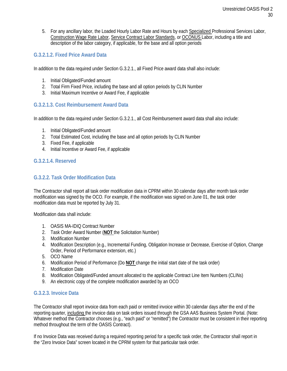5. For any ancillary labor, the Loaded Hourly Labor Rate and Hours by each Specialized Professional Services Labor, Construction Wage Rate Labor, Service Contract Labor Standards, or OCONUS Labor, including a title and description of the labor category, if applicable, for the base and all option periods

# <span id="page-29-0"></span>**G.3.2.1.2. Fixed Price Award Data**

In addition to the data required under Section G.3.2.1., all Fixed Price award data shall also include:

- 1. Initial Obligated/Funded amount
- 2. Total Firm Fixed Price, including the base and all option periods by CLIN Number
- 3. Initial Maximum Incentive or Award Fee, if applicable

# <span id="page-29-1"></span>**G.3.2.1.3. Cost Reimbursement Award Data**

In addition to the data required under Section G.3.2.1., all Cost Reimbursement award data shall also include:

- 1. Initial Obligated/Funded amount
- 2. Total Estimated Cost, including the base and all option periods by CLIN Number
- 3. Fixed Fee, if applicable
- 4. Initial Incentive or Award Fee, if applicable

# <span id="page-29-2"></span>**G.3.2.1.4. Reserved**

# <span id="page-29-3"></span>**G.3.2.2. Task Order Modification Data**

The Contractor shall report all task order modification data in CPRM within 30 calendar days after month task order modification was signed by the OCO. For example, if the modification was signed on June 01, the task order modification data must be reported by July 31.

Modification data shall include:

- 1. OASIS MA-IDIQ Contract Number
- 2. Task Order Award Number (**NOT** the Solicitation Number)
- 3. Modification Number
- 4. Modification Description (e.g., Incremental Funding, Obligation Increase or Decrease, Exercise of Option, Change Order, Period of Performance extension, etc.)
- 5. OCO Name
- 6. Modification Period of Performance (Do **NOT** change the initial start date of the task order)
- 7. Modification Date
- 8. Modification Obligated/Funded amount allocated to the applicable Contract Line Item Numbers (CLINs)
- <span id="page-29-4"></span>9. An electronic copy of the complete modification awarded by an OCO

#### **G.3.2.3. Invoice Data**

The Contractor shall report invoice data from each paid or remitted invoice within 30 calendar days after the end of the reporting quarter, including the invoice data on task orders issued through the GSA AAS Business System Portal. (Note: Whatever method the Contractor chooses (e.g., "each paid" or "remitted") the Contractor must be consistent in their reporting method throughout the term of the OASIS Contract).

If no Invoice Data was received during a required reporting period for a specific task order, the Contractor shall report in the "Zero Invoice Data" screen located in the CPRM system for that particular task order.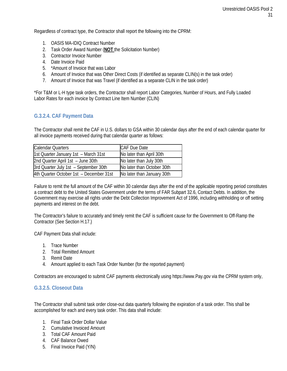Regardless of contract type, the Contractor shall report the following into the CPRM:

- 1. OASIS MA-IDIQ Contract Number
- 2. Task Order Award Number (**NOT** the Solicitation Number)
- 3. Contractor Invoice Number
- 4. Date Invoice Paid
- 5. \*Amount of Invoice that was Labor
- 6. Amount of Invoice that was Other Direct Costs (if identified as separate CLIN(s) in the task order)
- 7. Amount of Invoice that was Travel (if identified as a separate CLIN in the task order)

\*For T&M or L-H type task orders, the Contractor shall report Labor Categories, Number of Hours, and Fully Loaded Labor Rates for each invoice by Contract Line Item Number (CLIN)

# <span id="page-30-0"></span>**G.3.2.4. CAF Payment Data**

The Contractor shall remit the CAF in U.S. dollars to GSA within 30 calendar days after the end of each calendar quarter for all invoice payments received during that calendar quarter as follows:

| <b>Calendar Quarters</b>                | <b>CAF Due Date</b>        |
|-----------------------------------------|----------------------------|
| 1st Quarter January 1st - March 31st    | No later than April 30th   |
| 2nd Quarter April 1st - June 30th       | No later than July 30th    |
| 3rd Quarter July 1st - September 30th   | No later than October 30th |
| 4th Quarter October 1st - December 31st | No later than January 30th |

Failure to remit the full amount of the CAF within 30 calendar days after the end of the applicable reporting period constitutes a contract debt to the United States Government under the terms of FAR Subpart 32.6, Contact Debts. In addition, the Government may exercise all rights under the Debt Collection Improvement Act of 1996, including withholding or off setting payments and interest on the debt.

The Contractor's failure to accurately and timely remit the CAF is sufficient cause for the Government to Off-Ramp the Contractor (See Section H.17.)

CAF Payment Data shall include:

- 1. Trace Number
- 2. Total Remitted Amount
- 3. Remit Date
- 4. Amount applied to each Task Order Number (for the reported payment)

Contractors are encouraged to submit CAF payments electronically using htt[ps://www.Pay.gov](http://www.pay.gov/) via the CPRM system only,

#### <span id="page-30-1"></span>**G.3.2.5. Closeout Data**

The Contractor shall submit task order close-out data quarterly following the expiration of a task order. This shall be accomplished for each and every task order. This data shall include:

- 1. Final Task Order Dollar Value
- 2. Cumulative Invoiced Amount
- 3. Total CAF Amount Paid
- 4. CAF Balance Owed
- 5. Final Invoice Paid (Y/N)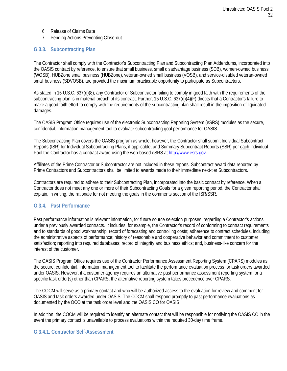- 6. Release of Claims Date
- 7. Pending Actions Preventing Close-out

# <span id="page-31-0"></span>**G.3.3. Subcontracting Plan**

The Contractor shall comply with the Contractor's Subcontracting Plan and Subcontracting Plan Addendums, incorporated into the OASIS contract by reference, to ensure that small business, small disadvantage business (SDB), women-owned business (WOSB), HUBZone small business (HUBZone), veteran-owned small business (VOSB), and service-disabled veteran-owned small business (SDVOSB), are provided the maximum practicable opportunity to participate as Subcontractors.

As stated in 15 U.S.C. 637(d)(8), any Contractor or Subcontractor failing to comply in good faith with the requirements of the subcontracting plan is in material breach of its contract. Further, 15 U.S.C. 637(d)(4)(F) directs that a Contractor's failure to make a good faith effort to comply with the requirements of the subcontracting plan shall result in the imposition of liquidated damages.

The OASIS Program Office requires use of the electronic Subcontracting Reporting System (eSRS) modules as the secure, confidential, information management tool to evaluate subcontracting goal performance for OASIS.

The Subcontracting Plan covers the OASIS program as whole, however, the Contractor shall submit Individual Subcontract Reports (ISR) for Individual Subcontracting Plans, if applicable, and Summary Subcontract Reports (SSR) per each individual Pool the Contractor has a contract award using the web-based eSRS at [http://www.esrs.gov](http://www.esrs.gov/)*[.](http://www.esrs.gov/)*

Affiliates of the Prime Contractor or Subcontractor are not included in these reports. Subcontract award data reported by Prime Contractors and Subcontractors shall be limited to awards made to their immediate next-tier Subcontractors.

Contractors are required to adhere to their Subcontracting Plan, incorporated into the basic contract by reference. When a Contractor does not meet any one or more of their Subcontracting Goals for a given reporting period, the Contractor shall explain, in writing, the rationale for not meeting the goals in the comments section of the ISR/SSR.

#### <span id="page-31-1"></span>**G.3.4. Past Performance**

Past performance information is relevant information, for future source selection purposes, regarding a Contractor's actions under a previously awarded contracts. It includes, for example, the Contractor's record of conforming to contract requirements and to standards of good workmanship; record of forecasting and controlling costs; adherence to contract schedules, including the administrative aspects of performance; history of reasonable and cooperative behavior and commitment to customer satisfaction; reporting into required databases; record of integrity and business ethics; and, business-like concern for the interest of the customer.

The OASIS Program Office requires use of the Contractor Performance Assessment Reporting System (CPARS) modules as the secure, confidential, information management tool to facilitate the performance evaluation process for task orders awarded under OASIS. However, if a customer agency requires an alternative past performance assessment reporting system for a specific task order(s) other than CPARS, the alternative reporting system takes precedence over CPARS.

The COCM will serve as a primary contact and who will be authorized access to the evaluation for review and comment for OASIS and task orders awarded under OASIS. The COCM shall respond promptly to past performance evaluations as documented by the OCO at the task order level and the OASIS CO for OASIS.

In addition, the COCM will be required to identify an alternate contact that will be responsible for notifying the OASIS CO in the event the primary contact is unavailable to process evaluations within the required 30-day time frame.

#### <span id="page-31-2"></span>**G.3.4.1. Contractor Self-Assessment**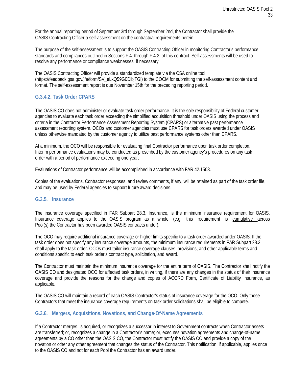For the annual reporting period of September 3rd through September 2nd, the Contractor shall provide the OASIS Contracting Officer a self-assessment on the contractual requirements herein.

The purpose of the self-assessment is to support the OASIS Contracting Officer in monitoring Contractor's performance standards and compliances outlined in Sections F.4. through F.4.2. of this contract. Self-assessments will be used to resolve any performance or compliance weaknesses, if necessary.

<span id="page-32-0"></span>The OASIS Contracting Officer will provide a standardized template via the CSA online tool (https://feedback.gsa.gov/jfe/form/SV\_eLkQ59G0DibjTGl) to the COCM for submitting the self-assessment content and format. The self-assessment report is due November 15th for the preceding reporting period.

# **G.3.4.2. Task Order CPARS**

The OASIS CO does not administer or evaluate task order performance. It is the sole responsibility of Federal customer agencies to evaluate each task order exceeding the simplified acquisition threshold under OASIS using the process and criteria in the Contractor Performance Assessment Reporting System (CPARS) or alternative past performance assessment reporting system. OCOs and customer agencies must use CPARS for task orders awarded under OASIS unless otherwise mandated by the customer agency to utilize past performance systems other than CPARS.

At a minimum, the OCO will be responsible for evaluating final Contractor performance upon task order completion. Interim performance evaluations may be conducted as prescribed by the customer agency's procedures on any task order with a period of performance exceeding one year.

Evaluations of Contractor performance will be accomplished in accordance with FAR 42.1503.

<span id="page-32-1"></span>Copies of the evaluations, Contractor responses, and review comments, if any, will be retained as part of the task order file, and may be used by Federal agencies to support future award decisions.

#### **G.3.5. Insurance**

The insurance coverage specified in FAR Subpart 28.3, Insurance, is the minimum insurance requirement for OASIS. Insurance coverage applies to the OASIS program as a whole (e.g. this requirement is cumulative across Pool(s) the Contractor has been awarded OASIS contracts under).

The OCO may require additional insurance coverage or higher limits specific to a task order awarded under OASIS. If the task order does not specify any insurance coverage amounts, the minimum insurance requirements in FAR Subpart 28.3 shall apply to the task order. OCOs must tailor insurance coverage clauses, provisions, and other applicable terms and conditions specific to each task order's contract type, solicitation, and award.

The Contractor must maintain the minimum insurance coverage for the entire term of OASIS. The Contractor shall notify the OASIS CO and designated OCO for affected task orders, in writing, if there are any changes in the status of their insurance coverage and provide the reasons for the change and copies of ACORD Form, Certificate of Liability Insurance, as applicable.

<span id="page-32-2"></span>The OASIS CO will maintain a record of each OASIS Contractor's status of insurance coverage for the OCO. Only those Contractors that meet the insurance coverage requirements on task order solicitations shall be eligible to compete.

# **G.3.6. Mergers, Acquisitions, Novations, and Change-Of-Name Agreements**

If a Contractor merges, is acquired, or recognizes a successor in interest to Government contracts when Contractor assets are transferred; or, recognizes a change in a Contractor's name; or, executes novation agreements and change-of-name agreements by a CO other than the OASIS CO, the Contractor must notify the OASIS CO and provide a copy of the novation or other any other agreement that changes the status of the Contractor. This notification, if applicable, applies once to the OASIS CO and not for each Pool the Contractor has an award under.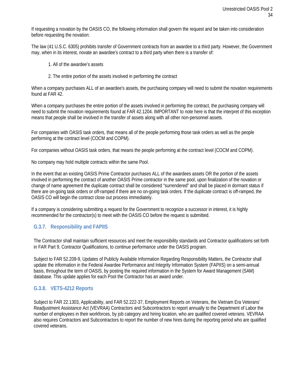If requesting a novation by the OASIS CO, the following information shall govern the request and be taken into consideration before requesting the novation:

The law (41 U.S.C. 6305) prohibits transfer of Government contracts from an awardee to a third party. However, the Government may, when in its interest, novate an awardee's contract to a third party when there is a transfer of:

- 1. All of the awardee's assets
- 2. The entire portion of the assets involved in performing the contract

When a company purchases ALL of an awardee's assets, the purchasing company will need to submit the novation requirements found at FAR 42.

When a company purchases the entire portion of the assets involved in performing the contract, the purchasing company will need to submit the novation requirements found at FAR 42.1204. IMPORTANT to note here is that the interpret of this exception means that people shall be involved in the transfer of assets along with all other non-personnel assets.

For companies with OASIS task orders, that means all of the people performing those task orders as well as the people performing at the contract level (COCM and COPM).

For companies without OASIS task orders, that means the people performing at the contract level (COCM and COPM).

No company may hold multiple contracts within the same Pool.

In the event that an existing OASIS Prime Contractor purchases ALL of the awardees assets OR the portion of the assets involved in performing the contract of another OASIS Prime contractor in the same pool, upon finalization of the novation or change of name agreement the duplicate contract shall be considered "surrendered" and shall be placed in dormant status if there are on-going task orders or off-ramped if there are no on-going task orders. If the duplicate contract is off-ramped, the OASIS CO will begin the contract close out process immediately.

If a company is considering submitting a request for the Government to recognize a successor in interest, it is highly recommended for the contractor(s) to meet with the OASIS CO before the request is submitted.

#### <span id="page-33-0"></span>**G.3.7. Responsibility and FAPIIS**

The Contractor shall maintain sufficient resources and meet the responsibility standards and Contractor qualifications set forth in FAR Part 9, Contractor Qualifications, to continue performance under the OASIS program.

Subject to FAR 52.209-9, Updates of Publicly Available Information Regarding Responsibility Matters, the Contractor shall update the information in the Federal Awardee Performance and Integrity Information System (FAPIIS) on a semi-annual basis, throughout the term of OASIS, by posting the required information in the System for Award Management (SAM) database. This update applies for each Pool the Contractor has an award under.

#### <span id="page-33-1"></span>**G.3.8. VETS-4212 Reports**

Subject to FAR 22.1303, Applicability, and FAR 52.222-37, Employment Reports on Veterans, the Vietnam Era Veterans' Readjustment Assistance Act (VEVRAA) Contractors and Subcontractors to report annually to the Department of Labor the number of employees in their workforces, by job category and hiring location, who are qualified covered veterans. VEVRAA also requires Contractors and Subcontractors to report the number of new hires during the reporting period who are qualified covered veterans.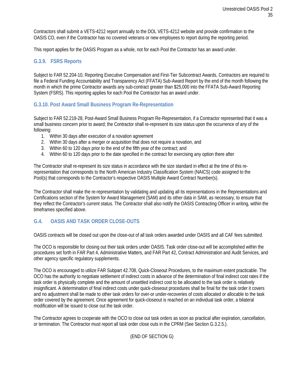Contractors shall submit a VETS-4212 report annually to the DOL VETS-4212 website and provide confirmation to the OASIS CO, even if the Contractor has no covered veterans or new employees to report during the reporting period.

This report applies for the OASIS Program as a whole, not for each Pool the Contractor has an award under.

#### <span id="page-34-0"></span>**G.3.9. FSRS Reports**

Subject to FAR 52.204-10, Reporting Executive Compensation and First-Tier Subcontract Awards, Contractors are required to file a Federal Funding Accountability and Transparency Act (FFATA) Sub-Award Report by the end of the month following the month in which the prime Contractor awards any sub-contract greater than \$25,000 into the FFATA Sub-Award Reporting System (FSRS). This reporting applies for each Pool the Contractor has an award under.

# <span id="page-34-1"></span>**G.3.10. Post Award Small Business Program Re-Representation**

Subject to FAR 52.219-28, Post-Award Small Business Program Re-Representation, if a Contractor represented that it was a small business concern prior to award; the Contractor shall re-represent its size status upon the occurrence of any of the following:

- 1. Within 30 days after execution of a novation agreement
- 2. Within 30 days after a merger or acquisition that does not require a novation, and
- 3. Within 60 to 120 days prior to the end of the fifth year of the contract; and
- 4. Within 60 to 120 days prior to the date specified in the contract for exercising any option there after

The Contractor shall re-represent its size status in accordance with the size standard in effect at the time of this rerepresentation that corresponds to the North American Industry Classification System (NAICS) code assigned to the Pool(s) that corresponds to the Contractor's respective OASIS Multiple Award Contract Number(s).

The Contractor shall make the re-representation by validating and updating all its representations in the Representations and Certifications section of the System for Award Management (SAM) and its other data in SAM, as necessary, to ensure that they reflect the Contractor's current status. The Contractor shall also notify the OASIS Contracting Officer in writing, within the timeframes specified above.

# <span id="page-34-2"></span>**G.4. OASIS AND TASK ORDER CLOSE-OUTS**

OASIS contracts will be closed out upon the close-out of all task orders awarded under OASIS and all CAF fees submitted.

The OCO is responsible for closing out their task orders under OASIS. Task order close-out will be accomplished within the procedures set forth in FAR Part 4, Administrative Matters, and FAR Part 42, Contract Administration and Audit Services, and other agency specific regulatory supplements.

The OCO is encouraged to utilize FAR Subpart 42.708, Quick-Closeout Procedures, to the maximum extent practicable. The OCO has the authority to negotiate settlement of indirect costs in advance of the determination of final indirect cost rates if the task order is physically complete and the amount of unsettled indirect cost to be allocated to the task order is relatively insignificant. A determination of final indirect costs under quick-closeout procedures shall be final for the task order it covers and no adjustment shall be made to other task orders for over-or under-recoveries of costs allocated or allocable to the task order covered by the agreement. Once agreement for quick-closeout is reached on an individual task order, a bilateral modification will be issued to close out the task order.

The Contractor agrees to cooperate with the OCO to close out task orders as soon as practical after expiration, cancellation, or termination. The Contractor must report all task order close outs in the CPRM (See Section G.3.2.5.).

(END OF SECTION G)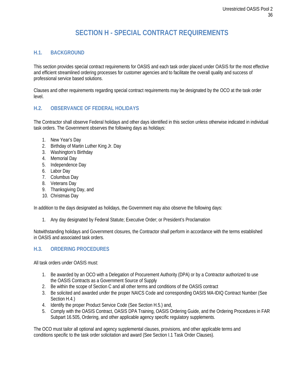# **SECTION H - SPECIAL CONTRACT REQUIREMENTS**

# <span id="page-35-1"></span><span id="page-35-0"></span>**H.1. BACKGROUND**

This section provides special contract requirements for OASIS and each task order placed under OASIS for the most effective and efficient streamlined ordering processes for customer agencies and to facilitate the overall quality and success of professional service based solutions.

Clauses and other requirements regarding special contract requirements may be designated by the OCO at the task order level.

# <span id="page-35-2"></span>**H.2. OBSERVANCE OF FEDERAL HOLIDAYS**

The Contractor shall observe Federal holidays and other days identified in this section unless otherwise indicated in individual task orders. The Government observes the following days as holidays:

- 1. New Year's Day
- 2. Birthday of Martin Luther King Jr. Day
- 3. Washington's Birthday
- 4. Memorial Day
- 5. Independence Day
- 6. Labor Day
- 7. Columbus Day
- 8. Veterans Day
- 9. Thanksgiving Day, and
- 10. Christmas Day

In addition to the days designated as holidays, the Government may also observe the following days:

1. Any day designated by Federal Statute; Executive Order; or President's Proclamation

Notwithstanding holidays and Government closures, the Contractor shall perform in accordance with the terms established in OASIS and associated task orders.

# <span id="page-35-3"></span>**H.3. ORDERING PROCEDURES**

All task orders under OASIS must:

- 1. Be awarded by an OCO with a Delegation of Procurement Authority (DPA) or by a Contractor authorized to use the OASIS Contracts as a Government Source of Supply
- 2. Be within the scope of Section C and all other terms and conditions of the OASIS contract
- 3. Be solicited and awarded under the proper NAICS Code and corresponding OASIS MA-IDIQ Contract Number (See Section H.4.)
- 4. Identify the proper Product Service Code (See Section H.5.) and,
- 5. Comply with the OASIS Contract, OASIS DPA Training, OASIS Ordering Guide, and the Ordering Procedures in FAR Subpart 16.505, Ordering, and other applicable agency specific regulatory supplements.

The OCO must tailor all optional and agency supplemental clauses, provisions, and other applicable terms and conditions specific to the task order solicitation and award (See Section I.1 Task Order Clauses).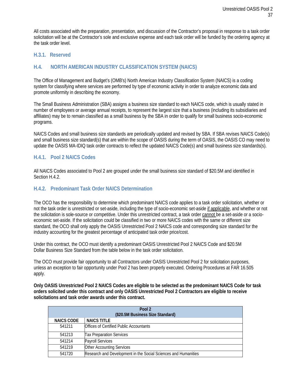All costs associated with the preparation, presentation, and discussion of the Contractor's proposal in response to a task order solicitation will be at the Contractor's sole and exclusive expense and each task order will be funded by the ordering agency at the task order level.

#### <span id="page-36-1"></span><span id="page-36-0"></span>**H.3.1. Reserved**

# **H.4. NORTH AMERICAN INDUSTRY CLASSIFICATION SYSTEM (NAICS)**

The Office of Management and Budget's (OMB's) North American Industry Classification System (NAICS) is a coding system for classifying where services are performed by type of economic activity in order to analyze economic data and promote uniformity in describing the economy.

The Small Business Administration (SBA) assigns a business size standard to each NAICS code, which is usually stated in number of employees or average annual receipts, to represent the largest size that a business (including its subsidiaries and affiliates) may be to remain classified as a small business by the SBA in order to qualify for small business socio-economic programs.

NAICS Codes and small business size standards are periodically updated and revised by SBA. If SBA revises NAICS Code(s) and small business size standard(s) that are within the scope of OASIS during the term of OASIS, the OASIS CO may need to update the OASIS MA-IDIQ task order contracts to reflect the updated NAICS Code(s) and small business size standards(s).

#### <span id="page-36-2"></span>**H.4.1. Pool 2 NAICS Codes**

All NAICS Codes associated to Pool 2 are grouped under the small business size standard of \$20.5M and identified in Section H.4.2.

#### <span id="page-36-3"></span>**H.4.2. Predominant Task Order NAICS Determination**

The OCO has the responsibility to determine which predominant NAICS code applies to a task order solicitation, whether or not the task order is unrestricted or set-aside, including the type of socio-economic set-aside if applicable, and whether or not the solicitation is sole-source or competitive. Under this unrestricted contract, a task order cannot be a set-aside or a socioeconomic set-aside. If the solicitation could be classified in two or more NAICS codes with the same or different size standard, the OCO shall only apply the OASIS Unrestricted Pool 2 NAICS code and corresponding size standard for the industry accounting for the greatest percentage of anticipated task order price/cost.

Under this contract, the OCO must identify a predominant OASIS Unrestricted Pool 2 NAICS Code and \$20.5M Dollar Business Size Standard from the table below in the task order solicitation.

The OCO must provide fair opportunity to all Contractors under OASIS Unrestricted Pool 2 for solicitation purposes, unless an exception to fair opportunity under Pool 2 has been properly executed. Ordering Procedures at FAR 16.505 apply.

**Only OASIS Unrestricted Pool 2 NAICS Codes are eligible to be selected as the predominant NAICS Code for task orders solicited under this contract and only OASIS Unrestricted Pool 2 Contractors are eligible to receive solicitations and task order awards under this contract.**

| Pool 2                           |                                                                |  |
|----------------------------------|----------------------------------------------------------------|--|
| (\$20.5M Business Size Standard) |                                                                |  |
| <b>NAICS CODE</b>                | <b>NAICS TITLE</b>                                             |  |
| 541211                           | <b>Offices of Certified Public Accountants</b>                 |  |
| 541213                           | <b>Tax Preparation Services</b>                                |  |
| 541214                           | <b>Payroll Services</b>                                        |  |
| 541219                           | <b>Other Accounting Services</b>                               |  |
| 541720                           | Research and Development in the Social Sciences and Humanities |  |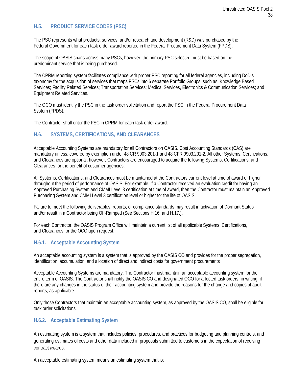# <span id="page-37-0"></span>**H.5. PRODUCT SERVICE CODES (PSC)**

The PSC represents what products, services, and/or research and development (R&D) was purchased by the Federal Government for each task order award reported in the Federal Procurement Data System (FPDS).

The scope of OASIS spans across many PSCs, however, the primary PSC selected must be based on the predominant service that is being purchased.

The CPRM reporting system facilitates compliance with proper PSC reporting for all federal agencies, including DoD's taxonomy for the acquisition of services that maps PSCs into 6 separate Portfolio Groups, such as, Knowledge Based Services; Facility Related Services; Transportation Services; Medical Services, Electronics & Communication Services; and Equipment Related Services.

The OCO must identify the PSC in the task order solicitation and report the PSC in the Federal Procurement Data System (FPDS).

The Contractor shall enter the PSC in CPRM for each task order award.

# <span id="page-37-1"></span>**H.6. SYSTEMS, CERTIFICATIONS, AND CLEARANCES**

Acceptable Accounting Systems are mandatory for all Contractors on OASIS. Cost Accounting Standards (CAS) are mandatory unless, covered by exemption under 48 CR 9903.201-1 and 48 CFR 9903.201-2. All other Systems, Certifications, and Clearances are optional; however, Contractors are encouraged to acquire the following Systems, Certifications, and Clearances for the benefit of customer agencies.

All Systems, Certifications, and Clearances must be maintained at the Contractors current level at time of award or higher throughout the period of performance of OASIS. For example, if a Contractor received an evaluation credit for having an Approved Purchasing System and CMMI Level 3 certification at time of award, then the Contractor must maintain an Approved Purchasing System and CMMI Level 3 certification level or higher for the life of OASIS.

Failure to meet the following deliverables, reports, or compliance standards may result in activation of Dormant Status and/or result in a Contractor being Off-Ramped (See Sections H.16. and H.17.).

For each Contractor, the OASIS Program Office will maintain a current list of all applicable Systems, Certifications, and Clearances for the OCO upon request.

#### <span id="page-37-2"></span>**H.6.1. Acceptable Accounting System**

An acceptable accounting system is a system that is approved by the OASIS CO and provides for the proper segregation, identification, accumulation, and allocation of direct and indirect costs for government procurements

Acceptable Accounting Systems are mandatory. The Contractor must maintain an acceptable accounting system for the entire term of OASIS. The Contractor shall notify the OASIS CO and designated OCO for affected task orders, in writing, if there are any changes in the status of their accounting system and provide the reasons for the change and copies of audit reports, as applicable.

Only those Contractors that maintain an acceptable accounting system, as approved by the OASIS CO, shall be eligible for task order solicitations.

#### <span id="page-37-3"></span>**H.6.2. Acceptable Estimating System**

An estimating system is a system that includes policies, procedures, and practices for budgeting and planning controls, and generating estimates of costs and other data included in proposals submitted to customers in the expectation of receiving contract awards.

An acceptable estimating system means an estimating system that is: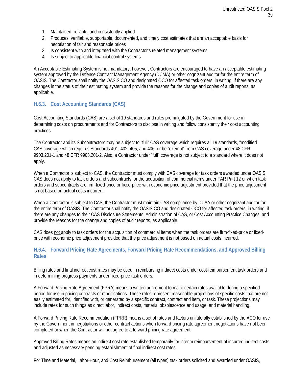- 1. Maintained, reliable, and consistently applied
- 2. Produces, verifiable, supportable, documented, and timely cost estimates that are an acceptable basis for negotiation of fair and reasonable prices
- 3. Is consistent with and integrated with the Contractor's related management systems
- 4. Is subject to applicable financial control systems

An Acceptable Estimating System is not mandatory; however, Contractors are encouraged to have an acceptable estimating system approved by the Defense Contract Management Agency (DCMA) or other cognizant auditor for the entire term of OASIS. The Contractor shall notify the OASIS CO and designated OCO for affected task orders, in writing, if there are any changes in the status of their estimating system and provide the reasons for the change and copies of audit reports, as applicable.

# <span id="page-38-0"></span>**H.6.3. Cost Accounting Standards (CAS)**

Cost Accounting Standards (CAS) are a set of 19 standards and rules promulgated by the Government for use in determining costs on procurements and for Contractors to disclose in writing and follow consistently their cost accounting practices.

The Contractor and its Subcontractors may be subject to "full" CAS coverage which requires all 19 standards, "modified" CAS coverage which requires Standards 401, 402, 405, and 406, or be "exempt" from CAS coverage under 48 CFR 9903.201-1 and 48 CFR 9903.201-2. Also, a Contractor under "full" coverage is not subject to a standard where it does not apply.

When a Contractor is subject to CAS, the Contractor must comply with CAS coverage for task orders awarded under OASIS. CAS does not apply to task orders and subcontracts for the acquisition of commercial items under FAR Part 12 or when task orders and subcontracts are firm-fixed-price or fixed-price with economic price adjustment provided that the price adjustment is not based on actual costs incurred.

When a Contractor is subject to CAS, the Contractor must maintain CAS compliance by DCAA or other cognizant auditor for the entire term of OASIS. The Contractor shall notify the OASIS CO and designated OCO for affected task orders, in writing, if there are any changes to their CAS Disclosure Statements, Administration of CAS, or Cost Accounting Practice Changes, and provide the reasons for the change and copies of audit reports, as applicable.

CAS does not apply to task orders for the acquisition of commercial items when the task orders are firm-fixed-price or fixedprice with economic price adjustment provided that the price adjustment is not based on actual costs incurred.

# <span id="page-38-1"></span>**H.6.4. Forward Pricing Rate Agreements, Forward Pricing Rate Recommendations, and Approved Billing Rates**

Billing rates and final indirect cost rates may be used in reimbursing indirect costs under cost-reimbursement task orders and in determining progress payments under fixed-price task orders.

A Forward Pricing Rate Agreement (FPRA) means a written agreement to make certain rates available during a specified period for use in pricing contracts or modifications. These rates represent reasonable projections of specific costs that are not easily estimated for, identified with, or generated by a specific contract, contract end item, or task. These projections may include rates for such things as direct labor, indirect costs, material obsolescence and usage, and material handling.

A Forward Pricing Rate Recommendation (FPRR) means a set of rates and factors unilaterally established by the ACO for use by the Government in negotiations or other contract actions when forward pricing rate agreement negotiations have not been completed or when the Contractor will not agree to a forward pricing rate agreement.

Approved Billing Rates means an indirect cost rate established temporarily for interim reimbursement of incurred indirect costs and adjusted as necessary pending establishment of final indirect cost rates.

For Time and Material, Labor-Hour, and Cost Reimbursement (all types) task orders solicited and awarded under OASIS,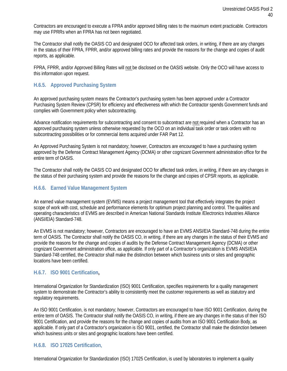Contractors are encouraged to execute a FPRA and/or approved billing rates to the maximum extent practicable. Contractors may use FPRRs when an FPRA has not been negotiated.

The Contractor shall notify the OASIS CO and designated OCO for affected task orders, in writing, if there are any changes in the status of their FPRA, FPRR, and/or approved billing rates and provide the reasons for the change and copies of audit reports, as applicable.

<span id="page-39-0"></span>FPRA, FPRR, and/or Approved Billing Rates will not be disclosed on the OASIS website. Only the OCO will have access to this information upon request.

#### **H.6.5. Approved Purchasing System**

An approved purchasing system means the Contractor's purchasing system has been approved under a Contractor Purchasing System Review (CPSR) for efficiency and effectiveness with which the Contractor spends Government funds and complies with Government policy when subcontracting.

Advance notification requirements for subcontracting and consent to subcontract are not required when a Contractor has an approved purchasing system unless otherwise requested by the OCO on an individual task order or task orders with no subcontracting possibilities or for commercial items acquired under FAR Part 12.

An Approved Purchasing System is not mandatory; however, Contractors are encouraged to have a purchasing system approved by the Defense Contract Management Agency (DCMA) or other cognizant Government administration office for the entire term of OASIS.

The Contractor shall notify the OASIS CO and designated OCO for affected task orders, in writing, if there are any changes in the status of their purchasing system and provide the reasons for the change and copies of CPSR reports, as applicable.

#### <span id="page-39-1"></span>**H.6.6. Earned Value Management System**

An earned value management system (EVMS) means a project management tool that effectively integrates the project scope of work with cost, schedule and performance elements for optimum project planning and control. The qualities and operating characteristics of EVMS are described in American National Standards Institute /Electronics Industries Alliance (ANSI/EIA) Standard-748.

An EVMS is not mandatory; however, Contractors are encouraged to have an EVMS ANSI/EIA Standard-748 during the entire term of OASIS. The Contractor shall notify the OASIS CO, in writing, if there are any changes in the status of their EVMS and provide the reasons for the change and copies of audits by the Defense Contract Management Agency (DCMA) or other cognizant Government administration office, as applicable. If only part of a Contractor's organization is EVMS ANSI/EIA Standard-748 certified, the Contractor shall make the distinction between which business units or sites and geographic locations have been certified.

#### <span id="page-39-2"></span>**H.6.7. ISO 9001 Certification,**

International Organization for Standardization (ISO) 9001 Certification, specifies requirements for a quality management system to demonstrate the Contractor's ability to consistently meet the customer requirements as well as statutory and regulatory requirements.

An ISO 9001 Certification, is not mandatory; however, Contractors are encouraged to have ISO 9001 Certification, during the entire term of OASIS. The Contractor shall notify the OASIS CO, in writing, if there are any changes in the status of their ISO 9001 Certification, and provide the reasons for the change and copies of audits from an ISO 9001 Certification Body, as applicable. If only part of a Contractor's organization is ISO 9001, certified, the Contractor shall make the distinction between which business units or sites and geographic locations have been certified.

#### <span id="page-39-3"></span>**H.6.8. ISO 17025 Certification,**

International Organization for Standardization (ISO) 17025 Certification, is used by laboratories to implement a quality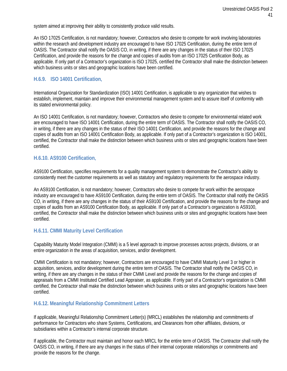system aimed at improving their ability to consistently produce valid results.

An ISO 17025 Certification, is not mandatory; however, Contractors who desire to compete for work involving laboratories within the research and development industry are encouraged to have ISO 17025 Certification, during the entire term of OASIS. The Contractor shall notify the OASIS CO, in writing, if there are any changes in the status of their ISO 17025 Certification, and provide the reasons for the change and copies of audits from an ISO 17025 Certification Body, as applicable. If only part of a Contractor's organization is ISO 17025, certified the Contractor shall make the distinction between which business units or sites and geographic locations have been certified.

# <span id="page-40-0"></span>**H.6.9. ISO 14001 Certification,**

International Organization for Standardization (ISO) 14001 Certification, is applicable to any organization that wishes to establish, implement, maintain and improve their environmental management system and to assure itself of conformity with its stated environmental policy.

An ISO 14001 Certification, is not mandatory; however, Contractors who desire to compete for environmental related work are encouraged to have ISO 14001 Certification, during the entire term of OASIS. The Contractor shall notify the OASIS CO, in writing, if there are any changes in the status of their ISO 14001 Certification, and provide the reasons for the change and copies of audits from an ISO 14001 Certification Body, as applicable. If only part of a Contractor's organization is ISO 14001, certified, the Contractor shall make the distinction between which business units or sites and geographic locations have been certified.

# <span id="page-40-1"></span>**H.6.10. AS9100 Certification,**

AS9100 Certification, specifies requirements for a quality management system to demonstrate the Contractor's ability to consistently meet the customer requirements as well as statutory and regulatory requirements for the aerospace industry.

An AS9100 Certification, is not mandatory; however, Contractors who desire to compete for work within the aerospace industry are encouraged to have AS9100 Certification, during the entire term of OASIS. The Contractor shall notify the OASIS CO, in writing, if there are any changes in the status of their AS9100 Certification, and provide the reasons for the change and copies of audits from an AS9100 Certification Body, as applicable. If only part of a Contractor's organization is AS9100, certified, the Contractor shall make the distinction between which business units or sites and geographic locations have been certified.

# <span id="page-40-2"></span>**H.6.11. CMMI Maturity Level Certification**

Capability Maturity Model Integration (CMMI) is a 5 level approach to improve processes across projects, divisions, or an entire organization in the areas of acquisition, services, and/or development.

CMMI Certification is not mandatory; however, Contractors are encouraged to have CMMI Maturity Level 3 or higher in acquisition, services, and/or development during the entire term of OASIS. The Contractor shall notify the OASIS CO, in writing, if there are any changes in the status of their CMMI Level and provide the reasons for the change and copies of appraisals from a CMMI Instituted Certified Lead Appraiser, as applicable. If only part of a Contractor's organization is CMMI certified, the Contractor shall make the distinction between which business units or sites and geographic locations have been certified.

# <span id="page-40-3"></span>**H.6.12. Meaningful Relationship Commitment Letters**

If applicable, Meaningful Relationship Commitment Letter(s) (MRCL) establishes the relationship and commitments of performance for Contractors who share Systems, Certifications, and Clearances from other affiliates, divisions, or subsidiaries within a Contractor's internal corporate structure.

If applicable, the Contractor must maintain and honor each MRCL for the entire term of OASIS. The Contractor shall notify the OASIS CO, in writing, if there are any changes in the status of their internal corporate relationships or commitments and provide the reasons for the change.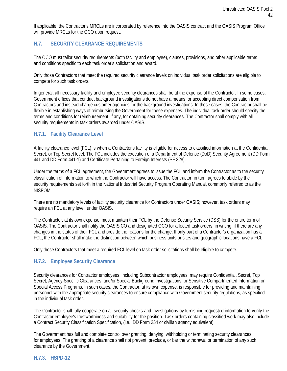If applicable, the Contractor's MRCLs are incorporated by reference into the OASIS contract and the OASIS Program Office will provide MRCLs for the OCO upon request.

# <span id="page-41-0"></span>**H.7. SECURITY CLEARANCE REQUIREMENTS**

The OCO must tailor security requirements (both facility and employee), clauses, provisions, and other applicable terms and conditions specific to each task order's solicitation and award.

Only those Contractors that meet the required security clearance levels on individual task order solicitations are eligible to compete for such task orders.

In general, all necessary facility and employee security clearances shall be at the expense of the Contractor. In some cases, Government offices that conduct background investigations do not have a means for accepting direct compensation from Contractors and instead charge customer agencies for the background investigations. In these cases, the Contractor shall be flexible in establishing ways of reimbursing the Government for these expenses. The individual task order should specify the terms and conditions for reimbursement, if any, for obtaining security clearances. The Contractor shall comply with all security requirements in task orders awarded under OASIS.

# <span id="page-41-1"></span>**H.7.1. Facility Clearance Level**

A facility clearance level (FCL) is when a Contractor's facility is eligible for access to classified information at the Confidential, Secret, or Top Secret level. The FCL includes the execution of a Department of Defense (DoD) Security Agreement (DD Form 441 and DD Form 441-1) and Certificate Pertaining to Foreign Interests (SF 328).

Under the terms of a FCL agreement, the Government agrees to issue the FCL and inform the Contractor as to the security classification of information to which the Contractor will have access. The Contractor, in turn, agrees to abide by the security requirements set forth in the National Industrial Security Program Operating Manual, commonly referred to as the NISPOM.

There are no mandatory levels of facility security clearance for Contractors under OASIS; however, task orders may require an FCL at any level, under OASIS.

The Contractor, at its own expense, must maintain their FCL by the Defense Security Service (DSS) for the entire term of OASIS. The Contractor shall notify the OASIS CO and designated OCO for affected task orders, in writing, if there are any changes in the status of their FCL and provide the reasons for the change. If only part of a Contractor's organization has a FCL, the Contractor shall make the distinction between which business units or sites and geographic locations have a FCL.

Only those Contractors that meet a required FCL level on task order solicitations shall be eligible to compete.

# <span id="page-41-2"></span>**H.7.2. Employee Security Clearance**

Security clearances for Contractor employees, including Subcontractor employees, may require Confidential, Secret, Top Secret, Agency-Specific Clearances, and/or Special Background Investigations for Sensitive Compartmented Information or Special Access Programs. In such cases, the Contractor, at its own expense, is responsible for providing and maintaining personnel with the appropriate security clearances to ensure compliance with Government security regulations, as specified in the individual task order.

The Contractor shall fully cooperate on all security checks and investigations by furnishing requested information to verify the Contractor employee's trustworthiness and suitability for the position. Task orders containing classified work may also include a Contract Security Classification Specification, (i.e., DD Form 254 or civilian agency equivalent).

The Government has full and complete control over granting, denying, withholding or terminating security clearances for employees. The granting of a clearance shall not prevent, preclude, or bar the withdrawal or termination of any such clearance by the Government.

#### <span id="page-41-3"></span>**H.7.3. HSPD-12**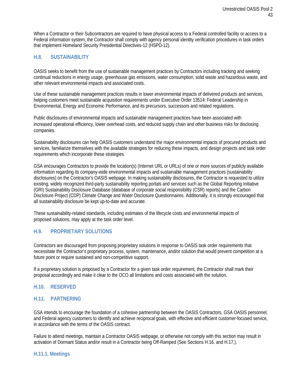When a Contractor or their Subcontractors are required to have physical access to a Federal controlled facility or access to a Federal information system, the Contractor shall comply with agency personal identity verification procedures in task orders that implement Homeland Security Presidential Directives-12 (HSPD-12).

# <span id="page-42-0"></span>**H.8. SUSTAINABILITY**

OASIS seeks to benefit from the use of sustainable management practices by Contractors including tracking and seeking continual reductions in energy usage, greenhouse gas emissions, water consumption, solid waste and hazardous waste, and other relevant environmental impacts and associated costs.

Use of these sustainable management practices results in lower environmental impacts of delivered products and services, helping customers meet sustainable acquisition requirements under Executive Order 13514: Federal Leadership in Environmental, Energy and Economic Performance, and its precursors, successors and related regulations.

Public disclosures of environmental impacts and sustainable management practices have been associated with increased operational efficiency, lower overhead costs, and reduced supply chain and other business risks for disclosing companies.

Sustainability disclosures can help OASIS customers understand the major environmental impacts of procured products and services, familiarize themselves with the available strategies for reducing these impacts, and design projects and task order requirements which incorporate these strategies.

GSA encourages Contractors to provide the location(s) (Internet URL or URLs) of one or more sources of publicly available information regarding its company-wide environmental impacts and sustainable management practices (sustainability disclosures) on the Contractor's OASIS webpage. In making sustainability disclosures, the Contractor is requested to utilize existing, widely recognized third-party sustainability reporting portals and services such as the Global Reporting Initiative (GRI) Sustainability Disclosure Database (database of corporate social responsibility (CSR) reports) and the Carbon Disclosure Project (CDP) Climate Change and Water Disclosure Questionnaires. Additionally, it is strongly encouraged that all sustainability disclosure be kept up-to-date and accurate.

These sustainability-related standards, including estimates of the lifecycle costs and environmental impacts of proposed solutions, may apply at the task order level.

# <span id="page-42-1"></span>**H.9. PROPRIETARY SOLUTIONS**

Contractors are discouraged from proposing proprietary solutions in response to OASIS task order requirements that necessitate the Contractor's proprietary process, system, maintenance, and/or solution that would prevent competition at a future point or require sustained and non-competitive support.

If a proprietary solution is proposed by a Contractor for a given task order requirement, the Contractor shall mark their proposal accordingly and make it clear to the OCO all limitations and costs associated with the solution.

#### <span id="page-42-3"></span><span id="page-42-2"></span>**H.10. RESERVED**

#### **H.11. PARTNERING**

GSA intends to encourage the foundation of a cohesive partnership between the OASIS Contractors, GSA OASIS personnel, and Federal agency customers to identify and achieve reciprocal goals, with effective and efficient customer-focused service, in accordance with the terms of the OASIS contract.

Failure to attend meetings, maintain a Contractor OASIS webpage, or otherwise not comply with this section may result in activation of Dormant Status and/or result in a Contractor being Off-Ramped (See Sections H.16. and H.17.).

#### <span id="page-42-4"></span>**H.11.1. Meetings**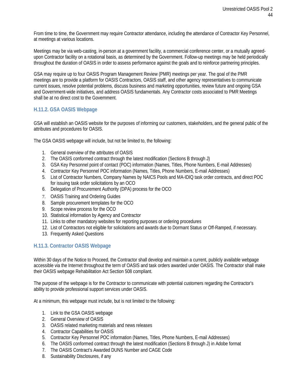From time to time, the Government may require Contractor attendance, including the attendance of Contractor Key Personnel, at meetings at various locations.

Meetings may be via web-casting, in-person at a government facility, a commercial conference center, or a mutually agreedupon Contractor facility on a rotational basis, as determined by the Government. Follow-up meetings may be held periodically throughout the duration of OASIS in order to assess performance against the goals and to reinforce partnering principles.

GSA may require up to four OASIS Program Management Review (PMR) meetings per year. The goal of the PMR meetings are to provide a platform for OASIS Contractors, OASIS staff, and other agency representatives to communicate current issues, resolve potential problems, discuss business and marketing opportunities, review future and ongoing GSA and Government-wide initiatives, and address OASIS fundamentals. Any Contractor costs associated to PMR Meetings shall be at no direct cost to the Government.

# <span id="page-43-0"></span>**H.11.2. GSA OASIS Webpage**

GSA will establish an OASIS website for the purposes of informing our customers, stakeholders, and the general public of the attributes and procedures for OASIS.

The GSA OASIS webpage will include, but not be limited to, the following:

- 1. General overview of the attributes of OASIS
- 2. The OASIS conformed contract through the latest modification (Sections B through J)
- 3. GSA Key Personnel point of contact (POC) information (Names, Titles, Phone Numbers, E-mail Addresses)
- 4. Contractor Key Personnel POC information (Names, Titles, Phone Numbers, E-mail Addresses)
- 5. List of Contractor Numbers, Company Names by NAICS Pools and MA-IDIQ task order contracts, and direct POC for issuing task order solicitations by an OCO
- 6. Delegation of Procurement Authority (DPA) process for the OCO
- 7. OASIS Training and Ordering Guides
- 8. Sample procurement templates for the OCO
- 9. Scope review process for the OCO
- 10. Statistical information by Agency and Contractor
- 11. Links to other mandatory websites for reporting purposes or ordering procedures
- 12. List of Contractors not eligible for solicitations and awards due to Dormant Status or Off-Ramped, if necessary.
- 13. Frequently Asked Questions

# <span id="page-43-1"></span>**H.11.3. Contractor OASIS Webpage**

Within 30 days of the Notice to Proceed, the Contractor shall develop and maintain a current, publicly available webpage accessible via the Internet throughout the term of OASIS and task orders awarded under OASIS. The Contractor shall make their OASIS webpage Rehabilitation Act Section 508 compliant.

The purpose of the webpage is for the Contractor to communicate with potential customers regarding the Contractor's ability to provide professional support services under OASIS.

At a minimum, this webpage must include, but is not limited to the following:

- 1. Link to the GSA OASIS webpage
- 2. General Overview of OASIS
- 3. OASIS related marketing materials and news releases
- 4. Contractor Capabilities for OASIS
- 5. Contractor Key Personnel POC information (Names, Titles, Phone Numbers, E-mail Addresses)
- 6. The OASIS conformed contract through the latest modification (Sections B through J) in Adobe format
- 7. The OASIS Contract's Awarded DUNS Number and CAGE Code
- 8. Sustainability Disclosures, if any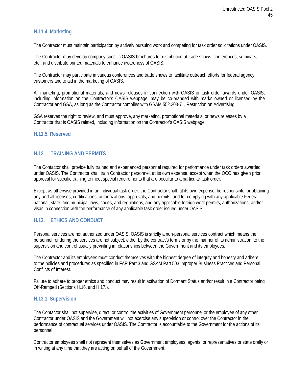# <span id="page-44-0"></span>**H.11.4. Marketing**

The Contractor must maintain participation by actively pursuing work and competing for task order solicitations under OASIS.

The Contractor may develop company specific OASIS brochures for distribution at trade shows, conferences, seminars, etc., and distribute printed materials to enhance awareness of OASIS.

The Contractor may participate in various conferences and trade shows to facilitate outreach efforts for federal agency customers and to aid in the marketing of OASIS.

All marketing, promotional materials, and news releases in connection with OASIS or task order awards under OASIS, including information on the Contractor's OASIS webpage, may be co-branded with marks owned or licensed by the Contractor and GSA, as long as the Contractor complies with GSAM 552.203-71, Restriction on Advertising.

GSA reserves the right to review, and must approve, any marketing, promotional materials, or news releases by a Contractor that is OASIS related, including information on the Contractor's OASIS webpage.

#### <span id="page-44-1"></span>**H.11.5. Reserved**

# <span id="page-44-2"></span>**H.12. TRAINING AND PERMITS**

The Contactor shall provide fully trained and experienced personnel required for performance under task orders awarded under OASIS. The Contractor shall train Contractor personnel, at its own expense, except when the OCO has given prior approval for specific training to meet special requirements that are peculiar to a particular task order.

Except as otherwise provided in an individual task order, the Contractor shall, at its own expense, be responsible for obtaining any and all licenses, certifications, authorizations, approvals, and permits, and for complying with any applicable Federal, national, state, and municipal laws, codes, and regulations, and any applicable foreign work permits, authorizations, and/or visas in connection with the performance of any applicable task order issued under OASIS.

# <span id="page-44-3"></span>**H.13. ETHICS AND CONDUCT**

Personal services are not authorized under OASIS. OASIS is strictly a non-personal services contract which means the personnel rendering the services are not subject, either by the contract's terms or by the manner of its administration, to the supervision and control usually prevailing in relationships between the Government and its employees.

The Contractor and its employees must conduct themselves with the highest degree of integrity and honesty and adhere to the policies and procedures as specified in FAR Part 3 and GSAM Part 503 Improper Business Practices and Personal Conflicts of Interest.

Failure to adhere to proper ethics and conduct may result in activation of Dormant Status and/or result in a Contractor being Off-Ramped (Sections H.16. and H.17.).

#### <span id="page-44-4"></span>**H.13.1. Supervision**

The Contactor shall not supervise, direct, or control the activities of Government personnel or the employee of any other Contractor under OASIS and the Government will not exercise any supervision or control over the Contractor in the performance of contractual services under OASIS. The Contractor is accountable to the Government for the actions of its personnel.

Contractor employees shall not represent themselves as Government employees, agents, or representatives or state orally or in writing at any time that they are acting on behalf of the Government.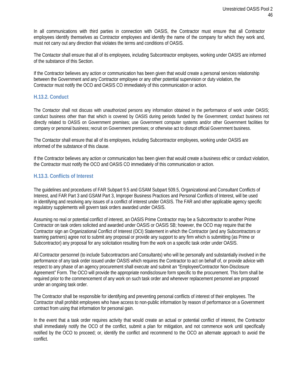In all communications with third parties in connection with OASIS, the Contractor must ensure that all Contractor employees identify themselves as Contractor employees and identify the name of the company for which they work and, must not carry out any direction that violates the terms and conditions of OASIS.

The Contactor shall ensure that all of its employees, including Subcontractor employees, working under OASIS are informed of the substance of this Section.

If the Contractor believes any action or communication has been given that would create a personal services relationship between the Government and any Contractor employee or any other potential supervision or duty violation, the Contractor must notify the OCO and OASIS CO immediately of this communication or action.

#### <span id="page-45-0"></span>**H.13.2. Conduct**

The Contactor shall not discuss with unauthorized persons any information obtained in the performance of work under OASIS; conduct business other than that which is covered by OASIS during periods funded by the Government; conduct business not directly related to OASIS on Government premises; use Government computer systems and/or other Government facilities for company or personal business; recruit on Government premises; or otherwise act to disrupt official Government business.

The Contactor shall ensure that all of its employees, including Subcontractor employees, working under OASIS are informed of the substance of this clause.

If the Contractor believes any action or communication has been given that would create a business ethic or conduct violation, the Contractor must notify the OCO and OASIS CO immediately of this communication or action.

#### <span id="page-45-1"></span>**H.13.3. Conflicts of Interest**

The guidelines and procedures of FAR Subpart 9.5 and GSAM Subpart 509.5, Organizational and Consultant Conflicts of Interest, and FAR Part 3 and GSAM Part 3, Improper Business Practices and Personal Conflicts of Interest, will be used in identifying and resolving any issues of a conflict of interest under OASIS. The FAR and other applicable agency specific regulatory supplements will govern task orders awarded under OASIS.

Assuming no real or potential conflict of interest, an OASIS Prime Contractor may be a Subcontractor to another Prime Contractor on task orders solicited and awarded under OASIS or OASIS SB; however, the OCO may require that the Contractor sign an Organizational Conflict of Interest (OCI) Statement in which the Contractor (and any Subcontractors or teaming partners) agree not to submit any proposal or provide any support to any firm which is submitting (as Prime or Subcontractor) any proposal for any solicitation resulting from the work on a specific task order under OASIS.

All Contractor personnel (to include Subcontractors and Consultants) who will be personally and substantially involved in the performance of any task order issued under OASIS which requires the Contractor to act on behalf of, or provide advice with respect to any phase of an agency procurement shall execute and submit an "Employee/Contractor Non-Disclosure Agreement" Form. The OCO will provide the appropriate nondisclosure form specific to the procurement. This form shall be required prior to the commencement of any work on such task order and whenever replacement personnel are proposed under an ongoing task order.

The Contractor shall be responsible for identifying and preventing personal conflicts of interest of their employees. The Contractor shall prohibit employees who have access to non-public information by reason of performance on a Government contract from using that information for personal gain.

In the event that a task order requires activity that would create an actual or potential conflict of interest, the Contractor shall immediately notify the OCO of the conflict, submit a plan for mitigation, and not commence work until specifically notified by the OCO to proceed; or, identify the conflict and recommend to the OCO an alternate approach to avoid the conflict.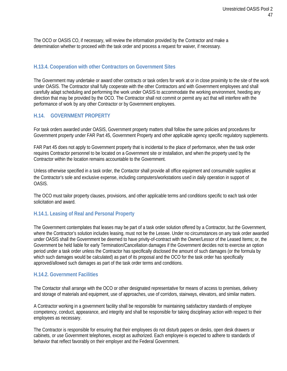The OCO or OASIS CO, if necessary, will review the information provided by the Contractor and make a determination whether to proceed with the task order and process a request for waiver, if necessary.

# <span id="page-46-0"></span>**H.13.4. Cooperation with other Contractors on Government Sites**

The Government may undertake or award other contracts or task orders for work at or in close proximity to the site of the work under OASIS. The Contractor shall fully cooperate with the other Contractors and with Government employees and shall carefully adapt scheduling and performing the work under OASIS to accommodate the working environment, heeding any direction that may be provided by the OCO. The Contractor shall not commit or permit any act that will interfere with the performance of work by any other Contractor or by Government employees.

# <span id="page-46-1"></span>**H.14. GOVERNMENT PROPERTY**

For task orders awarded under OASIS, Government property matters shall follow the same policies and procedures for Government property under FAR Part 45, Government Property and other applicable agency specific regulatory supplements.

FAR Part 45 does not apply to Government property that is incidental to the place of performance, when the task order requires Contractor personnel to be located on a Government site or installation, and when the property used by the Contractor within the location remains accountable to the Government.

Unless otherwise specified in a task order, the Contactor shall provide all office equipment and consumable supplies at the Contractor's sole and exclusive expense, including computers/workstations used in daily operation in support of OASIS.

The OCO must tailor property clauses, provisions, and other applicable terms and conditions specific to each task order solicitation and award.

# <span id="page-46-2"></span>**H.14.1. Leasing of Real and Personal Property**

The Government contemplates that leases may be part of a task order solution offered by a Contractor, but the Government, where the Contractor's solution includes leasing, must not be the Lessee. Under no circumstances on any task order awarded under OASIS shall the Government be deemed to have privity-of-contract with the Owner/Lessor of the Leased Items; or, the Government be held liable for early Termination/Cancellation damages if the Government decides not to exercise an option period under a task order unless the Contractor has specifically disclosed the amount of such damages (or the formula by which such damages would be calculated) as part of its proposal and the OCO for the task order has specifically approved/allowed such damages as part of the task order terms and conditions.

# <span id="page-46-3"></span>**H.14.2. Government Facilities**

The Contactor shall arrange with the OCO or other designated representative for means of access to premises, delivery and storage of materials and equipment, use of approaches, use of corridors, stairways, elevators, and similar matters.

A Contractor working in a government facility shall be responsible for maintaining satisfactory standards of employee competency, conduct, appearance, and integrity and shall be responsible for taking disciplinary action with respect to their employees as necessary.

The Contractor is responsible for ensuring that their employees do not disturb papers on desks, open desk drawers or cabinets, or use Government telephones, except as authorized. Each employee is expected to adhere to standards of behavior that reflect favorably on their employer and the Federal Government.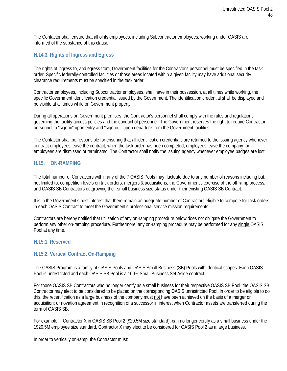The Contactor shall ensure that all of its employees, including Subcontractor employees, working under OASIS are informed of the substance of this clause.

#### <span id="page-47-0"></span>**H.14.3. Rights of Ingress and Egress**

The rights of ingress to, and egress from, Government facilities for the Contractor's personnel must be specified in the task order. Specific federally-controlled facilities or those areas located within a given facility may have additional security clearance requirements must be specified in the task order.

Contractor employees, including Subcontractor employees, shall have in their possession, at all times while working, the specific Government identification credential issued by the Government. The identification credential shall be displayed and be visible at all times while on Government property.

During all operations on Government premises, the Contractor's personnel shall comply with the rules and regulations governing the facility access policies and the conduct of personnel. The Government reserves the right to require Contractor personnel to "sign-in" upon entry and "sign-out" upon departure from the Government facilities.

The Contactor shall be responsible for ensuring that all identification credentials are returned to the issuing agency whenever contract employees leave the contract, when the task order has been completed, employees leave the company, or employees are dismissed or terminated. The Contractor shall notify the issuing agency whenever employee badges are lost.

# <span id="page-47-1"></span>**H.15. ON-RAMPING**

The total number of Contractors within any of the 7 OASIS Pools may fluctuate due to any number of reasons including but, not limited to, competition levels on task orders, mergers & acquisitions; the Government's exercise of the off-ramp process; and OASIS SB Contractors outgrowing their small business size status under their existing OASIS SB Contract.

It is in the Government's best interest that there remain an adequate number of Contractors eligible to compete for task orders in each OASIS Contract to meet the Government's professional service mission requirements.

Contractors are hereby notified that utilization of any on-ramping procedure below does not obligate the Government to perform any other on-ramping procedure. Furthermore, any on-ramping procedure may be performed for any single OASIS Pool at any time.

#### <span id="page-47-3"></span><span id="page-47-2"></span>**H.15.1. Reserved**

# **H.15.2. Vertical Contract On-Ramping**

The OASIS Program is a family of OASIS Pools and OASIS Small Business (SB) Pools with identical scopes. Each OASIS Pool is unrestricted and each OASIS SB Pool is a 100% Small Business Set Aside contract.

For those OASIS SB Contractors who no longer certify as a small business for their respective OASIS SB Pool, the OASIS SB Contractor may elect to be considered to be placed on the corresponding OASIS unrestricted Pool. In order to be eligible to do this, the recertification as a large business of the company must not have been achieved on the basis of a merger or acquisition; or novation agreement in recognition of a successor in interest when Contractor assets are transferred during the term of OASIS SB.

For example, if Contractor X in OASIS SB Pool 2 (\$20.5M size standard), can no longer certify as a small business under the 1\$20.5M employee size standard, Contractor X may elect to be considered for OASIS Pool 2 as a large business.

In order to vertically on-ramp, the Contractor must: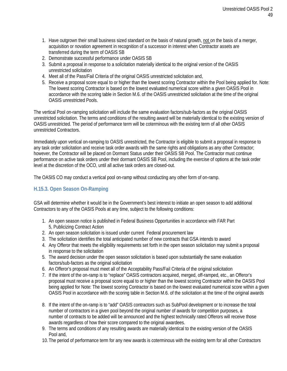- 1. Have outgrown their small business sized standard on the basis of natural growth, not on the basis of a merger, acquisition or novation agreement in recognition of a successor in interest when Contractor assets are transferred during the term of OASIS SB
- 2. Demonstrate successful performance under OASIS SB
- 3. Submit a proposal in response to a solicitation materially identical to the original version of the OASIS unrestricted solicitation
- 4. Meet all of the Pass/Fail Criteria of the original OASIS unrestricted solicitation and,
- 5. Receive a proposal score equal to or higher than the lowest scoring Contractor within the Pool being applied for. Note: The lowest scoring Contractor is based on the lowest evaluated numerical score within a given OASIS Pool in accordance with the scoring table in Section M.6. of the OASIS unrestricted solicitation at the time of the original OASIS unrestricted Pools.

The vertical Pool on-ramping solicitation will include the same evaluation factors/sub-factors as the original OASIS unrestricted solicitation. The terms and conditions of the resulting award will be materially identical to the existing version of OASIS unrestricted. The period of performance term will be coterminous with the existing term of all other OASIS unrestricted Contractors.

Immediately upon vertical on-ramping to OASIS unrestricted, the Contractor is eligible to submit a proposal in response to any task order solicitation and receive task order awards with the same rights and obligations as any other Contractor; however, the Contractor will be placed on Dormant Status under their OASIS SB Pool. The Contractor must continue performance on active task orders under their dormant OASIS SB Pool, including the exercise of options at the task order level at the discretion of the OCO, until all active task orders are closed-out.

The OASIS CO may conduct a vertical pool on-ramp without conducting any other form of on-ramp.

# <span id="page-48-0"></span>**H.15.3. Open Season On-Ramping**

GSA will determine whether it would be in the Government's best interest to initiate an open season to add additional Contractors to any of the OASIS Pools at any time, subject to the following conditions:

- 1. An open season notice is published in Federal Business Opportunities in accordance with FAR Part 5, Publicizing Contract Action
- 2. An open season solicitation is issued under current Federal procurement law
- 3. The solicitation identifies the total anticipated number of new contracts that GSA intends to award
- 4. Any Offeror that meets the eligibility requirements set forth in the open season solicitation may submit a proposal in response to the solicitation
- 5. The award decision under the open season solicitation is based upon substantially the same evaluation factors/sub-factors as the original solicitation
- 6. An Offeror's proposal must meet all of the Acceptability Pass/Fail Criteria of the original solicitation
- 7. If the intent of the on-ramp is to "replace" OASIS contractors acquired, merged, off-ramped, etc., an Offeror's proposal must receive a proposal score equal to or higher than the lowest scoring Contractor within the OASIS Pool being applied for Note: The lowest scoring Contractor is based on the lowest evaluated numerical score within a given OASIS Pool in accordance with the scoring table in Section M.6. of the solicitation at the time of the original awards
- 8. If the intent of the on-ramp is to "add" OASIS contractors such as SubPool development or to increase the total number of contractors in a given pool beyond the original number of awards for competition purposes, a number of contracts to be added will be announced and the highest technically rated Offerors will receive those awards regardless of how their score compared to the original awardees.
- 9. The terms and conditions of any resulting awards are materially identical to the existing version of the OASIS Pool and,
- 10. The period of performance term for any new awards is coterminous with the existing term for all other Contractors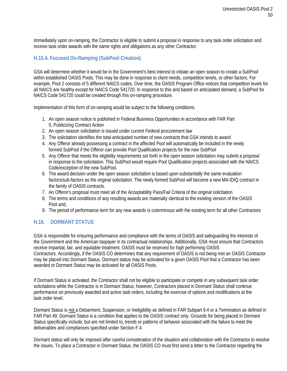Immediately upon on-ramping, the Contractor is eligible to submit a proposal in response to any task order solicitation and receive task order awards with the same rights and obligations as any other Contractor.

# <span id="page-49-0"></span>**H.15.4. Focused On-Ramping (SubPool Creation)**

GSA will determine whether it would be in the Government's best interest to initiate an open season to create a SubPool within established OASIS Pools. This may be done in response to client needs, competition levels, or other factors. For example, Pool 2 consists of 5 different NAICS codes. Over time, the OASIS Program Office notices that competition levels for all NAICS are healthy except for NAICS Code 541720. In response to this and based on anticipated demand, a SubPool for NAICS Code 541720 could be created through this on-ramping procedure.

Implementation of this form of on-ramping would be subject to the following conditions.

- 1. An open season notice is published in Federal Business Opportunities in accordance with FAR Part 5, Publicizing Contract Action
- 2. An open season solicitation is issued under current Federal procurement law
- 3. The solicitation identifies the total anticipated number of new contracts that GSA intends to award
- 4. Any Offeror already possessing a contract in the affected Pool will automatically be included in the newly formed SubPool if the Offeror can provide Pool Qualification projects for the new SubPool
- 5. Any Offeror that meets the eligibility requirements set forth in the open season solicitation may submit a proposal in response to the solicitation. This SubPool would require Pool Qualification projects associated with the NAICS Code/exception of the new SubPool.
- 6. The award decision under the open season solicitation is based upon substantially the same evaluation factors/sub-factors as the original solicitation. The newly formed SubPool will become a new MA-IDIQ contract in the family of OASIS contracts.
- 7. An Offeror's proposal must meet all of the Acceptability Pass/Fail Criteria of the original solicitation
- 8. The terms and conditions of any resulting awards are materially identical to the existing version of the OASIS Pool and,
- 9. The period of performance term for any new awards is coterminous with the existing term for all other Contractors

# <span id="page-49-1"></span>**H.16. DORMANT STATUS**

GSA is responsible for ensuring performance and compliance with the terms of OASIS and safeguarding the interests of the Government and the American taxpayer in its contractual relationships. Additionally, GSA must ensure that Contractors receive impartial, fair, and equitable treatment. OASIS must be reserved for high performing OASIS Contractors. Accordingly, if the OASIS CO determines that any requirement of OASIS is not being met an OASIS Contractor may be placed into Dormant Status. Dormant status may be activated for a given OASIS Pool that a Contractor has been awarded or Dormant Status may be activated for all OASIS Pools.

If Dormant Status is activated, the Contractor shall not be eligible to participate or compete in any subsequent task order solicitations while the Contractor is in Dormant Status; however, Contractors placed in Dormant Status shall continue performance on previously awarded and active task orders, including the exercise of options and modifications at the task order level.

Dormant Status is not a Debarment, Suspension, or Ineligibility as defined in FAR Subpart 9.4 or a Termination as defined in FAR Part 49. Dormant Status is a condition that applies to the OASIS contract only. Grounds for being placed in Dormant Status specifically include, but are not limited to, trends or patterns of behavior associated with the failure to meet the deliverables and compliances specified under Section F.4.

Dormant status will only be imposed after careful consideration of the situation and collaboration with the Contractor to resolve the issues. To place a Contractor in Dormant Status, the OASIS CO must first send a letter to the Contractor regarding the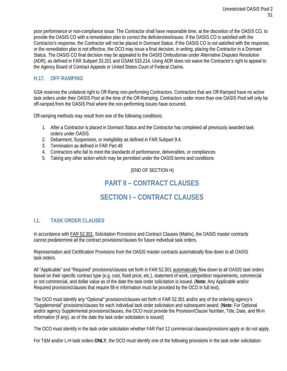poor performance or non-compliance issue. The Contractor shall have reasonable time, at the discretion of the OASIS CO, to provide the OASIS CO with a remediation plan to correct the deficiencies/issues. If the OASIS CO is satisfied with the Contractor's response, the Contractor will not be placed in Dormant Status. If the OASIS CO is not satisfied with the response, or the remediation plan is not effective, the OCO may issue a final decision, in writing, placing the Contractor in a Dormant Status. The OASIS CO final decision may be appealed to the OASIS Ombudsman under Alternative Disputes Resolution (ADR), as defined in FAR Subpart 33.201 and GSAM 533.214. Using ADR does not waive the Contractor's right to appeal to the Agency Board of Contract Appeals or United States Court of Federal Claims.

# <span id="page-50-0"></span>**H.17. OFF-RAMPING**

GSA reserves the unilateral right to Off-Ramp non-performing Contractors. Contractors that are Off-Ramped have no active task orders under their OASIS Pool at the time of the Off-Ramping. Contractors under more than one OASIS Pool will only be off-ramped from the OASIS Pool where the non-performing issues have occurred.

Off-ramping methods may result from one of the following conditions:

- 1. After a Contractor is placed in Dormant Status and the Contractor has completed all previously awarded task orders under OASIS
- 2. Debarment, Suspension, or Ineligibility as defined in FAR Subpart 9.4.
- 3. Termination as defined in FAR Part 49
- 4. Contractors who fail to meet the standards of performance, deliverables, or compliances
- <span id="page-50-1"></span>5. Taking any other action which may be permitted under the OASIS terms and conditions

(END OF SECTION H)

# **PART II – CONTRACT CLAUSES**

# **SECTION I – CONTRACT CLAUSES**

# <span id="page-50-2"></span>**I.1. TASK ORDER CLAUSES**

In accordance with FAR 52.301, Solicitation Provisions and Contract Clauses (Matrix), the OASIS master contracts cannot predetermine all the contract provisions/clauses for future individual task orders.

Representation and Certification Provisions from the OASIS master contracts automatically flow down to all OASIS task orders.

All "Applicable" and "Required" provisions/clauses set forth in FAR 52.301 automatically flow down to all OASIS task orders based on their specific contract type (e.g. cost, fixed price, etc.), statement of work, competition requirements, commercial or not commercial, and dollar value as of the date the task order solicitation is issued. (**Note:** Any Applicable and/or Required provisions/clauses that require fill-in information must be provided by the OCO in full text).

The OCO must identify any "Optional" provisions/clauses set forth in FAR 52.301 and/or any of the ordering agency's "Supplemental" provisions/clauses for each individual task order solicitation and subsequent award. (**Note:** For Optional and/or agency Supplemental provisions/clauses, the OCO must provide the Provision/Clause Number, Title, Date, and fill-in information (if any), as of the date the task order solicitation is issued)

The OCO must identify in the task order solicitation whether FAR Part 12 commercial clauses/provisions apply or do not apply.

For T&M and/or L-H task orders **ONLY**, the OCO must identify one of the following provisions in the task order solicitation: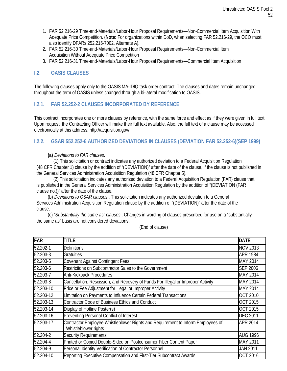- 1. FAR 52.216-29 Time-and-Materials/Labor-Hour Proposal Requirements—Non-Commercial Item Acquisition With Adequate Price Competition. (**Note:** For organizations within DoD, when selecting FAR 52.216-29, the OCO must also identify DFARs 252.216-7002, Alternate A).
- 2. FAR 52.216-30 Time-and-Materials/Labor-Hour Proposal Requirements—Non-Commercial Item Acquisition Without Adequate Price Competition
- 3. FAR 52.216-31 Time-and-Materials/Labor-Hour Proposal Requirements—Commercial Item Acquisition

# <span id="page-51-0"></span>**I.2. OASIS CLAUSES**

The following clauses apply only to the OASIS MA-IDIQ task order contract. The clauses and dates remain unchanged throughout the term of OASIS unless changed through a bi-lateral modification to OASIS.

# <span id="page-51-1"></span>**I.2.1. FAR 52.252-2 CLAUSES INCORPORATED BY REFERENCE**

This contract incorporates one or more clauses by reference, with the same force and effect as if they were given in full text. Upon request, the Contracting Officer will make their full text available. Also, the full text of a clause may be accessed electronically at this address:<http://acquisition.gov/>

# <span id="page-51-2"></span>**I.2.2. GSAR 552.252-6 AUTHORIZED DEVIATIONS IN CLAUSES (DEVIATION FAR 52.252-6)(SEP 1999)**

#### **(a)** *Deviations to FAR clauses***.**

(1) This solicitation or contract indicates any authorized deviation to a Federal Acquisition Regulation (48 CFR Chapter 1) clause by the addition of "(DEVIATION)" after the date of the clause, if the clause is not published in the General Services Administration Acquisition Regulation (48 CFR Chapter 5).

(2) This solicitation indicates any authorized deviation to a Federal Acquisition Regulation (FAR) clause that is published in the General Services Administration Acquisition Regulation by the addition of "(DEVIATION (FAR clause no.))" after the date of the clause.

(b) *Deviations to GSAR clauses* . This solicitation indicates any authorized deviation to a General Services Administration Acquisition Regulation clause by the addition of "(DEVIATION)" after the date of the clause.

(c) *"Substantially the same as" clauses* . Changes in wording of clauses prescribed for use on a "substantially the same as" basis are not considered deviations.

(End of clause)

| FAR       | <b>TITLE</b>                                                                                            | <b>DATE</b>     |
|-----------|---------------------------------------------------------------------------------------------------------|-----------------|
| 52.202-1  | <b>Definitions</b>                                                                                      | <b>NOV 2013</b> |
| 52.203-3  | <b>Gratuities</b>                                                                                       | <b>APR 1984</b> |
| 52.203-5  | <b>Covenant Against Contingent Fees</b>                                                                 | MAY 2014        |
| 52.203-6  | Restrictions on Subcontractor Sales to the Government                                                   | <b>SEP 2006</b> |
| 52.203-7  | Anti-Kickback Procedures                                                                                | MAY 2014        |
| 52.203-8  | Cancellation, Rescission, and Recovery of Funds For Illegal or Improper Activity                        | MAY 2014        |
| 52.203-10 | Price or Fee Adjustment for Illegal or Improper Activity                                                | MAY 2014        |
| 52.203-12 | Limitation on Payments to Influence Certain Federal Transactions                                        | <b>OCT 2010</b> |
| 52.203-13 | <b>Contractor Code of Business Ethics and Conduct</b>                                                   | <b>OCT 2015</b> |
| 52.203-14 | Display of Hotline Poster(s)                                                                            | <b>OCT 2015</b> |
| 52.203-16 | Preventing Personal Conflict of Interest                                                                | <b>DEC 2011</b> |
| 52.203-17 | Contractor Employee Whistleblower Rights and Requirement to Inform Employees of<br>Whistleblower rights | APR 2014        |
| 52.204-2  | <b>Security Requirements</b>                                                                            | <b>AUG 1996</b> |
| 52.204-4  | Printed or Copied Double-Sided on Postconsumer Fiber Content Paper                                      | MAY 2011        |
| 52.204-9  | Personal Identity Verification of Contractor Personnel                                                  | <b>JAN 2011</b> |
| 52.204-10 | Reporting Executive Compensation and First-Tier Subcontract Awards                                      | <b>OCT 2016</b> |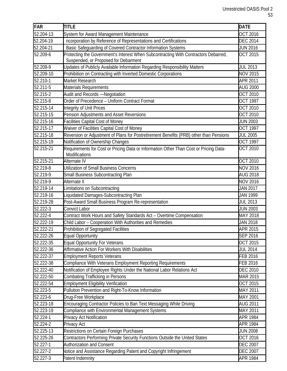| <b>FAR</b>              | <b>TITLE</b>                                                                                                                | <b>DATE</b>     |
|-------------------------|-----------------------------------------------------------------------------------------------------------------------------|-----------------|
| 52.204-13               | System for Award Management Maintenance                                                                                     | <b>OCT 2016</b> |
| 52.204-19               | ncorporation by Reference of Representations and Certifications                                                             | <b>DEC 2014</b> |
| 52.204-21               | Basic Safeguarding of Covered Contractor Information Systems                                                                | <b>JUN 2016</b> |
| $52.209 - 6$            | Protecting the Government's Interest When Subcontracting With Contractors Debarred,<br>Suspended, or Proposed for Debarment | <b>OCT 2015</b> |
| 52.209-9                | Updates of Publicly Available Information Regarding Responsibility Matters                                                  | <b>JUL 2013</b> |
| 52.209-10               | Prohibition on Contracting with Inverted Domestic Corporations                                                              | <b>NOV 2015</b> |
| 52.210-1                | Market Research                                                                                                             | APR 2011        |
| 52.211-5                | <b>Materials Requirements</b>                                                                                               | <b>AUG 2000</b> |
| 52.215-2                | Audit and Records -Negotiation                                                                                              | <b>OCT 2010</b> |
| 52.215-8                | Order of Precedence - Uniform Contract Format                                                                               | <b>OCT 1997</b> |
| $52.215 - 14$           | Integrity of Unit Prices                                                                                                    | OCT 2010        |
| $\overline{52}$ .215-15 | Pension Adjustments and Asset Reversions                                                                                    | OCT 2010        |
| 52.215-16               | <b>Facilities Capital Cost of Money</b>                                                                                     | <b>JUN 2003</b> |
| $\overline{52.215}$ -17 | Waiver of Facilities Capital Cost of Money                                                                                  | <b>OCT 1997</b> |
| 52.215-18               | Reversion or Adjustment of Plans for Postretirement Benefits (PRB) other than Pensions                                      | <b>JUL 2005</b> |
| 52.215-19               | Notification of Ownership Changes                                                                                           | <b>OCT 1997</b> |
| 52.215-21               | Requirements for Cost or Pricing Data or Information Other Than Cost or Pricing Data-<br>Modifications                      | <b>OCT 2010</b> |
| 52.215-21               | Alternate IV                                                                                                                | OCT 2010        |
| $52.219 - 8$            | Utilization of Small Business Concerns                                                                                      | <b>NOV 2016</b> |
| 52.219-9                | Small Business Subcontracting Plan                                                                                          | <b>AUG 2018</b> |
| 52.219-9                | Alternate II                                                                                                                | <b>NOV 2016</b> |
| 52.219-14               | Limitations on Subcontracting                                                                                               | <b>JAN 2017</b> |
| 52.219-16               | Liquidated Damages-Subcontracting Plan                                                                                      | <b>JAN 1999</b> |
| 52.219-28               | Post-Award Small Business Program Re-representation                                                                         | <b>JUL 2013</b> |
| 52.222-3                | Convict Labor                                                                                                               | <b>JUN 2003</b> |
| 52.222-4                | Contract Work Hours and Safety Standards Act - Overtime Compensation                                                        | MAY 2018        |
| 52.222-19               | Child Labor - Cooperation With Authorities and Remedies                                                                     | <b>JAN 2018</b> |
| 52.222-21               | Prohibition of Segregated Facilities                                                                                        | APR 2015        |
| 52.222-26               | <b>Equal Opportunity</b>                                                                                                    | <b>SEP 2016</b> |
| 52.222-35               | <b>Equal Opportunity For Veterans</b>                                                                                       | <b>OCT 2015</b> |
| 52.222-36               | Affirmative Action For Workers With Disabilities                                                                            | <b>JUL 2014</b> |
| 52.222-37               | <b>Employment Reports Veterans</b>                                                                                          | FEB 2016        |
| 52.222-38               | Compliance With Veterans Employment Reporting Requirements                                                                  | <b>FEB 2016</b> |
| 52.222-40               | Notification of Employee Rights Under the National Labor Relations Act                                                      | <b>DEC 2010</b> |
| 52.222-50               | <b>Combating Trafficking in Persons</b>                                                                                     | <b>MAR 2015</b> |
| 52.222-54               | <b>Employment Eligibility Verification</b>                                                                                  | OCT 2015        |
| 52.223-5                | Pollution Prevention and Right-To-Know Information                                                                          | MAY 2011        |
| 52.223-6                | Drug-Free Workplace                                                                                                         | MAY 2001        |
| 52.223-18               | Encouraging Contractor Policies to Ban Text Messaging While Driving                                                         | <b>AUG 2011</b> |
| 52.223-19               | Compliance with Environmental Management Systems                                                                            | <b>MAY 2011</b> |
| 52.224-1                | Privacy Act Notification                                                                                                    | <b>APR 1984</b> |
| 52.224-2                | Privacy Act                                                                                                                 | <b>APR 1984</b> |
| 52.225-13               | Restrictions on Certain Foreign Purchases                                                                                   | <b>JUN 2008</b> |
| 52.225-26               | Contractors Performing Private Security Functions Outside the United States                                                 | <b>OCT 2016</b> |
| $\overline{5}$ 2.227-1  | <b>Authorization and Consent</b>                                                                                            | <b>DEC 2007</b> |
| 52.227-2                | Notice and Assistance Regarding Patent and Copyright Infringement                                                           | <b>DEC 2007</b> |
| 52.227-3                | Patent Indemnity                                                                                                            | <b>APR 1984</b> |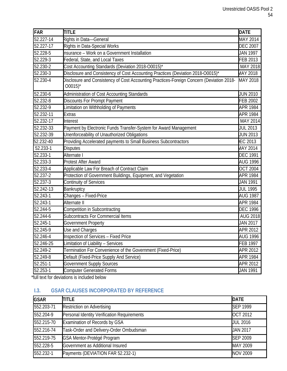| FAR          | <b>TITLE</b>                                                                                                     | <b>DATE</b>     |
|--------------|------------------------------------------------------------------------------------------------------------------|-----------------|
| 52.227-14    | Rights in Data-General                                                                                           | MAY 2014        |
| 52.227-17    | Rights in Data-Special Works                                                                                     | <b>DEC 2007</b> |
| 52.228-5     | nsurance - Work on a Government Installation                                                                     | <b>JAN 1997</b> |
| 52.229-3     | Federal, State, and Local Taxes                                                                                  | FEB 2013        |
| 52.230-2     | Cost Accounting Standards (Deviation 2018-O0015)*                                                                | MAY 2018        |
| 52.230-3     | Disclosure and Consistency of Cost Accounting Practices (Deviation 2018-O0015)*                                  | <b>MAY 2018</b> |
| 52.230-4     | Disclosure and Consistency of Cost Accounting Practices-Foreign Concern (Deviation 2018-<br>$00015$ <sup>*</sup> | MAY 2018        |
| 52.230-6     | Administration of Cost Accounting Standards                                                                      | <b>JUN 2010</b> |
| 52.232-8     | Discounts For Prompt Payment                                                                                     | <b>FEB 2002</b> |
| 52.232-9     | Limitation on Withholding of Payments                                                                            | <b>APR 1984</b> |
| 52.232-11    | <b>Extras</b>                                                                                                    | <b>APR 1984</b> |
| 52.232-17    | Interest                                                                                                         | MAY 2014        |
| 52.232-33    | Payment by Electronic Funds Transfer-System for Award Management                                                 | <b>JUL 2013</b> |
| 52.232-39    | Unenforceability of Unauthorized Obligations                                                                     | <b>JUN 2013</b> |
| 52.232-40    | Providing Accelerated payments to Small Business Subcontractors                                                  | <b>EC 2013</b>  |
| 52.233-1     | <b>Disputes</b>                                                                                                  | <b>MAY 2014</b> |
| 52.233-1     | Alternate I                                                                                                      | <b>DEC 1991</b> |
| 52.233-3     | <b>Protest After Award</b>                                                                                       | <b>AUG 1996</b> |
| 52.233-4     | Applicable Law For Breach of Contract Claim                                                                      | <b>OCT 2004</b> |
| $52.237 - 2$ | Protection of Government Buildings, Equipment, and Vegetation                                                    | <b>APR 1984</b> |
| 52.237-3     | Continuity of Services                                                                                           | <b>JAN 1991</b> |
| 52.242-13    | Bankruptcy                                                                                                       | <b>JUL 1995</b> |
| 52.243-1     | Changes - Fixed-Price                                                                                            | <b>AUG 1987</b> |
| 52.243-1     | Alternate II                                                                                                     | <b>APR 1984</b> |
| 52.244-5     | Competition in Subcontracting                                                                                    | <b>DEC 1996</b> |
| 52.244-6     | Subcontracts For Commercial Items                                                                                | <b>AUG 2018</b> |
| $52.245 - 1$ | Government Property                                                                                              | <b>JAN 2017</b> |
| 52.245-9     | Use and Charges                                                                                                  | APR 2012        |
| 52.246-4     | Inspection of Services - Fixed Price                                                                             | <b>AUG 1996</b> |
| 52.246-25    | Limitation of Liability - Services                                                                               | <b>FEB 1997</b> |
| 52.249-2     | Termination For Convenience of the Government (Fixed-Price)                                                      | APR 2012        |
| 52.249-8     | Default (Fixed-Price Supply And Service)                                                                         | <b>APR 1984</b> |
| 52.251-1     | Government Supply Sources                                                                                        | APR 2012        |
| $52.253 - 1$ | <b>Computer Generated Forms</b>                                                                                  | <b>JAN 1991</b> |

\*full text for deviations is included below

# <span id="page-53-0"></span>**I.3. GSAR CLAUSES INCORPORATED BY REFERENCE**

| <b>GSAR</b> | <b>TITLE</b>                                | <b>DATE</b>     |
|-------------|---------------------------------------------|-----------------|
| 552.203-71  | <b>Restriction on Advertising</b>           | <b>SEP 1999</b> |
| 552.204-9   | Personal Identity Verification Requirements | <b>OCT 2012</b> |
| 552.215-70  | Examination of Records by GSA               | <b>JUL 2016</b> |
| 552.216-74  | Task-Order and Delivery-Order Ombudsman     | <b>JAN 2017</b> |
| 552.219-75  | GSA Mentor-Protégé Program                  | <b>SEP 2009</b> |
| 552.228-5   | Government as Additional Insured            | MAY 2009        |
| 552.232-1   | Payments (DEVIATION FAR 52.232-1)           | <b>NOV 2009</b> |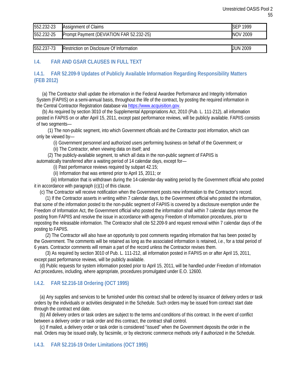| 552.232-23 | <b>Assignment of Claims</b>                 | 1999<br>$\sim$<br>DЕ |
|------------|---------------------------------------------|----------------------|
| 552.232-25 | Payment (DEVIATION FAR 52.232-25)<br>Prompt | 2009<br>NOV          |

| 552.237<br>.<br>.<br>______ | Jf.<br>on<br>: Information<br>Disclosure<br><b>Restriction</b><br>. . | 2009<br>' INF<br>____ |
|-----------------------------|-----------------------------------------------------------------------|-----------------------|

# <span id="page-54-0"></span>**I.4. FAR AND GSAR CLAUSES IN FULL TEXT**

# <span id="page-54-1"></span>**I.4.1. FAR 52.209-9 Updates of Publicly Available Information Regarding Responsibility Matters (FEB 2012)**

(a) The Contractor shall update the information in the Federal Awardee Performance and Integrity Information System (FAPIIS) on a semi-annual basis, throughout the life of the contract, by posting the required information in the Central Contractor Registration database vi[a https://www.acquisition.gov.](https://www.acquisition.gov/)

(b) As required by section 3010 of the Supplemental Appropriations Act, 2010 (Pub. L. 111-212), all information posted in FAPIIS on or after April 15, 2011, except past performance reviews, will be publicly available. FAPIIS consists of two segments—

(1) The non-public segment, into which Government officials and the Contractor post information, which can only be viewed by—

(i) Government personnel and authorized users performing business on behalf of the Government; or

(ii) The Contractor, when viewing data on itself; and

(2) The publicly-available segment, to which all data in the non-public segment of FAPIIS is

automatically transferred after a waiting period of 14 calendar days, except for—

(i) Past performance reviews required by subpart [42.15;](https://www.acquisition.gov/far/current/html/Subpart%2042_15.html#wp1075411)

(ii) Information that was entered prior to April 15, 2011; or

(iii) Information that is withdrawn during the 14-calendar-day waiting period by the Government official who posted it in accordance with paragraph (c)(1) of this clause.

(c) The Contractor will receive notification when the Government posts new information to the Contractor's record.

(1) If the Contractor asserts in writing within 7 calendar days, to the Government official who posted the information, that some of the information posted to the non-public segment of FAPIIS is covered by a disclosure exemption under the Freedom of Information Act, the Government official who posted the information shall within 7 calendar days remove the posting from FAPIIS and resolve the issue in accordance with agency Freedom of Information procedures, prior to reposting the releasable information. The Contractor shall cit[e 52.209-9](https://www.acquisition.gov/far/current/html/52_207_211.html#wp1145644) and request removal within 7 calendar days of the posting to FAPIIS.

(2) The Contractor will also have an opportunity to post comments regarding information that has been posted by the Government. The comments will be retained as long as the associated information is retained, *i.e.*, for a total period of 6 years. Contractor comments will remain a part of the record unless the Contractor revises them.

(3) As required by section 3010 of Pub. L. 111-212, all information posted in FAPIIS on or after April 15, 2011, except past performance reviews, will be publicly available.

(d) Public requests for system information posted prior to April 15, 2011, will be handled under Freedom of Information Act procedures, including, where appropriate, procedures promulgated under E.O. 12600.

# <span id="page-54-2"></span>**I.4.2. FAR 52.216-18 Ordering (OCT 1995)**

(a) Any supplies and services to be furnished under this contract shall be ordered by issuance of delivery orders or task orders by the individuals or activities designated in the Schedule. Such orders may be issued from contract start date through the contract end date.

(b) All delivery orders or task orders are subject to the terms and conditions of this contract. In the event of conflict between a delivery order or task order and this contract, the contract shall control.

<span id="page-54-3"></span>(c) If mailed, a delivery order or task order is considered "issued" when the Government deposits the order in the mail. Orders may be issued orally, by facsimile, or by electronic commerce methods only if authorized in the Schedule.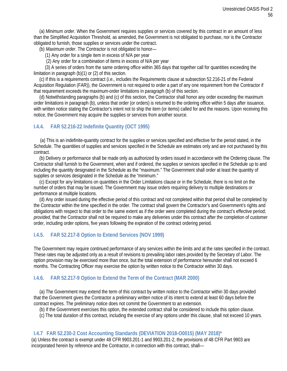(a) *Minimum order*. When the Government requires supplies or services covered by this contract in an amount of less than the Simplified Acquisition Threshold, as amended, the Government is not obligated to purchase, nor is the Contractor obligated to furnish, those supplies or services under the contract.

(b) *Maximum order*. The Contractor is not obligated to honor—

(1) Any order for a single item in excess of N/A per year

(2) Any order for a combination of items in excess of N/A per year

(3) A series of orders from the same ordering office within 365 days that together call for quantities exceeding the limitation in paragraph (b)(1) or (2) of this section.

(c) If this is a requirements contract (*i.e.,* includes the Requirements clause at subsection [52.216-21](https://www.acquisition.gov/far/current/html/52_216.html#wp1115057) of the Federal Acquisition Regulation (FAR)), the Government is not required to order a part of any one requirement from the Contractor if that requirement exceeds the maximum-order limitations in paragraph (b) of this section.

(d) Notwithstanding paragraphs (b) and (c) of this section, the Contractor shall honor any order exceeding the maximum order limitations in paragraph (b), unless that order (or orders) is returned to the ordering office within 5 days after issuance, with written notice stating the Contractor's intent not to ship the item (or items) called for and the reasons. Upon receiving this notice, the Government may acquire the supplies or services from another source.

# <span id="page-55-0"></span>**I.4.4. FAR 52.216-22 Indefinite Quantity (OCT 1995)**

(a) This is an indefinite-quantity contract for the supplies or services specified and effective for the period stated, in the Schedule. The quantities of supplies and services specified in the Schedule are estimates only and are not purchased by this contract.

(b) Delivery or performance shall be made only as authorized by orders issued in accordance with the Ordering clause. The Contractor shall furnish to the Government, when and if ordered, the supplies or services specified in the Schedule up to and including the quantity designated in the Schedule as the "maximum." The Government shall order at least the quantity of supplies or services designated in the Schedule as the "minimum."

(c) Except for any limitations on quantities in the Order Limitations clause or in the Schedule, there is no limit on the number of orders that may be issued. The Government may issue orders requiring delivery to multiple destinations or performance at multiple locations.

(d) Any order issued during the effective period of this contract and not completed within that period shall be completed by the Contractor within the time specified in the order. The contract shall govern the Contractor's and Government's rights and obligations with respect to that order to the same extent as if the order were completed during the contract's effective period; *provided*, that the Contractor shall not be required to make any deliveries under this contract after the completion of customer order, including order options, five years following the expiration of the contract ordering period.

#### <span id="page-55-1"></span>**I.4.5. FAR 52.217-8 Option to Extend Services (NOV 1999)**

The Government may require continued performance of any services within the limits and at the rates specified in the contract. These rates may be adjusted only as a result of revisions to prevailing labor rates provided by the Secretary of Labor. The option provision may be exercised more than once, but the total extension of performance hereunder shall not exceed 6 months. The Contracting Officer may exercise the option by written notice to the Contractor within 30 days.

#### <span id="page-55-2"></span>**I.4.6. FAR 52.217-9 Option to Extend the Term of the Contract (MAR 2000)**

(a) The Government may extend the term of this contract by written notice to the Contractor within 30 days provided that the Government gives the Contractor a preliminary written notice of its intent to extend at least 60 days before the contract expires. The preliminary notice does not commit the Government to an extension.

(b) If the Government exercises this option, the extended contract shall be considered to include this option clause.

(c) The total duration of this contract, including the exercise of any options under this clause, shall not exceed 10 years.

#### **I.4.7 FAR 52.230-2 Cost Accounting Standards (DEVIATION 2018-O0015) (MAY 2018)\***

(a) Unless the contract is exempt under 48 CFR 9903.201-1 and 9903.201-2, the provisions of 48 CFR Part 9903 are incorporated herein by reference and the Contractor, in connection with this contract, shall—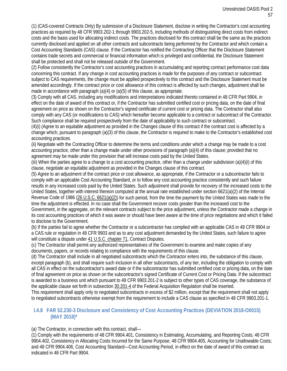(1) (CAS-covered Contracts Only) By submission of a Disclosure Statement, disclose in writing the Contractor's cost accounting practices as required by 48 CFR 9903.202-1 through 9903.202-5, including methods of distinguishing direct costs from indirect costs and the basis used for allocating indirect costs. The practices disclosed for this contract shall be the same as the practices currently disclosed and applied on all other contracts and subcontracts being performed by the Contractor and which contain a Cost Accounting Standards (CAS) clause. If the Contractor has notified the Contracting Officer that the Disclosure Statement contains trade secrets and commercial or financial information which is privileged and confidential, the Disclosure Statement shall be protected and shall not be released outside of the Government.

(2) Follow consistently the Contractor's cost accounting practices in accumulating and reporting contract performance cost data concerning this contract. If any change in cost accounting practices is made for the purposes of any contract or subcontract subject to CAS requirements, the change must be applied prospectively to this contract and the Disclosure Statement must be amended accordingly. If the contract price or cost allowance of this contract is affected by such changes, adjustment shall be made in accordance with paragraph (a)(4) or (a)(5) of this clause, as appropriate.

(3) Comply with all CAS, including any modifications and interpretations indicated thereto contained in 48 CFR Part 9904, in effect on the date of award of this contract or, if the Contractor has submitted certified cost or pricing data, on the date of final agreement on price as shown on the Contractor's signed certificate of current cost or pricing data. The Contractor shall also comply with any CAS (or modifications to CAS) which hereafter become applicable to a contract or subcontract of the Contractor. Such compliance shall be required prospectively from the date of applicability to such contract or subcontract.

(4)(i) (Agree to an equitable adjustment as provided in the Changes clause of this contract if the contract cost is affected by a change which, pursuant to paragraph (a)(3) of this clause, the Contractor is required to make to the Contractor's established cost accounting practices.

(ii) Negotiate with the Contracting Officer to determine the terms and conditions under which a change may be made to a cost accounting practice, other than a change made under other provisions of paragraph  $(a)(4)$  of this clause; provided that no agreement may be made under this provision that will increase costs paid by the United States.

(iii) When the parties agree to a change to a cost accounting practice, other than a change under subdivision (a)(4)(i) of this clause, negotiate an equitable adjustment as provided in the Changes clause of this contract.

(5) Agree to an adjustment of the contract price or cost allowance, as appropriate, if the Contractor or a subcontractor fails to comply with an applicable Cost Accounting Standard, or to follow any cost accounting practice consistently and such failure results in any increased costs paid by the United States. Such adjustment shall provide for recovery of the increased costs to the United States, together with interest thereon computed at the annual rate established under section 6621(a)(2) of the Internal Revenue Code of 1986 [\(26 U.S.C. 6621\(a\)\(2\)\)](http://http/uscode.house.gov/) for such period, from the time the payment by the United States was made to the time the adjustment is effected. In no case shall the Government recover costs greater than the increased cost to the Government, in the aggregate, on the relevant contracts subject to the price adjustment, unless the Contractor made a change in its cost accounting practices of which it was aware or should have been aware at the time of price negotiations and which it failed to disclose to the Government.

(b) If the parties fail to agree whether the Contractor or a subcontractor has complied with an applicable CAS in 48 CFR 9904 or a CAS rule or regulation in 48 CFR 9903 and as to any cost adjustment demanded by the United States, such failure to agree will constitute a dispute under [41 U.S.C. chapter 71,](http://uscode.house.gov/) Contract Disputes.

(c) The Contractor shall permit any authorized representatives of the Government to examine and make copies of any documents, papers, or records relating to compliance with the requirements of this clause.

(d) The Contractor shall include in all negotiated subcontracts which the Contractor enters into, the substance of this clause, except paragraph (b), and shall require such inclusion in all other subcontracts, of any tier, including the obligation to comply with all CAS in effect on the subcontractor's award date or if the subcontractor has submitted certified cost or pricing data, on the date of final agreement on price as shown on the subcontractor's signed Certificate of Current Cost or Pricing Data. If the subcontract is awarded to a business unit which pursuant to 48 CFR 9903.201-2 is subject to other types of CAS coverage, the substance of the applicable clause set forth in subsection [30.201-4](https://www.acquisition.gov/sites/default/files/current/far/html/Subpart%2030_2.html#wp1068153) of the Federal Acquisition Regulation shall be inserted.

This requirement shall apply only to negotiated subcontracts in excess of \$2 million, except that the requirement shall not apply to negotiated subcontracts otherwise exempt from the requirement to include a CAS clause as specified in 48 CFR 9903.201-1.

# **I.4.8 FAR 52.230-3 Disclosure and Consistency of Cost Accounting Practices (DEVIATION 2018-O0015) (MAY 2018)\***

(a) The Contractor, in connection with this contract, shall—

(1) Comply with the requirements of 48 CFR 9904.401, Consistency in Estimating, Accumulating, and Reporting Costs; 48 CFR 9904.402, Consistency in Allocating Costs Incurred for the Same Purpose; 48 CFR 9904.405, Accounting for Unallowable Costs; and 48 CFR 9904.406, Cost Accounting Standard—Cost Accounting Period, in effect on the date of award of this contract as indicated in 48 CFR Part 9904.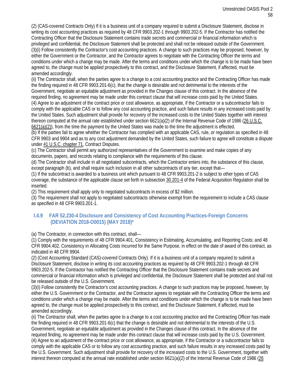(2) (CAS-covered Contracts Only) If it is a business unit of a company required to submit a Disclosure Statement, disclose in writing its cost accounting practices as required by 48 CFR 9903.202-1 through 9903.202-5. If the Contractor has notified the Contracting Officer that the Disclosure Statement contains trade secrets and commercial or financial information which is privileged and confidential, the Disclosure Statement shall be protected and shall not be released outside of the Government. (3)(i) Follow consistently the Contractor's cost accounting practices. A change to such practices may be proposed, however, by either the Government or the Contractor, and the Contractor agrees to negotiate with the Contracting Officer the terms and conditions under which a change may be made. After the terms and conditions under which the change is to be made have been agreed to, the change must be applied prospectively to this contract, and the Disclosure Statement, if affected, must be amended accordingly.

(ii) The Contractor shall, when the parties agree to a change to a cost accounting practice and the Contracting Officer has made the finding required in 48 CFR 9903.201-6(c), that the change is desirable and not detrimental to the interests of the Government, negotiate an equitable adjustment as provided in the Changes clause of this contract. In the absence of the required finding, no agreement may be made under this contract clause that will increase costs paid by the United States.

(4) Agree to an adjustment of the contract price or cost allowance, as appropriate, if the Contractor or a subcontractor fails to comply with the applicable CAS or to follow any cost accounting practice, and such failure results in any increased costs paid by the United States. Such adjustment shall provide for recovery of the increased costs to the United States together with interest thereon computed at the annual rate established under section 6621(a)(2) of the Internal Revenue Code of 1986 [\(26 U.S.C.](http://uscode.house.gov/uscode)  [6621\(a\)\(2\)\)](http://uscode.house.gov/uscode), from the time the payment by the United States was made to the time the adjustment is effected.

(b) If the parties fail to agree whether the Contractor has complied with an applicable CAS, rule, or regulation as specified in 48 CFR 9903 and 9904 and as to any cost adjustment demanded by the United States, such failure to agree will constitute a dispute under [41 U.S.C. chapter 71,](http://uscode.house.gov/) Contract Disputes.

(c) The Contractor shall permit any authorized representatives of the Government to examine and make copies of any documents, papers, and records relating to compliance with the requirements of this clause.

(d) The Contractor shall include in all negotiated subcontracts, which the Contractor enters into, the substance of this clause, except paragraph (b), and shall require such inclusion in all other subcontracts of any tier, except that—

(1) If the subcontract is awarded to a business unit which pursuant to 48 CFR 9903.201-2 is subject to other types of CAS coverage, the substance of the applicable clause set forth in subsection [30.201-4](https://www.acquisition.gov/sites/default/files/current/far/html/Subpart%2030_2.html#wp1068153) of the Federal Acquisition Regulation shall be inserted.

(2) This requirement shall apply only to negotiated subcontracts in excess of \$2 million.

(3) The requirement shall not apply to negotiated subcontracts otherwise exempt from the requirement to include a CAS clause as specified in 48 CFR 9903.201-1.

# **I.4.9 FAR 52.230-4 Disclosure and Consistency of Cost Accounting Practices-Foreign Concerns (DEVIATION 2018-O0015) (MAY 2018)\***

(a) The Contractor, in connection with this contract, shall—

(1) Comply with the requirements of 48 CFR 9904.401, Consistency in Estimating, Accumulating, and Reporting Costs; and 48 CFR 9904.402, Consistency in Allocating Costs Incurred for the Same Purpose, in effect on the date of award of this contract, as indicated in 48 CFR 9904.

(2) (Cost Accounting Standard (CAS)-covered Contracts Only). If it is a business unit of a company required to submit a Disclosure Statement, disclose in writing its cost accounting practices as required by 48 CFR 9903.202-1 through 48 CFR 9903.202-5. If the Contractor has notified the Contracting Officer that the Disclosure Statement contains trade secrets and commercial or financial information which is privileged and confidential, the Disclosure Statement shall be protected and shall not be released outside of the U.S. Government.

(3)(i) Follow consistently the Contractor's cost accounting practices. A change to such practices may be proposed, however, by either the U.S. Government or the Contractor, and the Contractor agrees to negotiate with the Contracting Officer the terms and conditions under which a change may be made. After the terms and conditions under which the change is to be made have been agreed to, the change must be applied prospectively to this contract, and the Disclosure Statement, if affected, must be amended accordingly.

(ii) The Contractor shall, when the parties agree to a change to a cost accounting practice and the Contracting Officer has made the finding required in 48 CFR 9903.201-6(c) that the change is desirable and not detrimental to the interests of the U.S. Government, negotiate an equitable adjustment as provided in the Changes clause of this contract. In the absence of the required finding, no agreement may be made under this contract clause that will increase costs paid by the U.S. Government. (4) Agree to an adjustment of the contract price or cost allowance, as appropriate, if the Contractor or a subcontractor fails to comply with the applicable CAS or to follow any cost accounting practice, and such failure results in any increased costs paid by the U.S. Government. Such adjustment shall provide for recovery of the increased costs to the U.S. Government, together with interest thereon computed at the annual rate established under section 6621(a)(2) of the Internal Revenue Code of 1986 (26